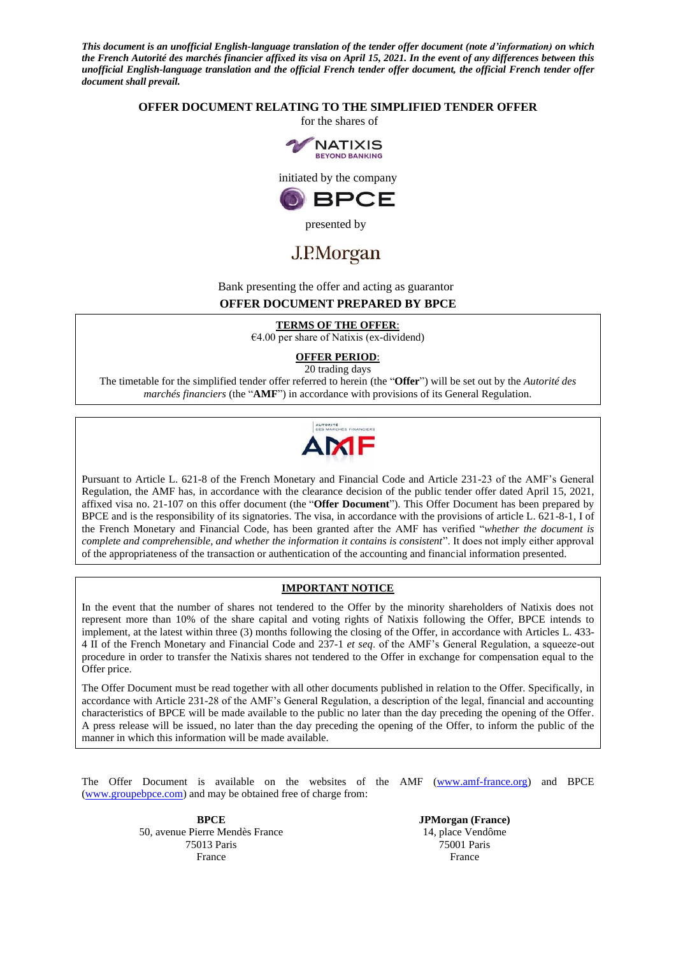*This document is an unofficial English-language translation of the tender offer document (note d'information) on which the French Autorité des marchés financier affixed its visa on April 15, 2021. In the event of any differences between this unofficial English-language translation and the official French tender offer document, the official French tender offer document shall prevail.*

#### **OFFER DOCUMENT RELATING TO THE SIMPLIFIED TENDER OFFER**

for the shares of



initiated by the company



presented by

# J.P.Morgan

### Bank presenting the offer and acting as guarantor **OFFER DOCUMENT PREPARED BY BPCE**

**TERMS OF THE OFFER**:

 $€4.00$  per share of Natixis (ex-dividend)

**OFFER PERIOD**: 20 trading days

The timetable for the simplified tender offer referred to herein (the "**Offer**") will be set out by the *Autorité des marchés financiers* (the "**AMF**") in accordance with provisions of its General Regulation.



Pursuant to Article L. 621-8 of the French Monetary and Financial Code and Article 231-23 of the AMF's General Regulation, the AMF has, in accordance with the clearance decision of the public tender offer dated April 15, 2021, affixed visa no. 21-107 on this offer document (the "**Offer Document**"). This Offer Document has been prepared by BPCE and is the responsibility of its signatories. The visa, in accordance with the provisions of article L. 621-8-1, I of the French Monetary and Financial Code, has been granted after the AMF has verified "*whether the document is complete and comprehensible, and whether the information it contains is consistent*". It does not imply either approval of the appropriateness of the transaction or authentication of the accounting and financial information presented.

#### **IMPORTANT NOTICE**

In the event that the number of shares not tendered to the Offer by the minority shareholders of Natixis does not represent more than 10% of the share capital and voting rights of Natixis following the Offer, BPCE intends to implement, at the latest within three (3) months following the closing of the Offer, in accordance with Articles L. 433- 4 II of the French Monetary and Financial Code and 237-1 *et seq*. of the AMF's General Regulation, a squeeze-out procedure in order to transfer the Natixis shares not tendered to the Offer in exchange for compensation equal to the Offer price.

The Offer Document must be read together with all other documents published in relation to the Offer. Specifically, in accordance with Article 231-28 of the AMF's General Regulation, a description of the legal, financial and accounting characteristics of BPCE will be made available to the public no later than the day preceding the opening of the Offer. A press release will be issued, no later than the day preceding the opening of the Offer, to inform the public of the manner in which this information will be made available.

The Offer Document is available on the websites of the AMF (www.amf-france.org) and BPCE (www.groupebpce.com) and may be obtained free of charge from:

> **BPCE** 50, avenue Pierre Mendès France 75013 Paris France

**JPMorgan (France)** 14, place Vendôme 75001 Paris France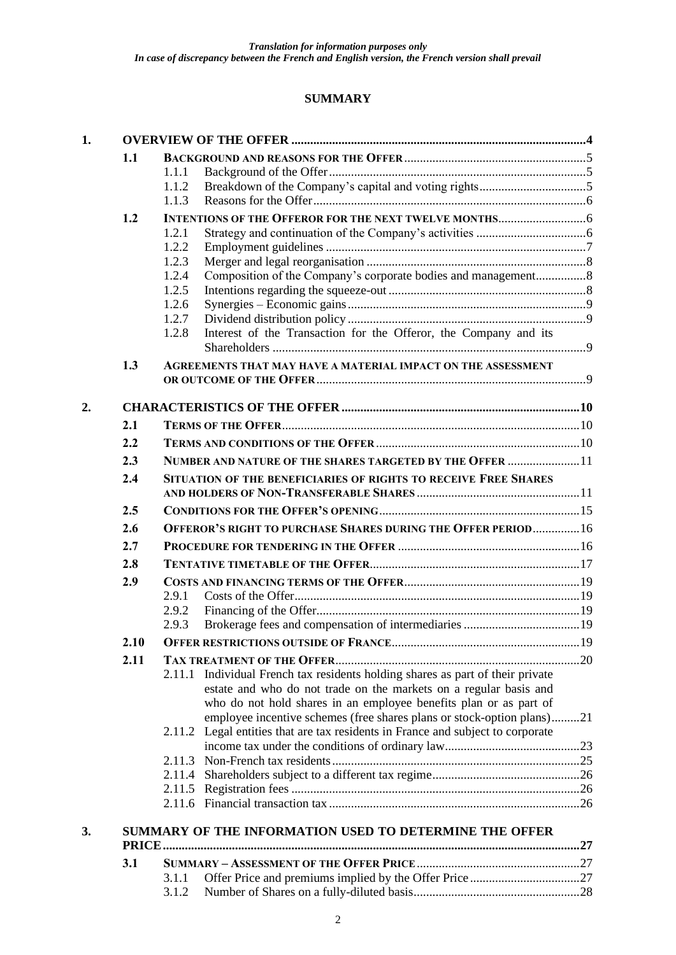## **SUMMARY**

| 1. |      |                |                                                                                 |  |
|----|------|----------------|---------------------------------------------------------------------------------|--|
|    | 1.1  |                |                                                                                 |  |
|    |      | 1.1.1          |                                                                                 |  |
|    |      | 1.1.2          |                                                                                 |  |
|    |      | 1.1.3          |                                                                                 |  |
|    | 1.2  |                |                                                                                 |  |
|    |      | 1.2.1          |                                                                                 |  |
|    |      | 1.2.2          |                                                                                 |  |
|    |      | 1.2.3<br>1.2.4 | Composition of the Company's corporate bodies and management8                   |  |
|    |      | 1.2.5          |                                                                                 |  |
|    |      | 1.2.6          |                                                                                 |  |
|    |      | 1.2.7          |                                                                                 |  |
|    |      | 1.2.8          | Interest of the Transaction for the Offeror, the Company and its                |  |
|    | 1.3  |                | AGREEMENTS THAT MAY HAVE A MATERIAL IMPACT ON THE ASSESSMENT                    |  |
| 2. |      |                |                                                                                 |  |
|    |      |                |                                                                                 |  |
|    | 2.1  |                |                                                                                 |  |
|    | 2.2  |                |                                                                                 |  |
|    | 2.3  |                | NUMBER AND NATURE OF THE SHARES TARGETED BY THE OFFER  11                       |  |
|    | 2.4  |                | SITUATION OF THE BENEFICIARIES OF RIGHTS TO RECEIVE FREE SHARES                 |  |
|    |      |                |                                                                                 |  |
|    | 2.5  |                |                                                                                 |  |
|    | 2.6  |                | OFFEROR'S RIGHT TO PURCHASE SHARES DURING THE OFFER PERIOD 16                   |  |
|    | 2.7  |                |                                                                                 |  |
|    | 2.8  |                |                                                                                 |  |
|    | 2.9  |                |                                                                                 |  |
|    |      | 2.9.1          |                                                                                 |  |
|    |      | 2.9.2          |                                                                                 |  |
|    |      | 2.9.3          |                                                                                 |  |
|    | 2.10 |                |                                                                                 |  |
|    | 2.11 |                |                                                                                 |  |
|    |      |                | 2.11.1 Individual French tax residents holding shares as part of their private  |  |
|    |      |                | estate and who do not trade on the markets on a regular basis and               |  |
|    |      |                | who do not hold shares in an employee benefits plan or as part of               |  |
|    |      |                | employee incentive schemes (free shares plans or stock-option plans)21          |  |
|    |      |                | 2.11.2 Legal entities that are tax residents in France and subject to corporate |  |
|    |      | 2.11.3         |                                                                                 |  |
|    |      |                |                                                                                 |  |
|    |      |                |                                                                                 |  |
|    |      |                |                                                                                 |  |
| 3. |      |                | SUMMARY OF THE INFORMATION USED TO DETERMINE THE OFFER                          |  |
|    | 3.1  |                |                                                                                 |  |
|    |      | 3.1.1          |                                                                                 |  |
|    |      | 3.1.2          |                                                                                 |  |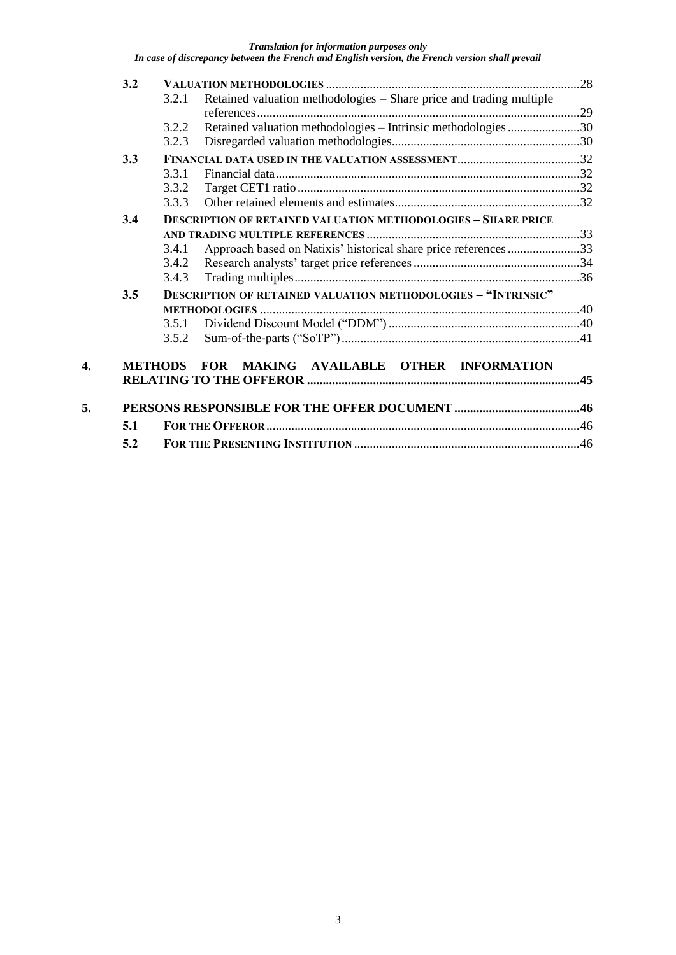|    | 3.2 |                |                                                                      |  |
|----|-----|----------------|----------------------------------------------------------------------|--|
|    |     | 3.2.1          | Retained valuation methodologies – Share price and trading multiple  |  |
|    |     |                |                                                                      |  |
|    |     | 3.2.2          | Retained valuation methodologies - Intrinsic methodologies 30        |  |
|    |     | 3.2.3          |                                                                      |  |
|    | 3.3 |                |                                                                      |  |
|    |     | 3.3.1          |                                                                      |  |
|    |     | 3.3.2          |                                                                      |  |
|    |     | 3.3.3          |                                                                      |  |
|    | 3.4 |                | <b>DESCRIPTION OF RETAINED VALUATION METHODOLOGIES - SHARE PRICE</b> |  |
|    |     |                |                                                                      |  |
|    |     | 3.4.1          | Approach based on Natixis' historical share price references 33      |  |
|    |     | 3.4.2          |                                                                      |  |
|    |     | 3.4.3          |                                                                      |  |
|    | 3.5 |                | <b>DESCRIPTION OF RETAINED VALUATION METHODOLOGIES - "INTRINSIC"</b> |  |
|    |     |                |                                                                      |  |
|    |     | 3.5.1          |                                                                      |  |
|    |     | 3.5.2          |                                                                      |  |
|    |     |                |                                                                      |  |
| 4. |     | <b>METHODS</b> | FOR MAKING AVAILABLE OTHER INFORMATION                               |  |
|    |     |                |                                                                      |  |
|    |     |                |                                                                      |  |
| 5. |     |                |                                                                      |  |
|    | 5.1 |                |                                                                      |  |
|    | 5.2 |                |                                                                      |  |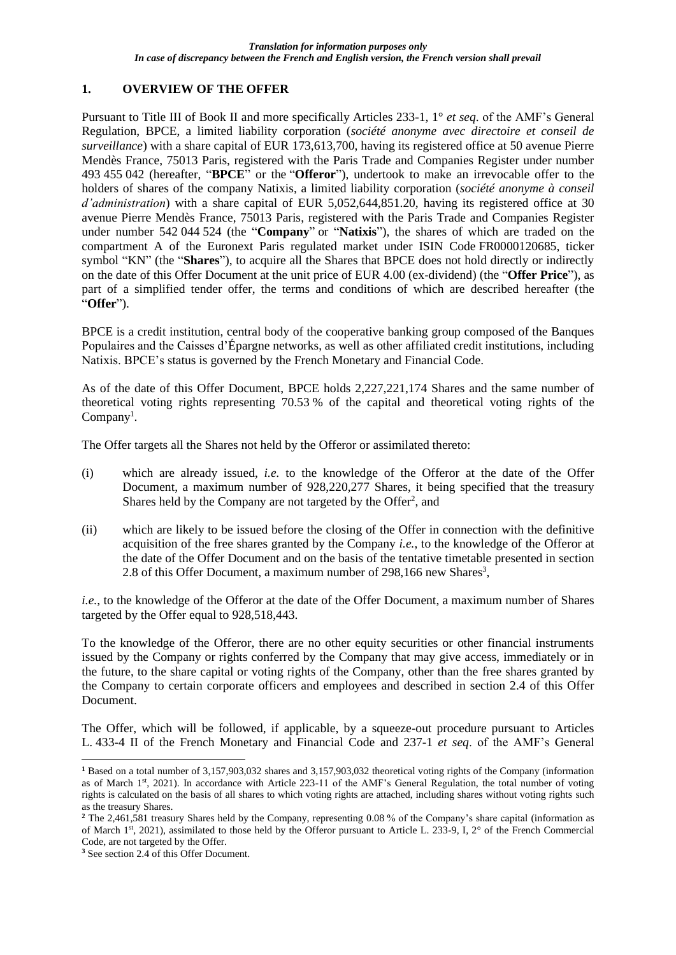## **1. OVERVIEW OF THE OFFER**

Pursuant to Title III of Book II and more specifically Articles 233-1, 1° *et seq*. of the AMF's General Regulation, BPCE, a limited liability corporation (*société anonyme avec directoire et conseil de surveillance*) with a share capital of EUR 173,613,700, having its registered office at 50 avenue Pierre Mendès France, 75013 Paris, registered with the Paris Trade and Companies Register under number 493 455 042 (hereafter, "**BPCE**" or the "**Offeror**"), undertook to make an irrevocable offer to the holders of shares of the company Natixis, a limited liability corporation (*société anonyme à conseil d'administration*) with a share capital of EUR 5,052,644,851.20, having its registered office at 30 avenue Pierre Mendès France, 75013 Paris, registered with the Paris Trade and Companies Register under number 542 044 524 (the "**Company**" or "**Natixis**"), the shares of which are traded on the compartment A of the Euronext Paris regulated market under ISIN Code FR0000120685, ticker symbol "KN" (the "**Shares**"), to acquire all the Shares that BPCE does not hold directly or indirectly on the date of this Offer Document at the unit price of EUR 4.00 (ex-dividend) (the "**Offer Price**"), as part of a simplified tender offer, the terms and conditions of which are described hereafter (the "**Offer**").

BPCE is a credit institution, central body of the cooperative banking group composed of the Banques Populaires and the Caisses d'Épargne networks, as well as other affiliated credit institutions, including Natixis. BPCE's status is governed by the French Monetary and Financial Code.

As of the date of this Offer Document, BPCE holds 2,227,221,174 Shares and the same number of theoretical voting rights representing 70.53 % of the capital and theoretical voting rights of the Company<sup>1</sup>.

The Offer targets all the Shares not held by the Offeror or assimilated thereto:

- (i) which are already issued, *i.e.* to the knowledge of the Offeror at the date of the Offer Document, a maximum number of 928,220,277 Shares, it being specified that the treasury Shares held by the Company are not targeted by the Offer<sup>2</sup>, and
- (ii) which are likely to be issued before the closing of the Offer in connection with the definitive acquisition of the free shares granted by the Company *i.e.*, to the knowledge of the Offeror at the date of the Offer Document and on the basis of the tentative timetable presented in section 2.8 of this Offer Document, a maximum number of 298,166 new Shares<sup>3</sup>,

*i.e.*, to the knowledge of the Offeror at the date of the Offer Document, a maximum number of Shares targeted by the Offer equal to 928,518,443.

To the knowledge of the Offeror, there are no other equity securities or other financial instruments issued by the Company or rights conferred by the Company that may give access, immediately or in the future, to the share capital or voting rights of the Company, other than the free shares granted by the Company to certain corporate officers and employees and described in section 2.4 of this Offer Document.

The Offer, which will be followed, if applicable, by a squeeze-out procedure pursuant to Articles L. 433-4 II of the French Monetary and Financial Code and 237-1 *et seq*. of the AMF's General

**<sup>1</sup>** Based on a total number of 3,157,903,032 shares and 3,157,903,032 theoretical voting rights of the Company (information as of March 1st, 2021). In accordance with Article 223-11 of the AMF's General Regulation, the total number of voting rights is calculated on the basis of all shares to which voting rights are attached, including shares without voting rights such as the treasury Shares.

**<sup>2</sup>** The 2,461,581 treasury Shares held by the Company, representing 0.08 % of the Company's share capital (information as of March 1st, 2021), assimilated to those held by the Offeror pursuant to Article L. 233-9, I, 2° of the French Commercial Code, are not targeted by the Offer.

**<sup>3</sup>** See section 2.4 of this Offer Document.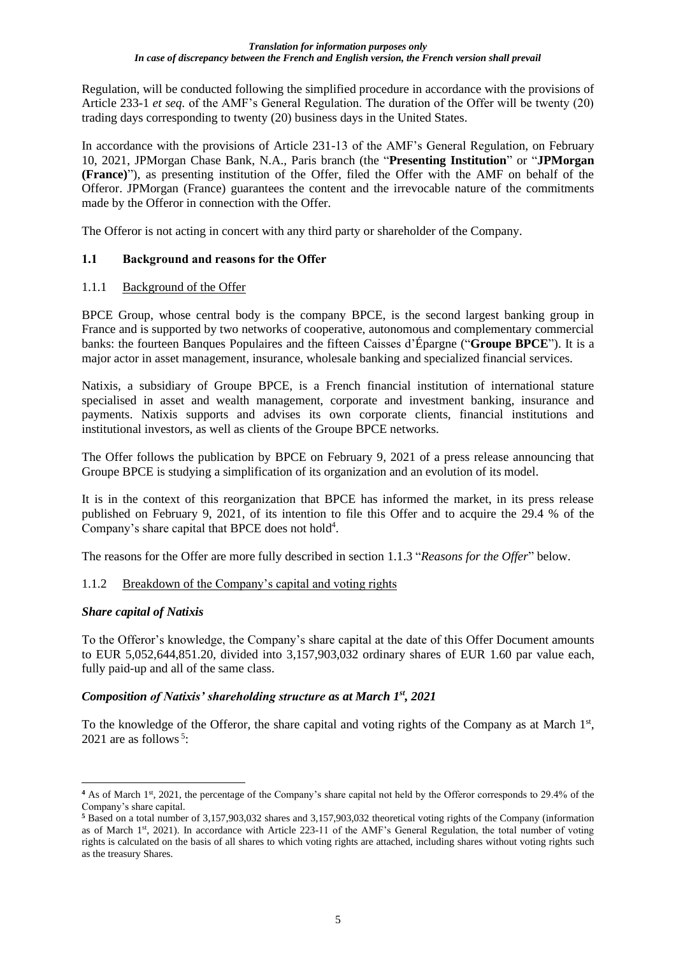Regulation, will be conducted following the simplified procedure in accordance with the provisions of Article 233-1 *et seq.* of the AMF's General Regulation. The duration of the Offer will be twenty (20) trading days corresponding to twenty (20) business days in the United States.

In accordance with the provisions of Article 231-13 of the AMF's General Regulation, on February 10, 2021, JPMorgan Chase Bank, N.A., Paris branch (the "**Presenting Institution**" or "**JPMorgan (France)**"), as presenting institution of the Offer, filed the Offer with the AMF on behalf of the Offeror. JPMorgan (France) guarantees the content and the irrevocable nature of the commitments made by the Offeror in connection with the Offer.

The Offeror is not acting in concert with any third party or shareholder of the Company.

## **1.1 Background and reasons for the Offer**

## 1.1.1 Background of the Offer

BPCE Group, whose central body is the company BPCE, is the second largest banking group in France and is supported by two networks of cooperative, autonomous and complementary commercial banks: the fourteen Banques Populaires and the fifteen Caisses d'Épargne ("**Groupe BPCE**"). It is a major actor in asset management, insurance, wholesale banking and specialized financial services.

Natixis, a subsidiary of Groupe BPCE, is a French financial institution of international stature specialised in asset and wealth management, corporate and investment banking, insurance and payments. Natixis supports and advises its own corporate clients, financial institutions and institutional investors, as well as clients of the Groupe BPCE networks.

The Offer follows the publication by BPCE on February 9, 2021 of a press release announcing that Groupe BPCE is studying a simplification of its organization and an evolution of its model.

It is in the context of this reorganization that BPCE has informed the market, in its press release published on February 9, 2021, of its intention to file this Offer and to acquire the 29.4 % of the Company's share capital that BPCE does not hold<sup>4</sup>.

The reasons for the Offer are more fully described in section 1.1.3 "*Reasons for the Offer*" below.

## 1.1.2 Breakdown of the Company's capital and voting rights

## *Share capital of Natixis*

To the Offeror's knowledge, the Company's share capital at the date of this Offer Document amounts to EUR 5,052,644,851.20, divided into 3,157,903,032 ordinary shares of EUR 1.60 par value each, fully paid-up and all of the same class.

## *Composition of Natixis' shareholding structure as at March 1st, 2021*

To the knowledge of the Offeror, the share capital and voting rights of the Company as at March 1<sup>st</sup>, 2021 are as follows<sup>5</sup>:

<sup>&</sup>lt;sup>4</sup> As of March 1<sup>st</sup>, 2021, the percentage of the Company's share capital not held by the Offeror corresponds to 29.4% of the Company's share capital.

**<sup>5</sup>** Based on a total number of 3,157,903,032 shares and 3,157,903,032 theoretical voting rights of the Company (information as of March 1st, 2021). In accordance with Article 223-11 of the AMF's General Regulation, the total number of voting rights is calculated on the basis of all shares to which voting rights are attached, including shares without voting rights such as the treasury Shares.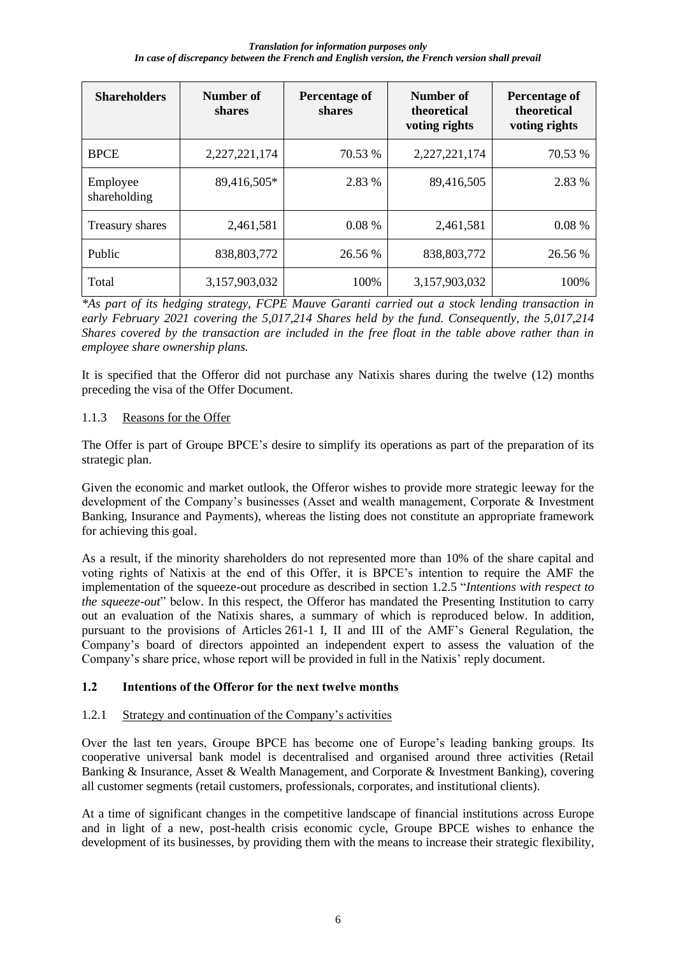| <b>Shareholders</b>      | Number of<br>shares | Percentage of<br>shares | Number of<br>theoretical<br>voting rights | Percentage of<br>theoretical<br>voting rights |
|--------------------------|---------------------|-------------------------|-------------------------------------------|-----------------------------------------------|
| <b>BPCE</b>              | 2,227,221,174       | 70.53 %                 | 2,227,221,174                             | 70.53 %                                       |
| Employee<br>shareholding | 89,416,505*         | 2.83 %                  | 89,416,505                                | 2.83 %                                        |
| Treasury shares          | 2,461,581           | 0.08%                   | 2,461,581                                 | 0.08%                                         |
| Public                   | 838, 803, 772       | 26.56 %                 | 838,803,772                               | 26.56 %                                       |
| Total                    | 3,157,903,032       | 100%                    | 3,157,903,032                             | 100%                                          |

*\*As part of its hedging strategy, FCPE Mauve Garanti carried out a stock lending transaction in early February 2021 covering the 5,017,214 Shares held by the fund. Consequently, the 5,017,214 Shares covered by the transaction are included in the free float in the table above rather than in employee share ownership plans.*

It is specified that the Offeror did not purchase any Natixis shares during the twelve (12) months preceding the visa of the Offer Document.

## 1.1.3 Reasons for the Offer

The Offer is part of Groupe BPCE's desire to simplify its operations as part of the preparation of its strategic plan.

Given the economic and market outlook, the Offeror wishes to provide more strategic leeway for the development of the Company's businesses (Asset and wealth management, Corporate & Investment Banking, Insurance and Payments), whereas the listing does not constitute an appropriate framework for achieving this goal.

As a result, if the minority shareholders do not represented more than 10% of the share capital and voting rights of Natixis at the end of this Offer, it is BPCE's intention to require the AMF the implementation of the squeeze-out procedure as described in section 1.2.5 "*Intentions with respect to the squeeze-out*" below. In this respect, the Offeror has mandated the Presenting Institution to carry out an evaluation of the Natixis shares, a summary of which is reproduced below. In addition, pursuant to the provisions of Articles 261-1 I, II and III of the AMF's General Regulation, the Company's board of directors appointed an independent expert to assess the valuation of the Company's share price, whose report will be provided in full in the Natixis' reply document.

## **1.2 Intentions of the Offeror for the next twelve months**

## 1.2.1 Strategy and continuation of the Company's activities

Over the last ten years, Groupe BPCE has become one of Europe's leading banking groups. Its cooperative universal bank model is decentralised and organised around three activities (Retail Banking & Insurance, Asset & Wealth Management, and Corporate & Investment Banking), covering all customer segments (retail customers, professionals, corporates, and institutional clients).

At a time of significant changes in the competitive landscape of financial institutions across Europe and in light of a new, post-health crisis economic cycle, Groupe BPCE wishes to enhance the development of its businesses, by providing them with the means to increase their strategic flexibility,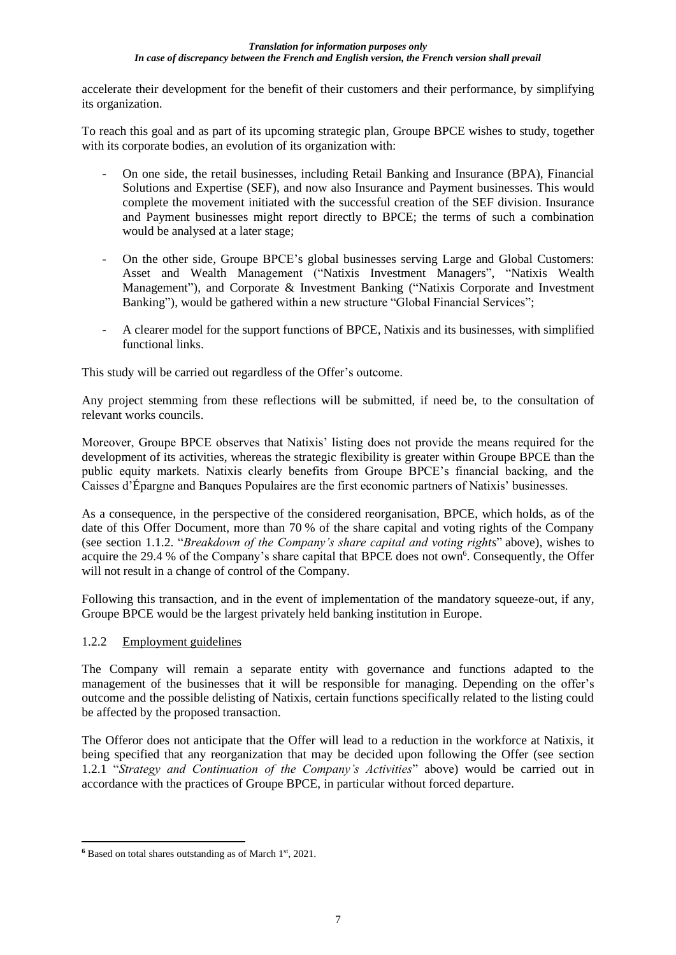accelerate their development for the benefit of their customers and their performance, by simplifying its organization.

To reach this goal and as part of its upcoming strategic plan, Groupe BPCE wishes to study, together with its corporate bodies, an evolution of its organization with:

- On one side, the retail businesses, including Retail Banking and Insurance (BPA), Financial Solutions and Expertise (SEF), and now also Insurance and Payment businesses. This would complete the movement initiated with the successful creation of the SEF division. Insurance and Payment businesses might report directly to BPCE; the terms of such a combination would be analysed at a later stage;
- On the other side, Groupe BPCE's global businesses serving Large and Global Customers: Asset and Wealth Management ("Natixis Investment Managers", "Natixis Wealth Management"), and Corporate & Investment Banking ("Natixis Corporate and Investment Banking"), would be gathered within a new structure "Global Financial Services";
- A clearer model for the support functions of BPCE, Natixis and its businesses, with simplified functional links.

This study will be carried out regardless of the Offer's outcome.

Any project stemming from these reflections will be submitted, if need be, to the consultation of relevant works councils.

Moreover, Groupe BPCE observes that Natixis' listing does not provide the means required for the development of its activities, whereas the strategic flexibility is greater within Groupe BPCE than the public equity markets. Natixis clearly benefits from Groupe BPCE's financial backing, and the Caisses d'Épargne and Banques Populaires are the first economic partners of Natixis' businesses.

As a consequence, in the perspective of the considered reorganisation, BPCE, which holds, as of the date of this Offer Document, more than 70 % of the share capital and voting rights of the Company (see section 1.1.2. "*Breakdown of the Company's share capital and voting rights*" above), wishes to acquire the 29.4 % of the Company's share capital that BPCE does not own<sup>6</sup>. Consequently, the Offer will not result in a change of control of the Company.

Following this transaction, and in the event of implementation of the mandatory squeeze-out, if any, Groupe BPCE would be the largest privately held banking institution in Europe.

## 1.2.2 Employment guidelines

The Company will remain a separate entity with governance and functions adapted to the management of the businesses that it will be responsible for managing. Depending on the offer's outcome and the possible delisting of Natixis, certain functions specifically related to the listing could be affected by the proposed transaction.

The Offeror does not anticipate that the Offer will lead to a reduction in the workforce at Natixis, it being specified that any reorganization that may be decided upon following the Offer (see section 1.2.1 "*Strategy and Continuation of the Company's Activities*" above) would be carried out in accordance with the practices of Groupe BPCE, in particular without forced departure.

**<sup>6</sup>** Based on total shares outstanding as of March 1st, 2021.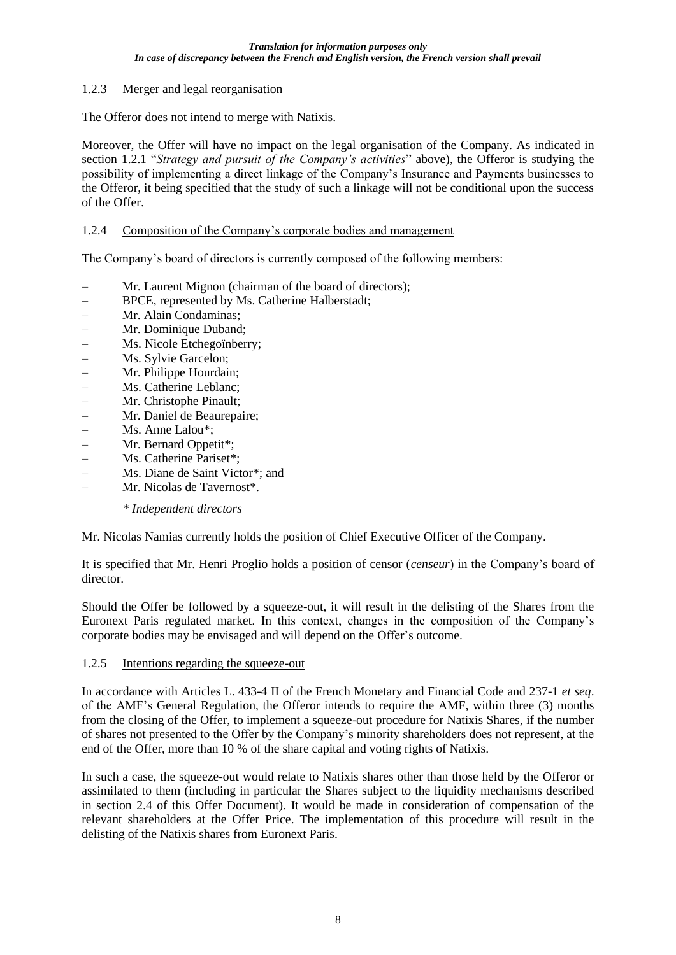## 1.2.3 Merger and legal reorganisation

The Offeror does not intend to merge with Natixis.

Moreover, the Offer will have no impact on the legal organisation of the Company. As indicated in section 1.2.1 "*Strategy and pursuit of the Company's activities*" above), the Offeror is studying the possibility of implementing a direct linkage of the Company's Insurance and Payments businesses to the Offeror, it being specified that the study of such a linkage will not be conditional upon the success of the Offer.

### 1.2.4 Composition of the Company's corporate bodies and management

The Company's board of directors is currently composed of the following members:

- ‒ Mr. Laurent Mignon (chairman of the board of directors);
- ‒ BPCE, represented by Ms. Catherine Halberstadt;
- ‒ Mr. Alain Condaminas;
- ‒ Mr. Dominique Duband;
- ‒ Ms. Nicole Etchegoïnberry;
- ‒ Ms. Sylvie Garcelon;
- ‒ Mr. Philippe Hourdain;
- ‒ Ms. Catherine Leblanc;
- ‒ Mr. Christophe Pinault;
- ‒ Mr. Daniel de Beaurepaire;
- $\blacksquare$  Ms. Anne Lalou<sup>\*</sup>:
- ‒ Mr. Bernard Oppetit\*;
- Ms. Catherine Pariset\*;
- ‒ Ms. Diane de Saint Victor\*; and
- ‒ Mr. Nicolas de Tavernost\*.

*\* Independent directors*

Mr. Nicolas Namias currently holds the position of Chief Executive Officer of the Company.

It is specified that Mr. Henri Proglio holds a position of censor (*censeur*) in the Company's board of director.

Should the Offer be followed by a squeeze-out, it will result in the delisting of the Shares from the Euronext Paris regulated market. In this context, changes in the composition of the Company's corporate bodies may be envisaged and will depend on the Offer's outcome.

### 1.2.5 Intentions regarding the squeeze-out

In accordance with Articles L. 433-4 II of the French Monetary and Financial Code and 237-1 *et seq*. of the AMF's General Regulation, the Offeror intends to require the AMF, within three (3) months from the closing of the Offer, to implement a squeeze-out procedure for Natixis Shares, if the number of shares not presented to the Offer by the Company's minority shareholders does not represent, at the end of the Offer, more than 10 % of the share capital and voting rights of Natixis.

In such a case, the squeeze-out would relate to Natixis shares other than those held by the Offeror or assimilated to them (including in particular the Shares subject to the liquidity mechanisms described in section 2.4 of this Offer Document). It would be made in consideration of compensation of the relevant shareholders at the Offer Price. The implementation of this procedure will result in the delisting of the Natixis shares from Euronext Paris.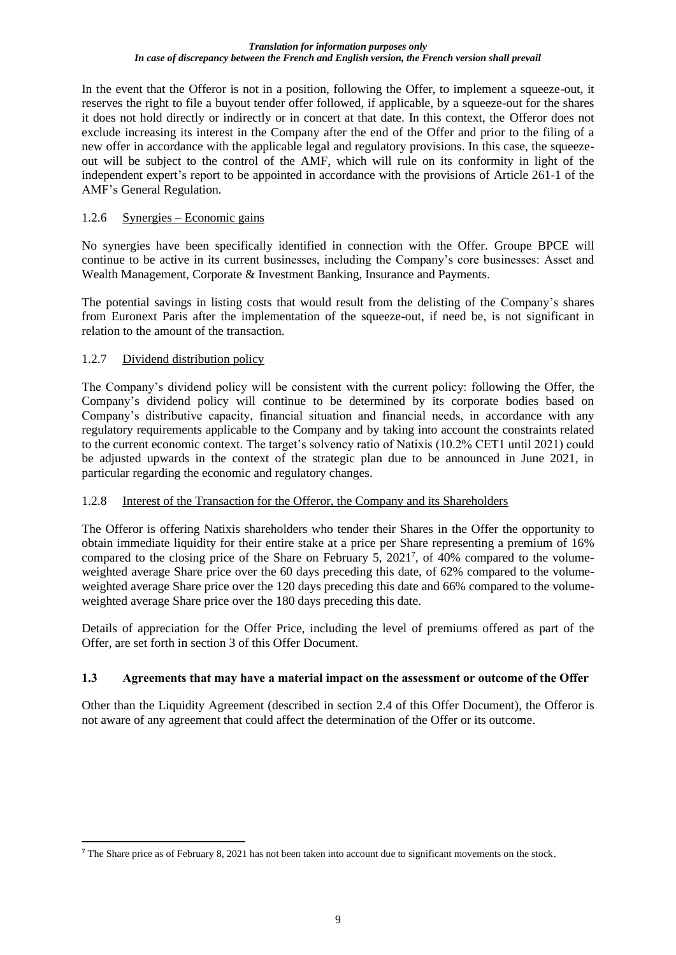In the event that the Offeror is not in a position, following the Offer, to implement a squeeze-out, it reserves the right to file a buyout tender offer followed, if applicable, by a squeeze-out for the shares it does not hold directly or indirectly or in concert at that date. In this context, the Offeror does not exclude increasing its interest in the Company after the end of the Offer and prior to the filing of a new offer in accordance with the applicable legal and regulatory provisions. In this case, the squeezeout will be subject to the control of the AMF, which will rule on its conformity in light of the independent expert's report to be appointed in accordance with the provisions of Article 261-1 of the AMF's General Regulation.

### 1.2.6 Synergies – Economic gains

No synergies have been specifically identified in connection with the Offer. Groupe BPCE will continue to be active in its current businesses, including the Company's core businesses: Asset and Wealth Management, Corporate & Investment Banking, Insurance and Payments.

The potential savings in listing costs that would result from the delisting of the Company's shares from Euronext Paris after the implementation of the squeeze-out, if need be, is not significant in relation to the amount of the transaction.

### 1.2.7 Dividend distribution policy

The Company's dividend policy will be consistent with the current policy: following the Offer, the Company's dividend policy will continue to be determined by its corporate bodies based on Company's distributive capacity, financial situation and financial needs, in accordance with any regulatory requirements applicable to the Company and by taking into account the constraints related to the current economic context. The target's solvency ratio of Natixis (10.2% CET1 until 2021) could be adjusted upwards in the context of the strategic plan due to be announced in June 2021, in particular regarding the economic and regulatory changes.

## 1.2.8 Interest of the Transaction for the Offeror, the Company and its Shareholders

The Offeror is offering Natixis shareholders who tender their Shares in the Offer the opportunity to obtain immediate liquidity for their entire stake at a price per Share representing a premium of 16% compared to the closing price of the Share on February 5, 2021<sup>7</sup>, of 40% compared to the volumeweighted average Share price over the 60 days preceding this date, of 62% compared to the volumeweighted average Share price over the 120 days preceding this date and 66% compared to the volumeweighted average Share price over the 180 days preceding this date.

Details of appreciation for the Offer Price, including the level of premiums offered as part of the Offer, are set forth in section 3 of this Offer Document.

## **1.3 Agreements that may have a material impact on the assessment or outcome of the Offer**

Other than the Liquidity Agreement (described in section 2.4 of this Offer Document), the Offeror is not aware of any agreement that could affect the determination of the Offer or its outcome.

**<sup>7</sup>** The Share price as of February 8, 2021 has not been taken into account due to significant movements on the stock.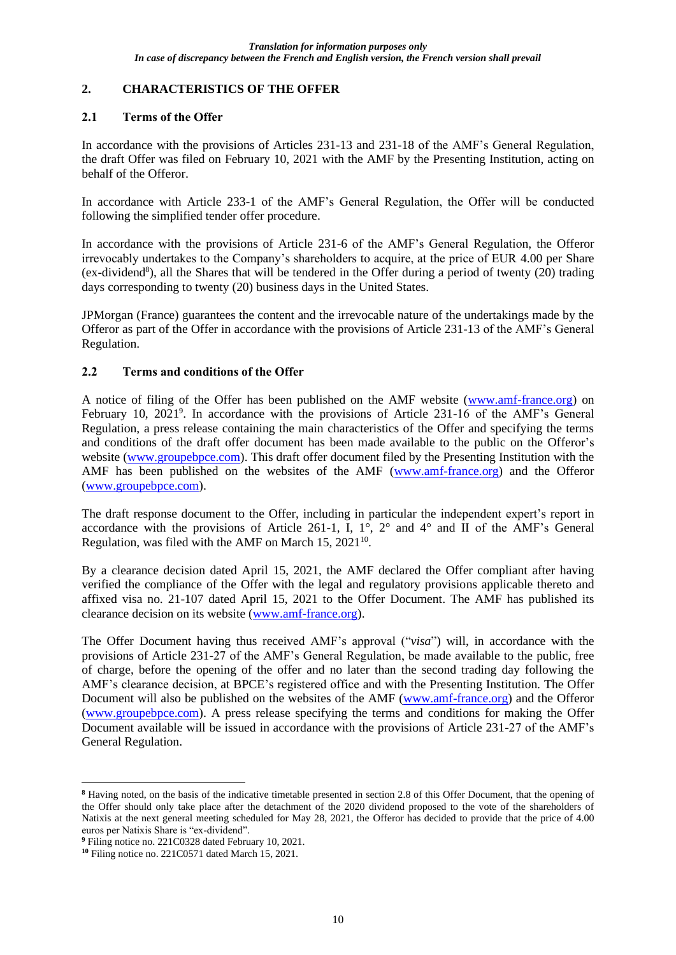## **2. CHARACTERISTICS OF THE OFFER**

### **2.1 Terms of the Offer**

In accordance with the provisions of Articles 231-13 and 231-18 of the AMF's General Regulation, the draft Offer was filed on February 10, 2021 with the AMF by the Presenting Institution, acting on behalf of the Offeror.

In accordance with Article 233-1 of the AMF's General Regulation, the Offer will be conducted following the simplified tender offer procedure.

In accordance with the provisions of Article 231-6 of the AMF's General Regulation, the Offeror irrevocably undertakes to the Company's shareholders to acquire, at the price of EUR 4.00 per Share (ex-dividend<sup>8</sup>), all the Shares that will be tendered in the Offer during a period of twenty (20) trading days corresponding to twenty (20) business days in the United States.

JPMorgan (France) guarantees the content and the irrevocable nature of the undertakings made by the Offeror as part of the Offer in accordance with the provisions of Article 231-13 of the AMF's General Regulation.

## **2.2 Terms and conditions of the Offer**

A notice of filing of the Offer has been published on the AMF website (www.amf-france.org) on February 10, 2021<sup>9</sup>. In accordance with the provisions of Article 231-16 of the AMF's General Regulation, a press release containing the main characteristics of the Offer and specifying the terms and conditions of the draft offer document has been made available to the public on the Offeror's website (www.groupebpce.com). This draft offer document filed by the Presenting Institution with the AMF has been published on the websites of the AMF (www.amf-france.org) and the Offeror (www.groupebpce.com).

The draft response document to the Offer, including in particular the independent expert's report in accordance with the provisions of Article 261-1, I,  $1^\circ$ ,  $2^\circ$  and  $4^\circ$  and II of the AMF's General Regulation, was filed with the AMF on March  $15$ ,  $2021^{10}$ .

By a clearance decision dated April 15, 2021, the AMF declared the Offer compliant after having verified the compliance of the Offer with the legal and regulatory provisions applicable thereto and affixed visa no. 21-107 dated April 15, 2021 to the Offer Document. The AMF has published its clearance decision on its website (www.amf-france.org).

The Offer Document having thus received AMF's approval ("*visa*") will, in accordance with the provisions of Article 231-27 of the AMF's General Regulation, be made available to the public, free of charge, before the opening of the offer and no later than the second trading day following the AMF's clearance decision, at BPCE's registered office and with the Presenting Institution. The Offer Document will also be published on the websites of the AMF (www.amf-france.org) and the Offeror (www.groupebpce.com). A press release specifying the terms and conditions for making the Offer Document available will be issued in accordance with the provisions of Article 231-27 of the AMF's General Regulation.

**<sup>8</sup>** Having noted, on the basis of the indicative timetable presented in section 2.8 of this Offer Document, that the opening of the Offer should only take place after the detachment of the 2020 dividend proposed to the vote of the shareholders of Natixis at the next general meeting scheduled for May 28, 2021, the Offeror has decided to provide that the price of 4.00 euros per Natixis Share is "ex-dividend".

**<sup>9</sup>** Filing notice no. 221C0328 dated February 10, 2021.

**<sup>10</sup>** Filing notice no. 221C0571 dated March 15, 2021.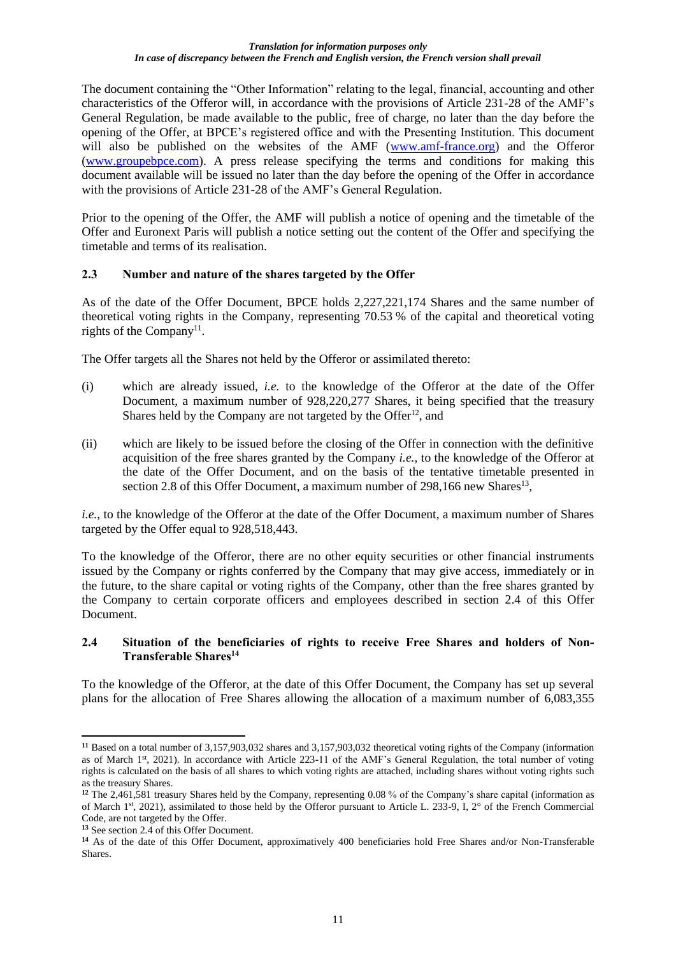The document containing the "Other Information" relating to the legal, financial, accounting and other characteristics of the Offeror will, in accordance with the provisions of Article 231-28 of the AMF's General Regulation, be made available to the public, free of charge, no later than the day before the opening of the Offer, at BPCE's registered office and with the Presenting Institution. This document will also be published on the websites of the AMF (www.amf-france.org) and the Offeror (www.groupebpce.com). A press release specifying the terms and conditions for making this document available will be issued no later than the day before the opening of the Offer in accordance with the provisions of Article 231-28 of the AMF's General Regulation.

Prior to the opening of the Offer, the AMF will publish a notice of opening and the timetable of the Offer and Euronext Paris will publish a notice setting out the content of the Offer and specifying the timetable and terms of its realisation.

## **2.3 Number and nature of the shares targeted by the Offer**

As of the date of the Offer Document, BPCE holds 2,227,221,174 Shares and the same number of theoretical voting rights in the Company, representing 70.53 % of the capital and theoretical voting rights of the Company<sup>11</sup>.

The Offer targets all the Shares not held by the Offeror or assimilated thereto:

- (i) which are already issued, *i.e.* to the knowledge of the Offeror at the date of the Offer Document, a maximum number of 928,220,277 Shares, it being specified that the treasury Shares held by the Company are not targeted by the Offer<sup>12</sup>, and
- (ii) which are likely to be issued before the closing of the Offer in connection with the definitive acquisition of the free shares granted by the Company *i.e.*, to the knowledge of the Offeror at the date of the Offer Document, and on the basis of the tentative timetable presented in section 2.8 of this Offer Document, a maximum number of  $298,166$  new Shares<sup>13</sup>,

*i.e.*, to the knowledge of the Offeror at the date of the Offer Document, a maximum number of Shares targeted by the Offer equal to 928,518,443.

To the knowledge of the Offeror, there are no other equity securities or other financial instruments issued by the Company or rights conferred by the Company that may give access, immediately or in the future, to the share capital or voting rights of the Company, other than the free shares granted by the Company to certain corporate officers and employees described in section 2.4 of this Offer Document.

## **2.4 Situation of the beneficiaries of rights to receive Free Shares and holders of Non-Transferable Shares<sup>14</sup>**

To the knowledge of the Offeror, at the date of this Offer Document, the Company has set up several plans for the allocation of Free Shares allowing the allocation of a maximum number of 6,083,355

**<sup>11</sup>** Based on a total number of 3,157,903,032 shares and 3,157,903,032 theoretical voting rights of the Company (information as of March 1st, 2021). In accordance with Article 223-11 of the AMF's General Regulation, the total number of voting rights is calculated on the basis of all shares to which voting rights are attached, including shares without voting rights such as the treasury Shares.

**<sup>12</sup>** The 2,461,581 treasury Shares held by the Company, representing 0.08 % of the Company's share capital (information as of March 1st, 2021), assimilated to those held by the Offeror pursuant to Article L. 233-9, I, 2° of the French Commercial Code, are not targeted by the Offer.

**<sup>13</sup>** See section 2.4 of this Offer Document.

**<sup>14</sup>** As of the date of this Offer Document, approximatively 400 beneficiaries hold Free Shares and/or Non-Transferable Shares.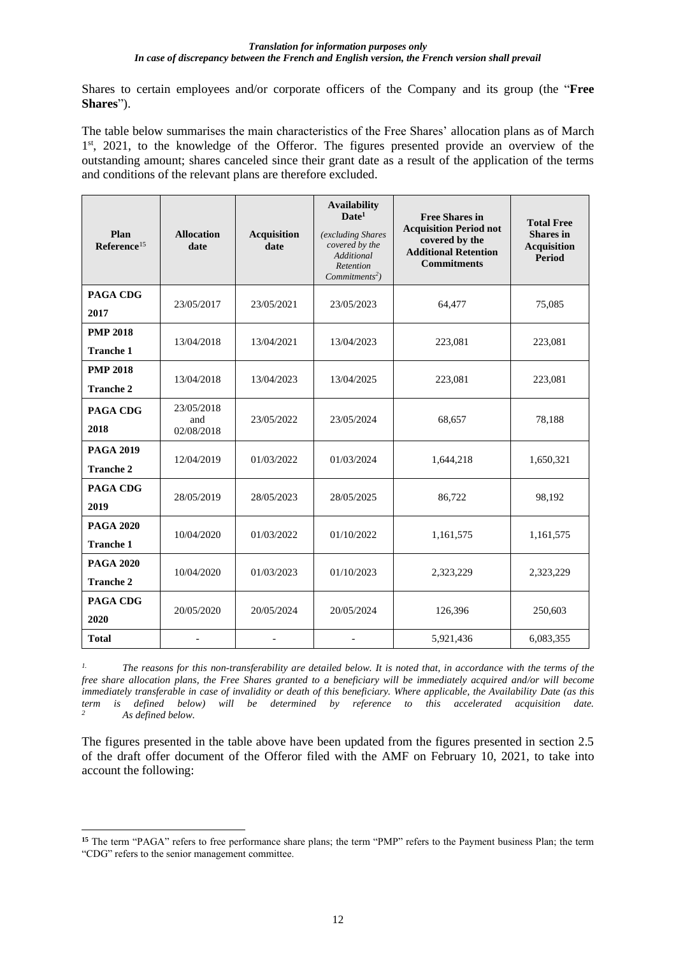Shares to certain employees and/or corporate officers of the Company and its group (the "**Free Shares**").

The table below summarises the main characteristics of the Free Shares' allocation plans as of March 1<sup>st</sup>, 2021, to the knowledge of the Offeror. The figures presented provide an overview of the outstanding amount; shares canceled since their grant date as a result of the application of the terms and conditions of the relevant plans are therefore excluded.

| Plan<br>Reference <sup>15</sup>      | <b>Allocation</b><br>date       | <b>Acquisition</b><br>date | <b>Availability</b><br>$\mathbf{Date}^1$<br>(excluding Shares<br>covered by the<br>Additional<br>Retention<br>Commitments <sup>2</sup> ) | <b>Free Shares in</b><br><b>Acquisition Period not</b><br>covered by the<br><b>Additional Retention</b><br><b>Commitments</b> | <b>Total Free</b><br><b>Shares</b> in<br><b>Acquisition</b><br><b>Period</b> |
|--------------------------------------|---------------------------------|----------------------------|------------------------------------------------------------------------------------------------------------------------------------------|-------------------------------------------------------------------------------------------------------------------------------|------------------------------------------------------------------------------|
| <b>PAGA CDG</b><br>2017              | 23/05/2017                      | 23/05/2021                 | 23/05/2023                                                                                                                               | 64,477                                                                                                                        | 75,085                                                                       |
| <b>PMP 2018</b><br><b>Tranche 1</b>  | 13/04/2018                      | 13/04/2021                 | 13/04/2023                                                                                                                               | 223,081                                                                                                                       | 223,081                                                                      |
| <b>PMP 2018</b><br><b>Tranche 2</b>  | 13/04/2018                      | 13/04/2023                 | 13/04/2025                                                                                                                               | 223,081                                                                                                                       | 223,081                                                                      |
| <b>PAGA CDG</b><br>2018              | 23/05/2018<br>and<br>02/08/2018 | 23/05/2022                 | 23/05/2024                                                                                                                               | 68,657                                                                                                                        | 78,188                                                                       |
| <b>PAGA 2019</b><br><b>Tranche 2</b> | 12/04/2019                      | 01/03/2022                 | 01/03/2024                                                                                                                               | 1,644,218                                                                                                                     | 1,650,321                                                                    |
| <b>PAGA CDG</b><br>2019              | 28/05/2019                      | 28/05/2023                 | 28/05/2025                                                                                                                               | 86,722                                                                                                                        | 98,192                                                                       |
| <b>PAGA 2020</b><br><b>Tranche 1</b> | 10/04/2020                      | 01/03/2022                 | 01/10/2022                                                                                                                               | 1,161,575                                                                                                                     | 1,161,575                                                                    |
| <b>PAGA 2020</b><br><b>Tranche 2</b> | 10/04/2020                      | 01/03/2023                 | 01/10/2023                                                                                                                               | 2,323,229                                                                                                                     | 2,323,229                                                                    |
| <b>PAGA CDG</b><br>2020              | 20/05/2020                      | 20/05/2024                 | 20/05/2024                                                                                                                               | 126,396                                                                                                                       | 250,603                                                                      |
| <b>Total</b>                         | ٠                               |                            |                                                                                                                                          | 5,921,436                                                                                                                     | 6,083,355                                                                    |

*1. The reasons for this non-transferability are detailed below. It is noted that, in accordance with the terms of the free share allocation plans, the Free Shares granted to a beneficiary will be immediately acquired and/or will become immediately transferable in case of invalidity or death of this beneficiary. Where applicable, the Availability Date (as this term is defined below) will be determined by reference to this accelerated acquisition date. <sup>2</sup> As defined below.*

The figures presented in the table above have been updated from the figures presented in section 2.5 of the draft offer document of the Offeror filed with the AMF on February 10, 2021, to take into account the following:

**<sup>15</sup>** The term "PAGA" refers to free performance share plans; the term "PMP" refers to the Payment business Plan; the term "CDG" refers to the senior management committee.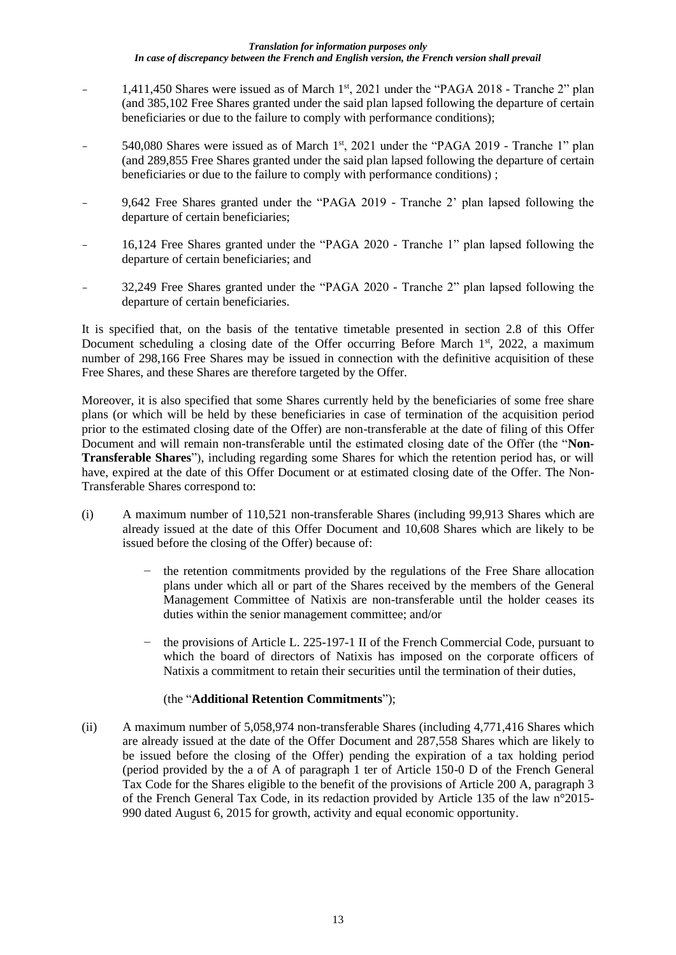- 1,411,450 Shares were issued as of March 1<sup>st</sup>, 2021 under the "PAGA 2018 Tranche 2" plan (and 385,102 Free Shares granted under the said plan lapsed following the departure of certain beneficiaries or due to the failure to comply with performance conditions);
- 540,080 Shares were issued as of March 1<sup>st</sup>, 2021 under the "PAGA 2019 Tranche 1" plan (and 289,855 Free Shares granted under the said plan lapsed following the departure of certain beneficiaries or due to the failure to comply with performance conditions) ;
- 9,642 Free Shares granted under the "PAGA 2019 Tranche 2' plan lapsed following the departure of certain beneficiaries;
- 16,124 Free Shares granted under the "PAGA 2020 Tranche 1" plan lapsed following the departure of certain beneficiaries; and
- 32,249 Free Shares granted under the "PAGA 2020 Tranche 2" plan lapsed following the departure of certain beneficiaries.

It is specified that, on the basis of the tentative timetable presented in section 2.8 of this Offer Document scheduling a closing date of the Offer occurring Before March  $1<sup>st</sup>$ , 2022, a maximum number of 298,166 Free Shares may be issued in connection with the definitive acquisition of these Free Shares, and these Shares are therefore targeted by the Offer.

Moreover, it is also specified that some Shares currently held by the beneficiaries of some free share plans (or which will be held by these beneficiaries in case of termination of the acquisition period prior to the estimated closing date of the Offer) are non-transferable at the date of filing of this Offer Document and will remain non-transferable until the estimated closing date of the Offer (the "**Non-Transferable Shares**"), including regarding some Shares for which the retention period has, or will have, expired at the date of this Offer Document or at estimated closing date of the Offer. The Non-Transferable Shares correspond to:

- (i) A maximum number of 110,521 non-transferable Shares (including 99,913 Shares which are already issued at the date of this Offer Document and 10,608 Shares which are likely to be issued before the closing of the Offer) because of:
	- the retention commitments provided by the regulations of the Free Share allocation plans under which all or part of the Shares received by the members of the General Management Committee of Natixis are non-transferable until the holder ceases its duties within the senior management committee; and/or
	- − the provisions of Article L. 225-197-1 II of the French Commercial Code, pursuant to which the board of directors of Natixis has imposed on the corporate officers of Natixis a commitment to retain their securities until the termination of their duties,

## (the "**Additional Retention Commitments**");

(ii) A maximum number of 5,058,974 non-transferable Shares (including 4,771,416 Shares which are already issued at the date of the Offer Document and 287,558 Shares which are likely to be issued before the closing of the Offer) pending the expiration of a tax holding period (period provided by the a of A of paragraph 1 ter of Article 150-0 D of the French General Tax Code for the Shares eligible to the benefit of the provisions of Article 200 A, paragraph 3 of the French General Tax Code, in its redaction provided by Article 135 of the law n°2015- 990 dated August 6, 2015 for growth, activity and equal economic opportunity.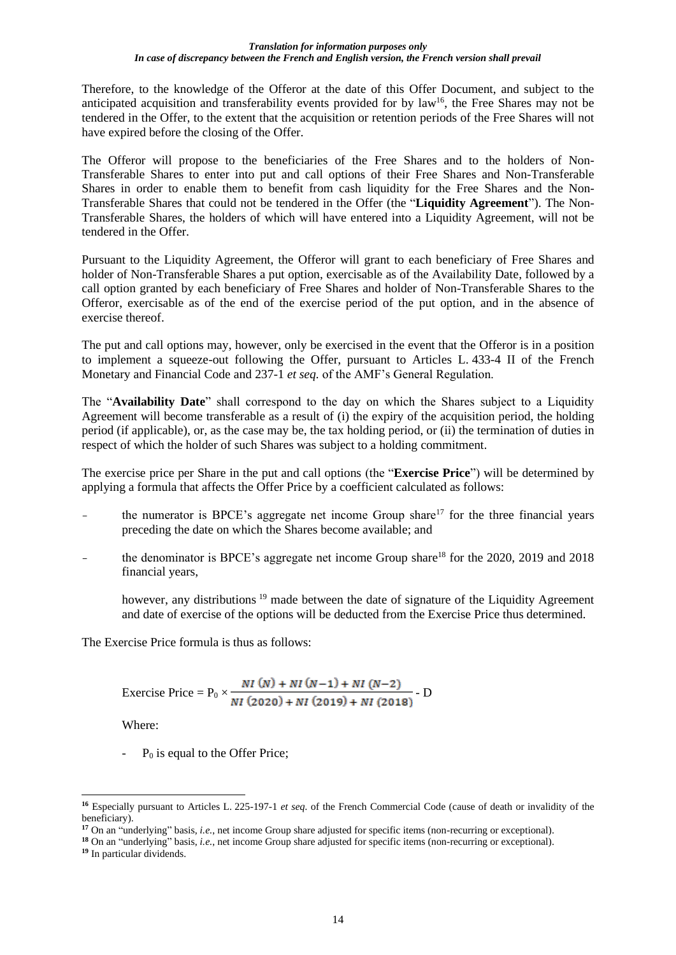Therefore, to the knowledge of the Offeror at the date of this Offer Document, and subject to the anticipated acquisition and transferability events provided for by law<sup>16</sup>, the Free Shares may not be tendered in the Offer, to the extent that the acquisition or retention periods of the Free Shares will not have expired before the closing of the Offer.

The Offeror will propose to the beneficiaries of the Free Shares and to the holders of Non-Transferable Shares to enter into put and call options of their Free Shares and Non-Transferable Shares in order to enable them to benefit from cash liquidity for the Free Shares and the Non-Transferable Shares that could not be tendered in the Offer (the "**Liquidity Agreement**"). The Non-Transferable Shares, the holders of which will have entered into a Liquidity Agreement, will not be tendered in the Offer.

Pursuant to the Liquidity Agreement, the Offeror will grant to each beneficiary of Free Shares and holder of Non-Transferable Shares a put option, exercisable as of the Availability Date, followed by a call option granted by each beneficiary of Free Shares and holder of Non-Transferable Shares to the Offeror, exercisable as of the end of the exercise period of the put option, and in the absence of exercise thereof.

The put and call options may, however, only be exercised in the event that the Offeror is in a position to implement a squeeze-out following the Offer, pursuant to Articles L. 433-4 II of the French Monetary and Financial Code and 237-1 *et seq.* of the AMF's General Regulation.

The "**Availability Date**" shall correspond to the day on which the Shares subject to a Liquidity Agreement will become transferable as a result of (i) the expiry of the acquisition period, the holding period (if applicable), or, as the case may be, the tax holding period, or (ii) the termination of duties in respect of which the holder of such Shares was subject to a holding commitment.

The exercise price per Share in the put and call options (the "**Exercise Price**") will be determined by applying a formula that affects the Offer Price by a coefficient calculated as follows:

- the numerator is BPCE's aggregate net income Group share<sup>17</sup> for the three financial years preceding the date on which the Shares become available; and
- the denominator is BPCE's aggregate net income Group share<sup>18</sup> for the 2020, 2019 and 2018 financial years,

however, any distributions<sup>19</sup> made between the date of signature of the Liquidity Agreement and date of exercise of the options will be deducted from the Exercise Price thus determined.

The Exercise Price formula is thus as follows:

Exercise Price = 
$$
P_0 \times \frac{NI(N) + NI(N-1) + NI(N-2)}{NI(2020) + NI(2019) + NI(2018)}
$$
 - D

Where:

-  $P_0$  is equal to the Offer Price;

**<sup>16</sup>** Especially pursuant to Articles L. 225-197-1 *et seq.* of the French Commercial Code (cause of death or invalidity of the beneficiary).

**<sup>17</sup>** On an "underlying" basis, *i.e.*, net income Group share adjusted for specific items (non-recurring or exceptional).

**<sup>18</sup>** On an "underlying" basis, *i.e.*, net income Group share adjusted for specific items (non-recurring or exceptional).

**<sup>19</sup>** In particular dividends.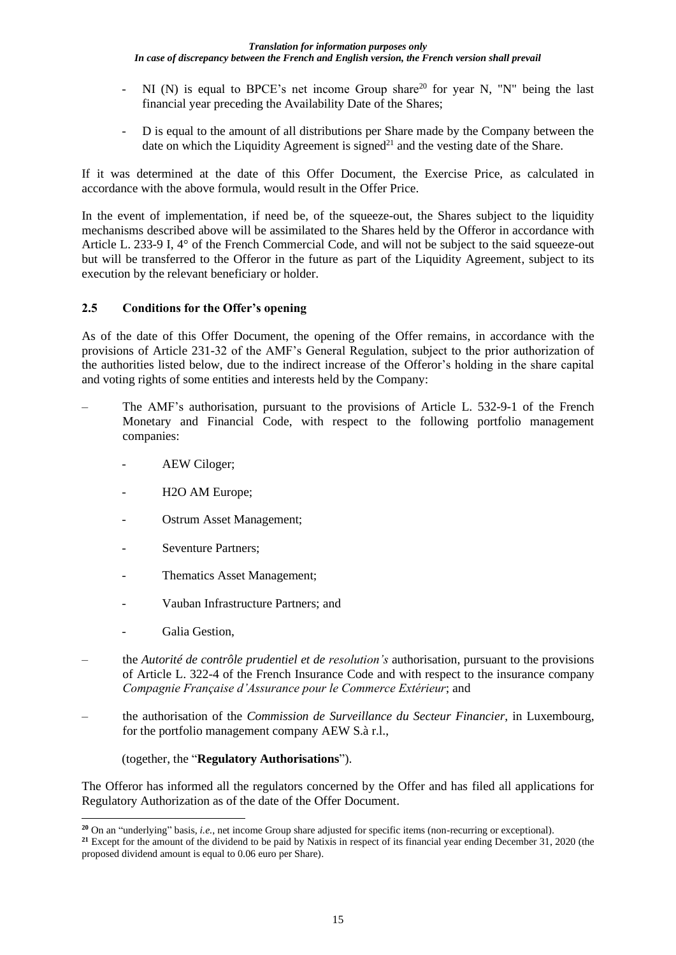- NI (N) is equal to BPCE's net income Group share<sup>20</sup> for year N, "N" being the last financial year preceding the Availability Date of the Shares;
- D is equal to the amount of all distributions per Share made by the Company between the date on which the Liquidity Agreement is signed<sup>21</sup> and the vesting date of the Share.

If it was determined at the date of this Offer Document, the Exercise Price, as calculated in accordance with the above formula, would result in the Offer Price.

In the event of implementation, if need be, of the squeeze-out, the Shares subject to the liquidity mechanisms described above will be assimilated to the Shares held by the Offeror in accordance with Article L. 233-9 I, 4° of the French Commercial Code, and will not be subject to the said squeeze-out but will be transferred to the Offeror in the future as part of the Liquidity Agreement, subject to its execution by the relevant beneficiary or holder.

## **2.5 Conditions for the Offer's opening**

As of the date of this Offer Document, the opening of the Offer remains, in accordance with the provisions of Article 231-32 of the AMF's General Regulation, subject to the prior authorization of the authorities listed below, due to the indirect increase of the Offeror's holding in the share capital and voting rights of some entities and interests held by the Company:

- ‒ The AMF's authorisation, pursuant to the provisions of Article L. 532-9-1 of the French Monetary and Financial Code, with respect to the following portfolio management companies:
	- AEW Ciloger;
	- H<sub>2</sub>O AM Europe:
	- Ostrum Asset Management;
	- Seventure Partners;
	- Thematics Asset Management;
	- Vauban Infrastructure Partners: and
	- Galia Gestion,
- ‒ the *Autorité de contrôle prudentiel et de resolution's* authorisation, pursuant to the provisions of Article L. 322-4 of the French Insurance Code and with respect to the insurance company *Compagnie Française d'Assurance pour le Commerce Extérieur*; and
- ‒ the authorisation of the *Commission de Surveillance du Secteur Financier*, in Luxembourg, for the portfolio management company AEW S.à r.l.,

(together, the "**Regulatory Authorisations**").

The Offeror has informed all the regulators concerned by the Offer and has filed all applications for Regulatory Authorization as of the date of the Offer Document.

**<sup>20</sup>** On an "underlying" basis, *i.e.*, net income Group share adjusted for specific items (non-recurring or exceptional).

**<sup>21</sup>** Except for the amount of the dividend to be paid by Natixis in respect of its financial year ending December 31, 2020 (the proposed dividend amount is equal to 0.06 euro per Share).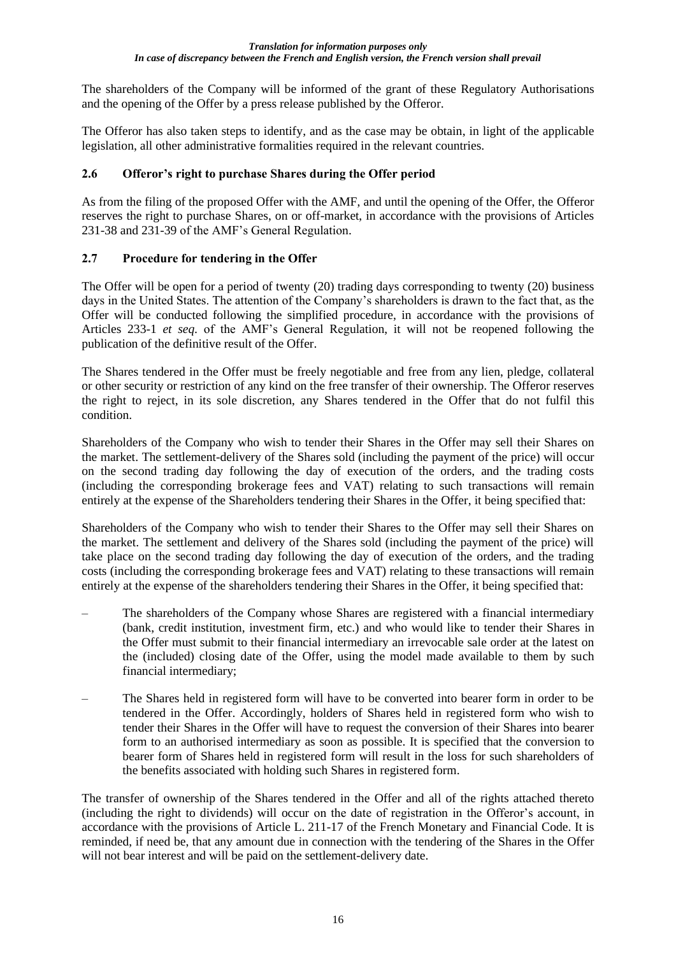The shareholders of the Company will be informed of the grant of these Regulatory Authorisations and the opening of the Offer by a press release published by the Offeror.

The Offeror has also taken steps to identify, and as the case may be obtain, in light of the applicable legislation, all other administrative formalities required in the relevant countries.

## **2.6 Offeror's right to purchase Shares during the Offer period**

As from the filing of the proposed Offer with the AMF, and until the opening of the Offer, the Offeror reserves the right to purchase Shares, on or off-market, in accordance with the provisions of Articles 231-38 and 231-39 of the AMF's General Regulation.

### **2.7 Procedure for tendering in the Offer**

The Offer will be open for a period of twenty (20) trading days corresponding to twenty (20) business days in the United States. The attention of the Company's shareholders is drawn to the fact that, as the Offer will be conducted following the simplified procedure, in accordance with the provisions of Articles 233-1 *et seq.* of the AMF's General Regulation, it will not be reopened following the publication of the definitive result of the Offer.

The Shares tendered in the Offer must be freely negotiable and free from any lien, pledge, collateral or other security or restriction of any kind on the free transfer of their ownership. The Offeror reserves the right to reject, in its sole discretion, any Shares tendered in the Offer that do not fulfil this condition.

Shareholders of the Company who wish to tender their Shares in the Offer may sell their Shares on the market. The settlement-delivery of the Shares sold (including the payment of the price) will occur on the second trading day following the day of execution of the orders, and the trading costs (including the corresponding brokerage fees and VAT) relating to such transactions will remain entirely at the expense of the Shareholders tendering their Shares in the Offer, it being specified that:

Shareholders of the Company who wish to tender their Shares to the Offer may sell their Shares on the market. The settlement and delivery of the Shares sold (including the payment of the price) will take place on the second trading day following the day of execution of the orders, and the trading costs (including the corresponding brokerage fees and VAT) relating to these transactions will remain entirely at the expense of the shareholders tendering their Shares in the Offer, it being specified that:

- ‒ The shareholders of the Company whose Shares are registered with a financial intermediary (bank, credit institution, investment firm, etc.) and who would like to tender their Shares in the Offer must submit to their financial intermediary an irrevocable sale order at the latest on the (included) closing date of the Offer, using the model made available to them by such financial intermediary;
- ‒ The Shares held in registered form will have to be converted into bearer form in order to be tendered in the Offer. Accordingly, holders of Shares held in registered form who wish to tender their Shares in the Offer will have to request the conversion of their Shares into bearer form to an authorised intermediary as soon as possible. It is specified that the conversion to bearer form of Shares held in registered form will result in the loss for such shareholders of the benefits associated with holding such Shares in registered form.

The transfer of ownership of the Shares tendered in the Offer and all of the rights attached thereto (including the right to dividends) will occur on the date of registration in the Offeror's account, in accordance with the provisions of Article L. 211-17 of the French Monetary and Financial Code. It is reminded, if need be, that any amount due in connection with the tendering of the Shares in the Offer will not bear interest and will be paid on the settlement-delivery date.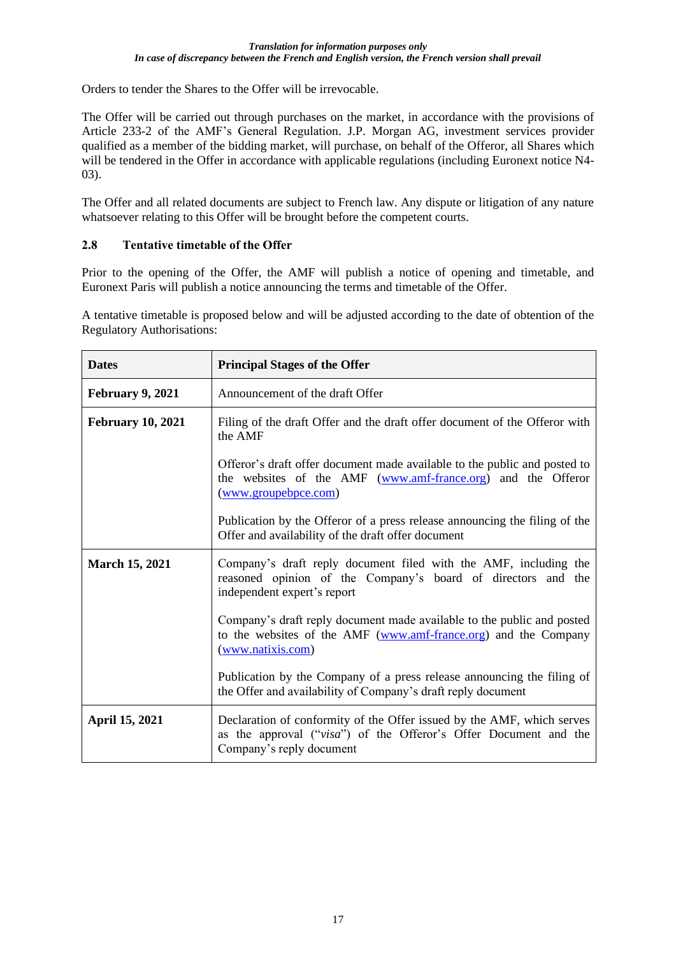Orders to tender the Shares to the Offer will be irrevocable.

The Offer will be carried out through purchases on the market, in accordance with the provisions of Article 233-2 of the AMF's General Regulation. J.P. Morgan AG, investment services provider qualified as a member of the bidding market, will purchase, on behalf of the Offeror, all Shares which will be tendered in the Offer in accordance with applicable regulations (including Euronext notice N4-03).

The Offer and all related documents are subject to French law. Any dispute or litigation of any nature whatsoever relating to this Offer will be brought before the competent courts.

## **2.8 Tentative timetable of the Offer**

Prior to the opening of the Offer, the AMF will publish a notice of opening and timetable, and Euronext Paris will publish a notice announcing the terms and timetable of the Offer.

A tentative timetable is proposed below and will be adjusted according to the date of obtention of the Regulatory Authorisations:

| <b>Dates</b>             | <b>Principal Stages of the Offer</b>                                                                                                                                   |  |  |  |  |
|--------------------------|------------------------------------------------------------------------------------------------------------------------------------------------------------------------|--|--|--|--|
| February 9, 2021         | Announcement of the draft Offer                                                                                                                                        |  |  |  |  |
| <b>February 10, 2021</b> | Filing of the draft Offer and the draft offer document of the Offeror with<br>the AMF                                                                                  |  |  |  |  |
|                          | Offeror's draft offer document made available to the public and posted to<br>the websites of the AMF (www.amf-france.org) and the Offeror<br>(www.groupebpce.com)      |  |  |  |  |
|                          | Publication by the Offeror of a press release announcing the filing of the<br>Offer and availability of the draft offer document                                       |  |  |  |  |
| <b>March 15, 2021</b>    | Company's draft reply document filed with the AMF, including the<br>reasoned opinion of the Company's board of directors and the<br>independent expert's report        |  |  |  |  |
|                          | Company's draft reply document made available to the public and posted<br>to the websites of the AMF (www.amf-france.org) and the Company<br>(www.natixis.com)         |  |  |  |  |
|                          | Publication by the Company of a press release announcing the filing of<br>the Offer and availability of Company's draft reply document                                 |  |  |  |  |
| April 15, 2021           | Declaration of conformity of the Offer issued by the AMF, which serves<br>as the approval ("visa") of the Offeror's Offer Document and the<br>Company's reply document |  |  |  |  |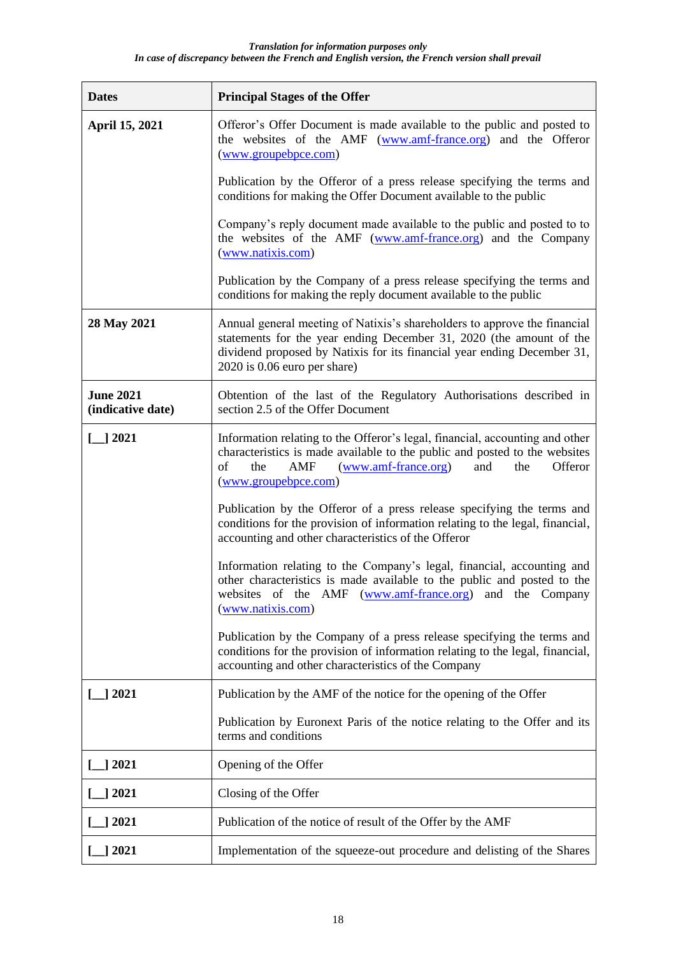| <b>Dates</b>                          | <b>Principal Stages of the Offer</b>                                                                                                                                                                                                                          |
|---------------------------------------|---------------------------------------------------------------------------------------------------------------------------------------------------------------------------------------------------------------------------------------------------------------|
| April 15, 2021                        | Offeror's Offer Document is made available to the public and posted to<br>the websites of the AMF (www.amf-france.org) and the Offeror<br>(www.groupebpce.com)                                                                                                |
|                                       | Publication by the Offeror of a press release specifying the terms and<br>conditions for making the Offer Document available to the public                                                                                                                    |
|                                       | Company's reply document made available to the public and posted to to<br>the websites of the AMF (www.amf-france.org) and the Company<br>(www.natixis.com)                                                                                                   |
|                                       | Publication by the Company of a press release specifying the terms and<br>conditions for making the reply document available to the public                                                                                                                    |
| 28 May 2021                           | Annual general meeting of Natixis's shareholders to approve the financial<br>statements for the year ending December 31, 2020 (the amount of the<br>dividend proposed by Natixis for its financial year ending December 31,<br>$2020$ is 0.06 euro per share) |
| <b>June 2021</b><br>(indicative date) | Obtention of the last of the Regulatory Authorisations described in<br>section 2.5 of the Offer Document                                                                                                                                                      |
| $\Box$ 2021                           | Information relating to the Offeror's legal, financial, accounting and other<br>characteristics is made available to the public and posted to the websites<br>of<br>(www.amf-france.org)<br>Offeror<br>the<br>AMF<br>the<br>and<br>(www.groupebpce.com)       |
|                                       | Publication by the Offeror of a press release specifying the terms and<br>conditions for the provision of information relating to the legal, financial,<br>accounting and other characteristics of the Offeror                                                |
|                                       | Information relating to the Company's legal, financial, accounting and<br>other characteristics is made available to the public and posted to the<br>websites of the AMF<br>(www.amf-france.org) and the<br>Company<br>(www.natixis.com)                      |
|                                       | Publication by the Company of a press release specifying the terms and<br>conditions for the provision of information relating to the legal, financial,<br>accounting and other characteristics of the Company                                                |
| $\Box$ 2021                           | Publication by the AMF of the notice for the opening of the Offer                                                                                                                                                                                             |
|                                       | Publication by Euronext Paris of the notice relating to the Offer and its<br>terms and conditions                                                                                                                                                             |
| ] 2021                                | Opening of the Offer                                                                                                                                                                                                                                          |
| 2021                                  | Closing of the Offer                                                                                                                                                                                                                                          |
| 2021                                  | Publication of the notice of result of the Offer by the AMF                                                                                                                                                                                                   |
| _] 2021                               | Implementation of the squeeze-out procedure and delisting of the Shares                                                                                                                                                                                       |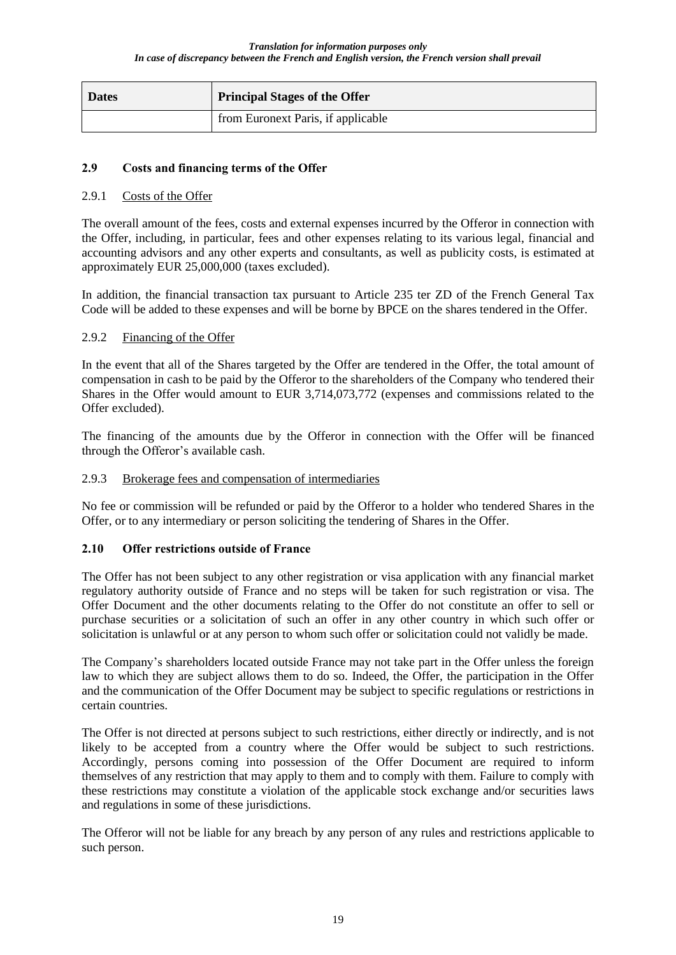| <b>Dates</b> | <b>Principal Stages of the Offer</b> |
|--------------|--------------------------------------|
|              | from Euronext Paris, if applicable   |

## **2.9 Costs and financing terms of the Offer**

### 2.9.1 Costs of the Offer

The overall amount of the fees, costs and external expenses incurred by the Offeror in connection with the Offer, including, in particular, fees and other expenses relating to its various legal, financial and accounting advisors and any other experts and consultants, as well as publicity costs, is estimated at approximately EUR 25,000,000 (taxes excluded).

In addition, the financial transaction tax pursuant to Article 235 ter ZD of the French General Tax Code will be added to these expenses and will be borne by BPCE on the shares tendered in the Offer.

### 2.9.2 Financing of the Offer

In the event that all of the Shares targeted by the Offer are tendered in the Offer, the total amount of compensation in cash to be paid by the Offeror to the shareholders of the Company who tendered their Shares in the Offer would amount to EUR 3,714,073,772 (expenses and commissions related to the Offer excluded).

The financing of the amounts due by the Offeror in connection with the Offer will be financed through the Offeror's available cash.

### 2.9.3 Brokerage fees and compensation of intermediaries

No fee or commission will be refunded or paid by the Offeror to a holder who tendered Shares in the Offer, or to any intermediary or person soliciting the tendering of Shares in the Offer.

## **2.10 Offer restrictions outside of France**

The Offer has not been subject to any other registration or visa application with any financial market regulatory authority outside of France and no steps will be taken for such registration or visa. The Offer Document and the other documents relating to the Offer do not constitute an offer to sell or purchase securities or a solicitation of such an offer in any other country in which such offer or solicitation is unlawful or at any person to whom such offer or solicitation could not validly be made.

The Company's shareholders located outside France may not take part in the Offer unless the foreign law to which they are subject allows them to do so. Indeed, the Offer, the participation in the Offer and the communication of the Offer Document may be subject to specific regulations or restrictions in certain countries.

The Offer is not directed at persons subject to such restrictions, either directly or indirectly, and is not likely to be accepted from a country where the Offer would be subject to such restrictions. Accordingly, persons coming into possession of the Offer Document are required to inform themselves of any restriction that may apply to them and to comply with them. Failure to comply with these restrictions may constitute a violation of the applicable stock exchange and/or securities laws and regulations in some of these jurisdictions.

The Offeror will not be liable for any breach by any person of any rules and restrictions applicable to such person.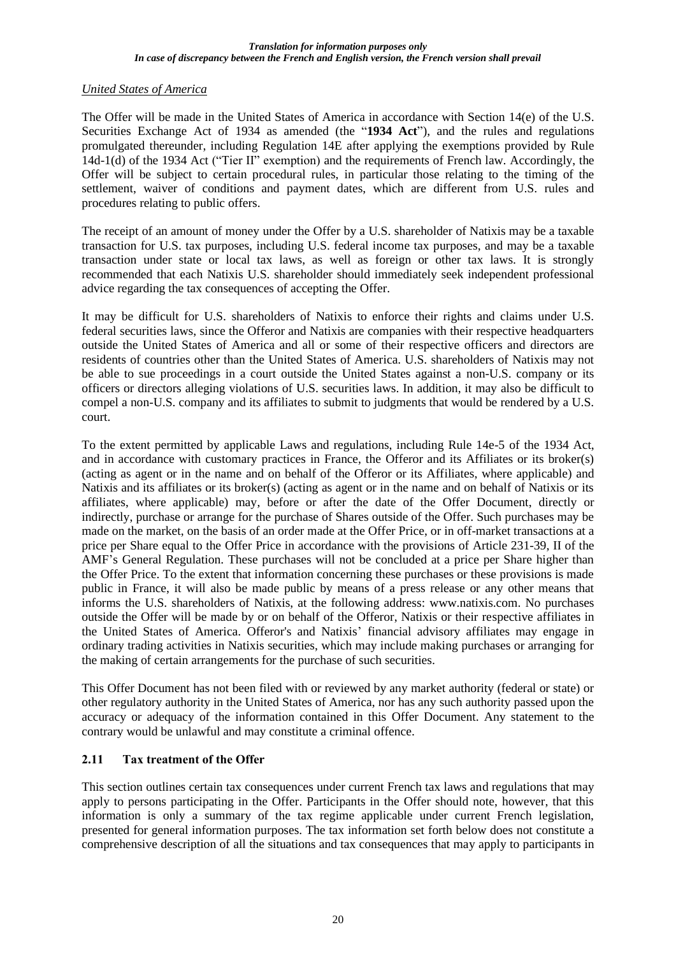### *United States of America*

The Offer will be made in the United States of America in accordance with Section 14(e) of the U.S. Securities Exchange Act of 1934 as amended (the "**1934 Act**"), and the rules and regulations promulgated thereunder, including Regulation 14E after applying the exemptions provided by Rule 14d-1(d) of the 1934 Act ("Tier II" exemption) and the requirements of French law. Accordingly, the Offer will be subject to certain procedural rules, in particular those relating to the timing of the settlement, waiver of conditions and payment dates, which are different from U.S. rules and procedures relating to public offers.

The receipt of an amount of money under the Offer by a U.S. shareholder of Natixis may be a taxable transaction for U.S. tax purposes, including U.S. federal income tax purposes, and may be a taxable transaction under state or local tax laws, as well as foreign or other tax laws. It is strongly recommended that each Natixis U.S. shareholder should immediately seek independent professional advice regarding the tax consequences of accepting the Offer.

It may be difficult for U.S. shareholders of Natixis to enforce their rights and claims under U.S. federal securities laws, since the Offeror and Natixis are companies with their respective headquarters outside the United States of America and all or some of their respective officers and directors are residents of countries other than the United States of America. U.S. shareholders of Natixis may not be able to sue proceedings in a court outside the United States against a non-U.S. company or its officers or directors alleging violations of U.S. securities laws. In addition, it may also be difficult to compel a non-U.S. company and its affiliates to submit to judgments that would be rendered by a U.S. court.

To the extent permitted by applicable Laws and regulations, including Rule 14e-5 of the 1934 Act, and in accordance with customary practices in France, the Offeror and its Affiliates or its broker(s) (acting as agent or in the name and on behalf of the Offeror or its Affiliates, where applicable) and Natixis and its affiliates or its broker(s) (acting as agent or in the name and on behalf of Natixis or its affiliates, where applicable) may, before or after the date of the Offer Document, directly or indirectly, purchase or arrange for the purchase of Shares outside of the Offer. Such purchases may be made on the market, on the basis of an order made at the Offer Price, or in off-market transactions at a price per Share equal to the Offer Price in accordance with the provisions of Article 231-39, II of the AMF's General Regulation. These purchases will not be concluded at a price per Share higher than the Offer Price. To the extent that information concerning these purchases or these provisions is made public in France, it will also be made public by means of a press release or any other means that informs the U.S. shareholders of Natixis, at the following address: www.natixis.com. No purchases outside the Offer will be made by or on behalf of the Offeror, Natixis or their respective affiliates in the United States of America. Offeror's and Natixis' financial advisory affiliates may engage in ordinary trading activities in Natixis securities, which may include making purchases or arranging for the making of certain arrangements for the purchase of such securities.

This Offer Document has not been filed with or reviewed by any market authority (federal or state) or other regulatory authority in the United States of America, nor has any such authority passed upon the accuracy or adequacy of the information contained in this Offer Document. Any statement to the contrary would be unlawful and may constitute a criminal offence.

## **2.11 Tax treatment of the Offer**

This section outlines certain tax consequences under current French tax laws and regulations that may apply to persons participating in the Offer. Participants in the Offer should note, however, that this information is only a summary of the tax regime applicable under current French legislation, presented for general information purposes. The tax information set forth below does not constitute a comprehensive description of all the situations and tax consequences that may apply to participants in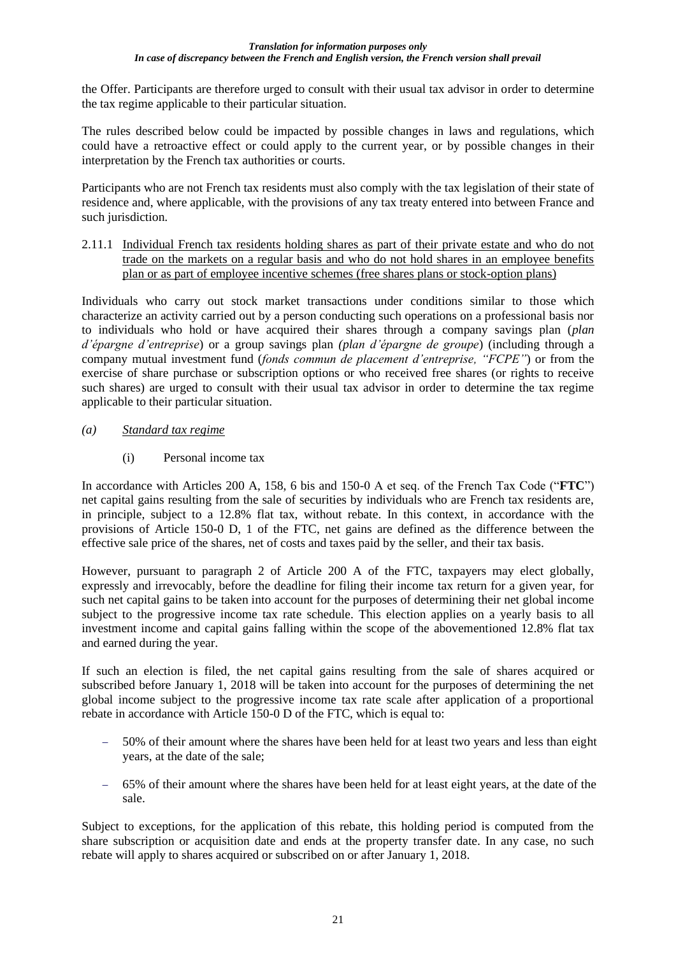the Offer. Participants are therefore urged to consult with their usual tax advisor in order to determine the tax regime applicable to their particular situation.

The rules described below could be impacted by possible changes in laws and regulations, which could have a retroactive effect or could apply to the current year, or by possible changes in their interpretation by the French tax authorities or courts.

Participants who are not French tax residents must also comply with the tax legislation of their state of residence and, where applicable, with the provisions of any tax treaty entered into between France and such jurisdiction.

2.11.1 Individual French tax residents holding shares as part of their private estate and who do not trade on the markets on a regular basis and who do not hold shares in an employee benefits plan or as part of employee incentive schemes (free shares plans or stock-option plans)

Individuals who carry out stock market transactions under conditions similar to those which characterize an activity carried out by a person conducting such operations on a professional basis nor to individuals who hold or have acquired their shares through a company savings plan (*plan d'épargne d'entreprise*) or a group savings plan *(plan d'épargne de groupe*) (including through a company mutual investment fund (*fonds commun de placement d'entreprise, "FCPE"*) or from the exercise of share purchase or subscription options or who received free shares (or rights to receive such shares) are urged to consult with their usual tax advisor in order to determine the tax regime applicable to their particular situation.

## *(a) Standard tax regime*

(i) Personal income tax

In accordance with Articles 200 A, 158, 6 bis and 150-0 A et seq. of the French Tax Code ("**FTC**") net capital gains resulting from the sale of securities by individuals who are French tax residents are, in principle, subject to a 12.8% flat tax, without rebate. In this context, in accordance with the provisions of Article 150-0 D, 1 of the FTC, net gains are defined as the difference between the effective sale price of the shares, net of costs and taxes paid by the seller, and their tax basis.

However, pursuant to paragraph 2 of Article 200 A of the FTC, taxpayers may elect globally, expressly and irrevocably, before the deadline for filing their income tax return for a given year, for such net capital gains to be taken into account for the purposes of determining their net global income subject to the progressive income tax rate schedule. This election applies on a yearly basis to all investment income and capital gains falling within the scope of the abovementioned 12.8% flat tax and earned during the year.

If such an election is filed, the net capital gains resulting from the sale of shares acquired or subscribed before January 1, 2018 will be taken into account for the purposes of determining the net global income subject to the progressive income tax rate scale after application of a proportional rebate in accordance with Article 150-0 D of the FTC, which is equal to:

- − 50% of their amount where the shares have been held for at least two years and less than eight years, at the date of the sale;
- − 65% of their amount where the shares have been held for at least eight years, at the date of the sale.

Subject to exceptions, for the application of this rebate, this holding period is computed from the share subscription or acquisition date and ends at the property transfer date. In any case, no such rebate will apply to shares acquired or subscribed on or after January 1, 2018.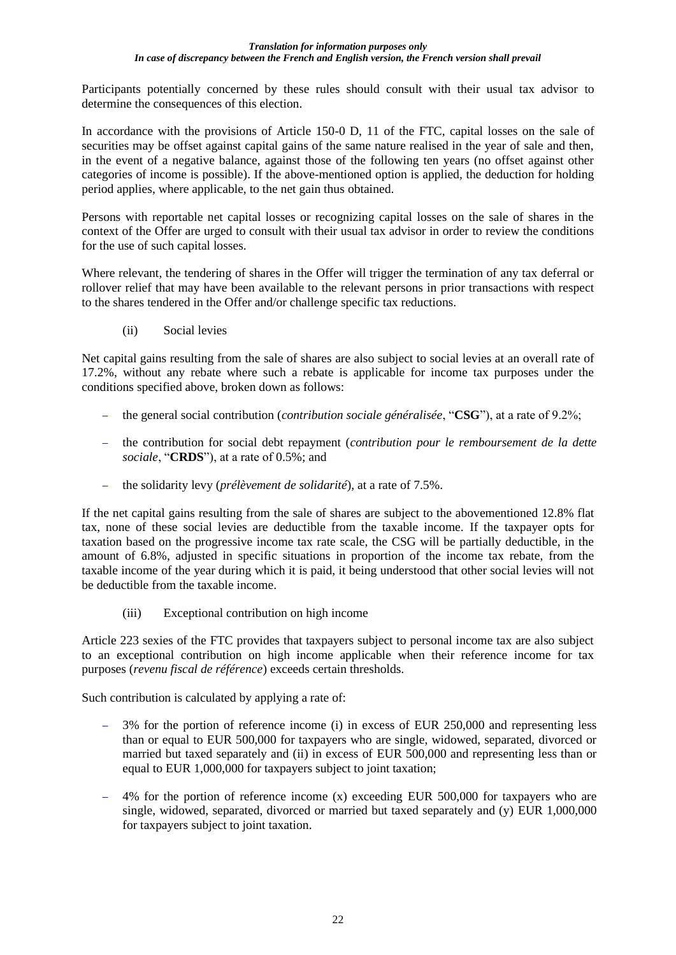Participants potentially concerned by these rules should consult with their usual tax advisor to determine the consequences of this election.

In accordance with the provisions of Article 150-0 D, 11 of the FTC, capital losses on the sale of securities may be offset against capital gains of the same nature realised in the year of sale and then, in the event of a negative balance, against those of the following ten years (no offset against other categories of income is possible). If the above-mentioned option is applied, the deduction for holding period applies, where applicable, to the net gain thus obtained.

Persons with reportable net capital losses or recognizing capital losses on the sale of shares in the context of the Offer are urged to consult with their usual tax advisor in order to review the conditions for the use of such capital losses.

Where relevant, the tendering of shares in the Offer will trigger the termination of any tax deferral or rollover relief that may have been available to the relevant persons in prior transactions with respect to the shares tendered in the Offer and/or challenge specific tax reductions.

(ii) Social levies

Net capital gains resulting from the sale of shares are also subject to social levies at an overall rate of 17.2%, without any rebate where such a rebate is applicable for income tax purposes under the conditions specified above, broken down as follows:

- − the general social contribution (*contribution sociale généralisée*, "**CSG**"), at a rate of 9.2%;
- − the contribution for social debt repayment (*contribution pour le remboursement de la dette sociale*, "**CRDS**"), at a rate of 0.5%; and
- − the solidarity levy (*prélèvement de solidarité*), at a rate of 7.5%.

If the net capital gains resulting from the sale of shares are subject to the abovementioned 12.8% flat tax, none of these social levies are deductible from the taxable income. If the taxpayer opts for taxation based on the progressive income tax rate scale, the CSG will be partially deductible, in the amount of 6.8%, adjusted in specific situations in proportion of the income tax rebate, from the taxable income of the year during which it is paid, it being understood that other social levies will not be deductible from the taxable income.

(iii) Exceptional contribution on high income

Article 223 sexies of the FTC provides that taxpayers subject to personal income tax are also subject to an exceptional contribution on high income applicable when their reference income for tax purposes (*revenu fiscal de référence*) exceeds certain thresholds.

Such contribution is calculated by applying a rate of:

- − 3% for the portion of reference income (i) in excess of EUR 250,000 and representing less than or equal to EUR 500,000 for taxpayers who are single, widowed, separated, divorced or married but taxed separately and (ii) in excess of EUR 500,000 and representing less than or equal to EUR 1,000,000 for taxpayers subject to joint taxation;
- − 4% for the portion of reference income (x) exceeding EUR 500,000 for taxpayers who are single, widowed, separated, divorced or married but taxed separately and (y) EUR 1,000,000 for taxpayers subject to joint taxation.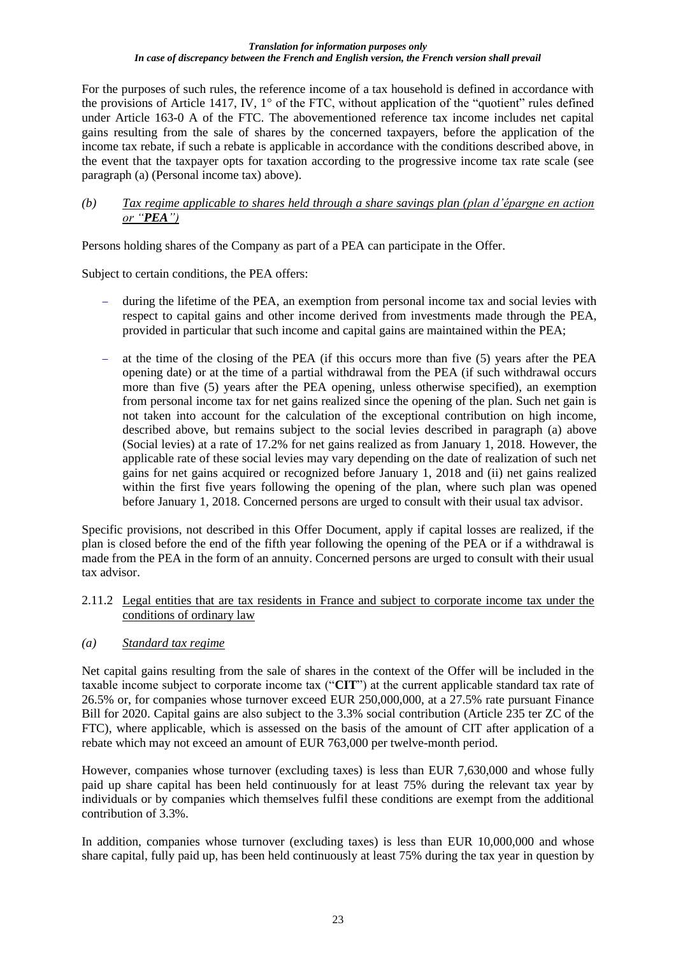For the purposes of such rules, the reference income of a tax household is defined in accordance with the provisions of Article 1417, IV, 1° of the FTC, without application of the "quotient" rules defined under Article 163-0 A of the FTC. The abovementioned reference tax income includes net capital gains resulting from the sale of shares by the concerned taxpayers, before the application of the income tax rebate, if such a rebate is applicable in accordance with the conditions described above, in the event that the taxpayer opts for taxation according to the progressive income tax rate scale (see paragraph (a) (Personal income tax) above).

### *(b) Tax regime applicable to shares held through a share savings plan (plan d'épargne en action or "PEA")*

Persons holding shares of the Company as part of a PEA can participate in the Offer.

Subject to certain conditions, the PEA offers:

- during the lifetime of the PEA, an exemption from personal income tax and social levies with respect to capital gains and other income derived from investments made through the PEA, provided in particular that such income and capital gains are maintained within the PEA;
- at the time of the closing of the PEA (if this occurs more than five (5) years after the PEA opening date) or at the time of a partial withdrawal from the PEA (if such withdrawal occurs more than five (5) years after the PEA opening, unless otherwise specified), an exemption from personal income tax for net gains realized since the opening of the plan. Such net gain is not taken into account for the calculation of the exceptional contribution on high income, described above, but remains subject to the social levies described in paragraph (a) above (Social levies) at a rate of 17.2% for net gains realized as from January 1, 2018. However, the applicable rate of these social levies may vary depending on the date of realization of such net gains for net gains acquired or recognized before January 1, 2018 and (ii) net gains realized within the first five years following the opening of the plan, where such plan was opened before January 1, 2018. Concerned persons are urged to consult with their usual tax advisor.

Specific provisions, not described in this Offer Document, apply if capital losses are realized, if the plan is closed before the end of the fifth year following the opening of the PEA or if a withdrawal is made from the PEA in the form of an annuity. Concerned persons are urged to consult with their usual tax advisor.

- 2.11.2 Legal entities that are tax residents in France and subject to corporate income tax under the conditions of ordinary law
- *(a) Standard tax regime*

Net capital gains resulting from the sale of shares in the context of the Offer will be included in the taxable income subject to corporate income tax ("**CIT**") at the current applicable standard tax rate of 26.5% or, for companies whose turnover exceed EUR 250,000,000, at a 27.5% rate pursuant Finance Bill for 2020. Capital gains are also subject to the 3.3% social contribution (Article 235 ter ZC of the FTC), where applicable, which is assessed on the basis of the amount of CIT after application of a rebate which may not exceed an amount of EUR 763,000 per twelve-month period.

However, companies whose turnover (excluding taxes) is less than EUR 7,630,000 and whose fully paid up share capital has been held continuously for at least 75% during the relevant tax year by individuals or by companies which themselves fulfil these conditions are exempt from the additional contribution of 3.3%.

In addition, companies whose turnover (excluding taxes) is less than EUR 10,000,000 and whose share capital, fully paid up, has been held continuously at least 75% during the tax year in question by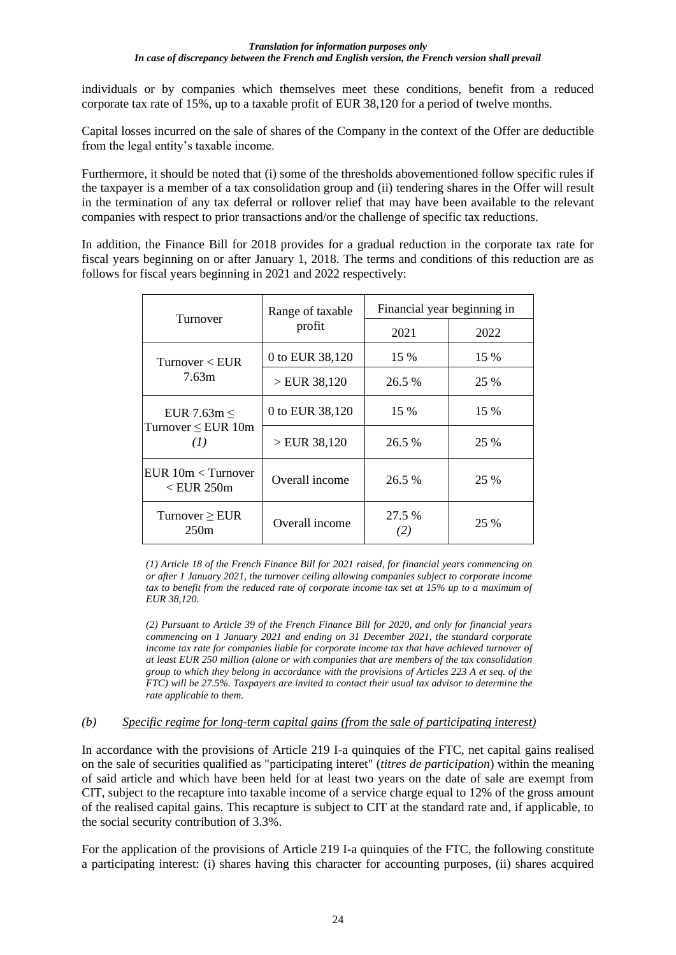individuals or by companies which themselves meet these conditions, benefit from a reduced corporate tax rate of 15%, up to a taxable profit of EUR 38,120 for a period of twelve months.

Capital losses incurred on the sale of shares of the Company in the context of the Offer are deductible from the legal entity's taxable income.

Furthermore, it should be noted that (i) some of the thresholds abovementioned follow specific rules if the taxpayer is a member of a tax consolidation group and (ii) tendering shares in the Offer will result in the termination of any tax deferral or rollover relief that may have been available to the relevant companies with respect to prior transactions and/or the challenge of specific tax reductions.

In addition, the Finance Bill for 2018 provides for a gradual reduction in the corporate tax rate for fiscal years beginning on or after January 1, 2018. The terms and conditions of this reduction are as follows for fiscal years beginning in 2021 and 2022 respectively:

| Turnover                           | Range of taxable | Financial year beginning in |      |  |  |
|------------------------------------|------------------|-----------------------------|------|--|--|
|                                    | profit           | 2021                        | 2022 |  |  |
| Turnover $\lt$ EUR                 | 0 to EUR 38,120  | 15 %                        | 15 % |  |  |
| 7.63m                              | >EUR 38,120      | 26.5 %                      | 25 % |  |  |
| EUR 7.63m $\leq$                   | 0 to EUR 38,120  | 15 %                        | 15 % |  |  |
| Turnover $\leq$ EUR 10m<br>(1)     | >EUR 38,120      | 26.5 %                      | 25 % |  |  |
| EUR 10m < Turnover<br>$<$ EUR 250m | Overall income   | 26.5 %                      | 25 % |  |  |
| Turnover $\geq$ EUR<br>250m        | Overall income   | 27.5 %<br>(2)               | 25 % |  |  |

*(1) Article 18 of the French Finance Bill for 2021 raised, for financial years commencing on or after 1 January 2021, the turnover ceiling allowing companies subject to corporate income tax to benefit from the reduced rate of corporate income tax set at 15% up to a maximum of EUR 38,120.*

*(2) Pursuant to Article 39 of the French Finance Bill for 2020, and only for financial years commencing on 1 January 2021 and ending on 31 December 2021, the standard corporate income tax rate for companies liable for corporate income tax that have achieved turnover of at least EUR 250 million (alone or with companies that are members of the tax consolidation group to which they belong in accordance with the provisions of Articles 223 A et seq. of the FTC) will be 27.5%. Taxpayers are invited to contact their usual tax advisor to determine the rate applicable to them.*

### *(b) Specific regime for long-term capital gains (from the sale of participating interest)*

In accordance with the provisions of Article 219 I-a quinquies of the FTC, net capital gains realised on the sale of securities qualified as "participating interet" (*titres de participation*) within the meaning of said article and which have been held for at least two years on the date of sale are exempt from CIT, subject to the recapture into taxable income of a service charge equal to 12% of the gross amount of the realised capital gains. This recapture is subject to CIT at the standard rate and, if applicable, to the social security contribution of 3.3%.

For the application of the provisions of Article 219 I-a quinquies of the FTC, the following constitute a participating interest: (i) shares having this character for accounting purposes, (ii) shares acquired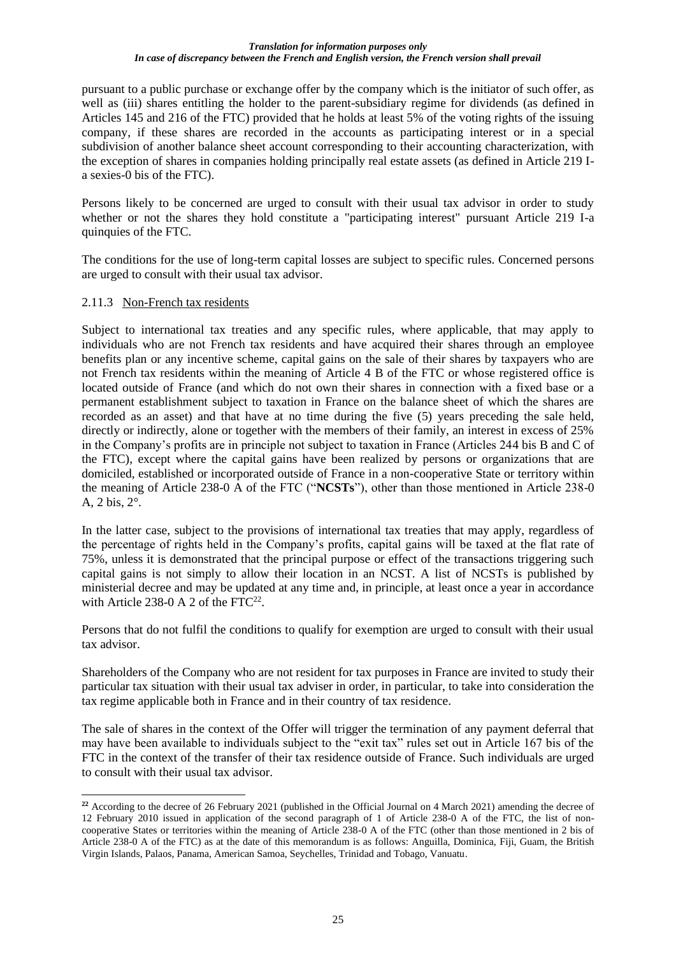pursuant to a public purchase or exchange offer by the company which is the initiator of such offer, as well as (iii) shares entitling the holder to the parent-subsidiary regime for dividends (as defined in Articles 145 and 216 of the FTC) provided that he holds at least 5% of the voting rights of the issuing company, if these shares are recorded in the accounts as participating interest or in a special subdivision of another balance sheet account corresponding to their accounting characterization, with the exception of shares in companies holding principally real estate assets (as defined in Article 219 Ia sexies-0 bis of the FTC).

Persons likely to be concerned are urged to consult with their usual tax advisor in order to study whether or not the shares they hold constitute a "participating interest" pursuant Article 219 I-a quinquies of the FTC.

The conditions for the use of long-term capital losses are subject to specific rules. Concerned persons are urged to consult with their usual tax advisor.

### 2.11.3 Non-French tax residents

Subject to international tax treaties and any specific rules, where applicable, that may apply to individuals who are not French tax residents and have acquired their shares through an employee benefits plan or any incentive scheme, capital gains on the sale of their shares by taxpayers who are not French tax residents within the meaning of Article 4 B of the FTC or whose registered office is located outside of France (and which do not own their shares in connection with a fixed base or a permanent establishment subject to taxation in France on the balance sheet of which the shares are recorded as an asset) and that have at no time during the five (5) years preceding the sale held, directly or indirectly, alone or together with the members of their family, an interest in excess of 25% in the Company's profits are in principle not subject to taxation in France (Articles 244 bis B and C of the FTC), except where the capital gains have been realized by persons or organizations that are domiciled, established or incorporated outside of France in a non-cooperative State or territory within the meaning of Article 238-0 A of the FTC ("**NCSTs**"), other than those mentioned in Article 238-0 A, 2 bis, 2°.

In the latter case, subject to the provisions of international tax treaties that may apply, regardless of the percentage of rights held in the Company's profits, capital gains will be taxed at the flat rate of 75%, unless it is demonstrated that the principal purpose or effect of the transactions triggering such capital gains is not simply to allow their location in an NCST. A list of NCSTs is published by ministerial decree and may be updated at any time and, in principle, at least once a year in accordance with Article 238-0 A 2 of the FTC $^{22}$ .

Persons that do not fulfil the conditions to qualify for exemption are urged to consult with their usual tax advisor.

Shareholders of the Company who are not resident for tax purposes in France are invited to study their particular tax situation with their usual tax adviser in order, in particular, to take into consideration the tax regime applicable both in France and in their country of tax residence.

The sale of shares in the context of the Offer will trigger the termination of any payment deferral that may have been available to individuals subject to the "exit tax" rules set out in Article 167 bis of the FTC in the context of the transfer of their tax residence outside of France. Such individuals are urged to consult with their usual tax advisor.

**<sup>22</sup>** According to the decree of 26 February 2021 (published in the Official Journal on 4 March 2021) amending the decree of 12 February 2010 issued in application of the second paragraph of 1 of Article 238-0 A of the FTC, the list of noncooperative States or territories within the meaning of Article 238-0 A of the FTC (other than those mentioned in 2 bis of Article 238-0 A of the FTC) as at the date of this memorandum is as follows: Anguilla, Dominica, Fiji, Guam, the British Virgin Islands, Palaos, Panama, American Samoa, Seychelles, Trinidad and Tobago, Vanuatu.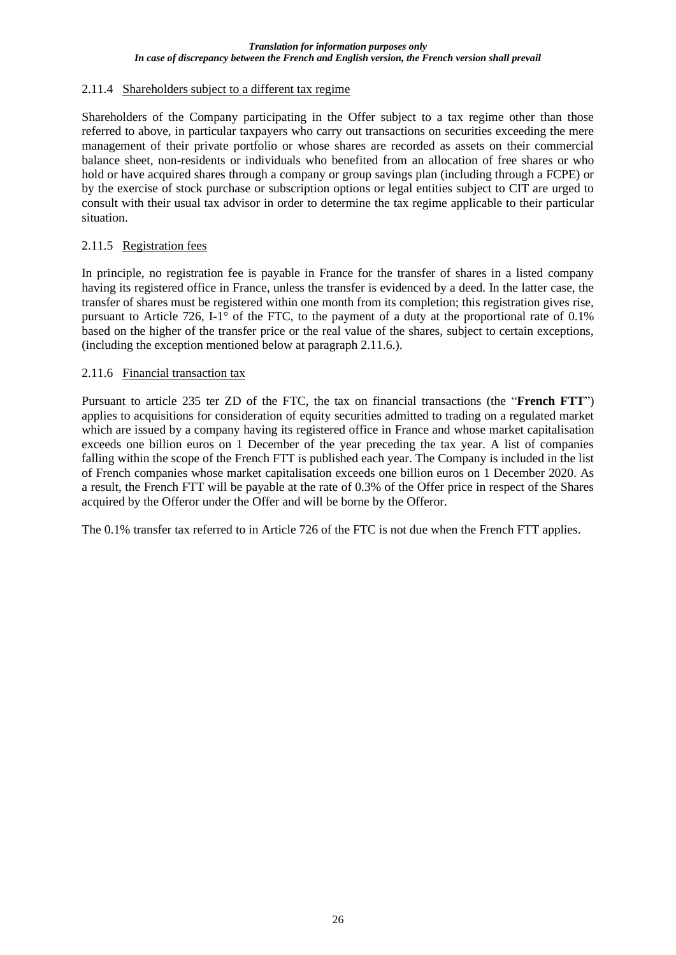## 2.11.4 Shareholders subject to a different tax regime

Shareholders of the Company participating in the Offer subject to a tax regime other than those referred to above, in particular taxpayers who carry out transactions on securities exceeding the mere management of their private portfolio or whose shares are recorded as assets on their commercial balance sheet, non-residents or individuals who benefited from an allocation of free shares or who hold or have acquired shares through a company or group savings plan (including through a FCPE) or by the exercise of stock purchase or subscription options or legal entities subject to CIT are urged to consult with their usual tax advisor in order to determine the tax regime applicable to their particular situation.

## 2.11.5 Registration fees

In principle, no registration fee is payable in France for the transfer of shares in a listed company having its registered office in France, unless the transfer is evidenced by a deed. In the latter case, the transfer of shares must be registered within one month from its completion; this registration gives rise, pursuant to Article 726, I-1° of the FTC, to the payment of a duty at the proportional rate of 0.1% based on the higher of the transfer price or the real value of the shares, subject to certain exceptions, (including the exception mentioned below at paragraph 2.11.6.).

### 2.11.6 Financial transaction tax

Pursuant to article 235 ter ZD of the FTC, the tax on financial transactions (the "**French FTT**") applies to acquisitions for consideration of equity securities admitted to trading on a regulated market which are issued by a company having its registered office in France and whose market capitalisation exceeds one billion euros on 1 December of the year preceding the tax year. A list of companies falling within the scope of the French FTT is published each year. The Company is included in the list of French companies whose market capitalisation exceeds one billion euros on 1 December 2020. As a result, the French FTT will be payable at the rate of 0.3% of the Offer price in respect of the Shares acquired by the Offeror under the Offer and will be borne by the Offeror.

The 0.1% transfer tax referred to in Article 726 of the FTC is not due when the French FTT applies.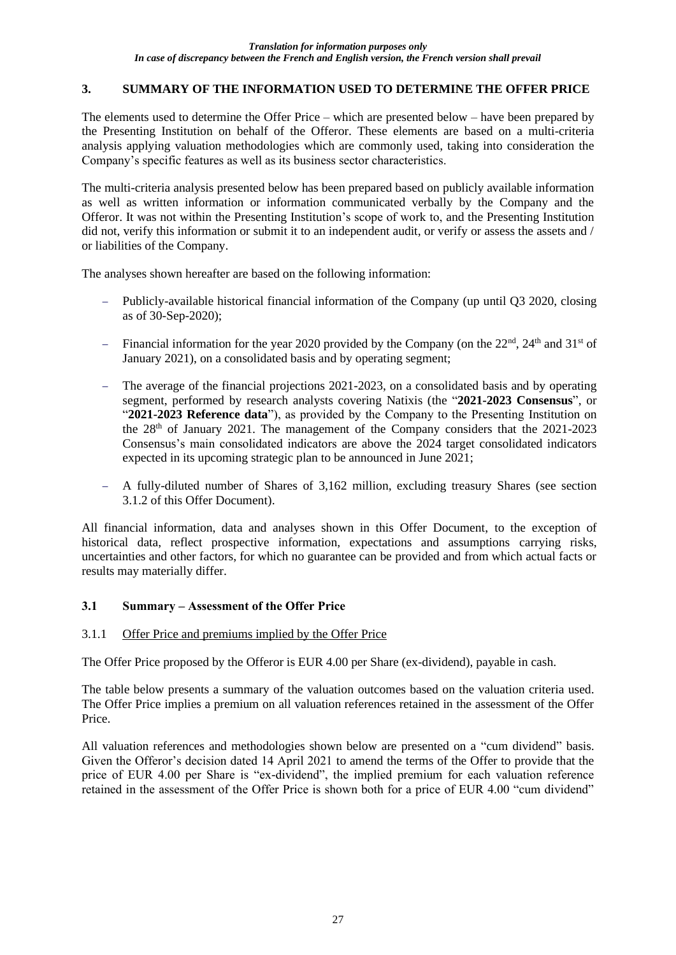## **3. SUMMARY OF THE INFORMATION USED TO DETERMINE THE OFFER PRICE**

The elements used to determine the Offer Price – which are presented below – have been prepared by the Presenting Institution on behalf of the Offeror. These elements are based on a multi-criteria analysis applying valuation methodologies which are commonly used, taking into consideration the Company's specific features as well as its business sector characteristics.

The multi-criteria analysis presented below has been prepared based on publicly available information as well as written information or information communicated verbally by the Company and the Offeror. It was not within the Presenting Institution's scope of work to, and the Presenting Institution did not, verify this information or submit it to an independent audit, or verify or assess the assets and / or liabilities of the Company.

The analyses shown hereafter are based on the following information:

- − Publicly-available historical financial information of the Company (up until Q3 2020, closing as of 30-Sep-2020);
- − Financial information for the year 2020 provided by the Company (on the 22<sup>nd</sup>, 24<sup>th</sup> and 31<sup>st</sup> of January 2021), on a consolidated basis and by operating segment;
- The average of the financial projections 2021-2023, on a consolidated basis and by operating segment, performed by research analysts covering Natixis (the "**2021-2023 Consensus**", or "**2021-2023 Reference data**"), as provided by the Company to the Presenting Institution on the  $28<sup>th</sup>$  of January 2021. The management of the Company considers that the 2021-2023 Consensus's main consolidated indicators are above the 2024 target consolidated indicators expected in its upcoming strategic plan to be announced in June 2021;
- − A fully-diluted number of Shares of 3,162 million, excluding treasury Shares (see section 3.1.2 of this Offer Document).

All financial information, data and analyses shown in this Offer Document, to the exception of historical data, reflect prospective information, expectations and assumptions carrying risks, uncertainties and other factors, for which no guarantee can be provided and from which actual facts or results may materially differ.

## **3.1 Summary – Assessment of the Offer Price**

## 3.1.1 Offer Price and premiums implied by the Offer Price

The Offer Price proposed by the Offeror is EUR 4.00 per Share (ex-dividend), payable in cash.

The table below presents a summary of the valuation outcomes based on the valuation criteria used. The Offer Price implies a premium on all valuation references retained in the assessment of the Offer Price.

All valuation references and methodologies shown below are presented on a "cum dividend" basis. Given the Offeror's decision dated 14 April 2021 to amend the terms of the Offer to provide that the price of EUR 4.00 per Share is "ex-dividend", the implied premium for each valuation reference retained in the assessment of the Offer Price is shown both for a price of EUR 4.00 "cum dividend"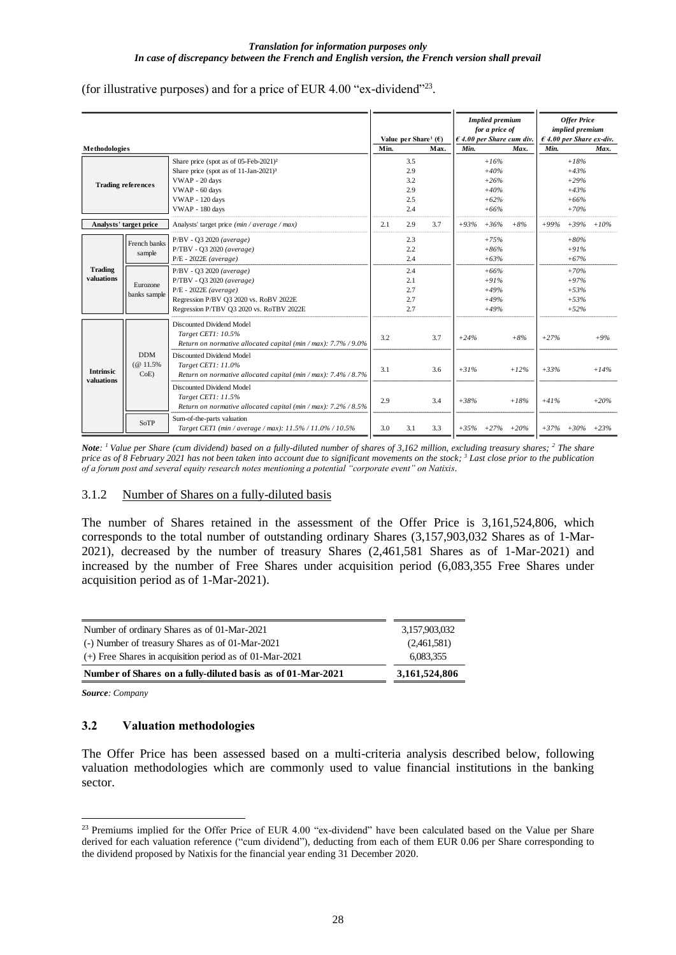(for illustrative purposes) and for a price of EUR 4.00 "ex-dividend"<sup>23</sup> .

|                  |                           |                                                                |      |                                             |      |        |                                          |        |        | <b>Offer Price</b>                |        |
|------------------|---------------------------|----------------------------------------------------------------|------|---------------------------------------------|------|--------|------------------------------------------|--------|--------|-----------------------------------|--------|
|                  |                           |                                                                |      |                                             |      |        | <b>Implied</b> premium<br>for a price of |        |        | implied premium                   |        |
|                  |                           |                                                                |      | Value per Share <sup>1</sup> ( $\epsilon$ ) |      |        | $\epsilon$ 4.00 per Share cum div.       |        |        | $\epsilon$ 4.00 per Share ex-div. |        |
| Methodologies    |                           |                                                                | Min. |                                             | Max. | Min.   |                                          | Max.   | Min.   |                                   | Max.   |
|                  |                           | Share price (spot as of 05-Feb-2021) <sup>2</sup>              |      | 3.5                                         |      |        | $+16%$                                   |        |        | $+18%$                            |        |
|                  |                           | Share price (spot as of 11-Jan-2021) <sup>3</sup>              |      | 2.9                                         |      |        | $+40%$                                   |        |        | $+43%$                            |        |
|                  |                           | VWAP - 20 days                                                 |      | 3.2                                         |      |        | $+26%$                                   |        |        | $+29%$                            |        |
|                  | <b>Trading references</b> | VWAP - 60 days                                                 |      | 2.9                                         |      |        | $+40%$                                   |        |        | $+43%$                            |        |
|                  |                           | VWAP - 120 days                                                |      | 2.5                                         |      |        | $+62%$                                   |        |        | $+66%$                            |        |
|                  |                           | VWAP - 180 days                                                |      | 2.4                                         |      |        | $+66%$                                   |        |        | $+70%$                            |        |
|                  | Analysts' target price    | Analysts' target price (min / average / max)                   | 2.1  | 2.9                                         | 3.7  | $+93%$ | $+36%$                                   | $+8%$  | $+99%$ | $+39\% +10\%$                     |        |
|                  | French banks              | P/BV - Q3 2020 (average)                                       |      | 2.3                                         |      |        | $+75%$                                   |        |        | $+80%$                            |        |
|                  | sample                    | P/TBV - Q3 2020 (average)                                      |      | 2.2                                         |      |        | $+86%$                                   |        |        | $+91%$                            |        |
|                  |                           | $P/E - 2022E$ (average)                                        |      | 2.4                                         |      |        | $+63%$                                   |        |        | $+67%$                            |        |
| <b>Trading</b>   |                           | $P/BV - Q3 2020 (average)$                                     |      | 2.4                                         |      |        | $+66%$                                   |        |        | $+70%$                            |        |
| valuations       | Eurozone<br>banks sample  | P/TBV - Q3 2020 (average)                                      |      | 2.1                                         |      |        | $+91%$                                   |        |        | $+97%$                            |        |
|                  |                           | $P/E - 2022E$ (average)                                        |      | 2.7                                         |      |        | $+49%$                                   |        |        | $+53%$                            |        |
|                  |                           | Regression P/BV Q3 2020 vs. RoBV 2022E                         |      | 2.7                                         |      |        | $+49%$                                   |        |        | $+53%$                            |        |
|                  |                           | Regression P/TBV Q3 2020 vs. RoTBV 2022E                       |      | 2.7                                         |      |        | $+49%$                                   |        |        | $+52%$                            |        |
|                  |                           | Discounted Dividend Model                                      |      |                                             |      |        |                                          |        |        |                                   |        |
|                  |                           | Target CET1: 10.5%                                             | 3.2  |                                             | 3.7  | $+24%$ |                                          | $+8%$  | $+27%$ |                                   | $+9%$  |
|                  |                           | Return on normative allocated capital (min / max): 7.7% / 9.0% |      |                                             |      |        |                                          |        |        |                                   |        |
|                  | <b>DDM</b>                | Discounted Dividend Model                                      |      |                                             |      |        |                                          |        |        |                                   |        |
| <b>Intrinsic</b> | $(@11.5\%$                | Target CET1: 11.0%                                             | 3.1  |                                             | 3.6  | $+31%$ |                                          | $+12%$ | $+33%$ |                                   | $+14%$ |
| valuations       | $CoE$ )                   | Return on normative allocated capital (min / max): 7.4% / 8.7% |      |                                             |      |        |                                          |        |        |                                   |        |
|                  |                           | Discounted Dividend Model                                      |      |                                             |      |        |                                          |        |        |                                   |        |
|                  |                           | Target CET1: 11.5%                                             | 2.9  |                                             | 3.4  | $+38%$ |                                          | $+18%$ | $+41%$ |                                   | $+20%$ |
|                  |                           | Return on normative allocated capital (min / max): 7.2% / 8.5% |      |                                             |      |        |                                          |        |        |                                   |        |
|                  | SoTP                      | Sum-of-the-parts valuation                                     |      |                                             |      |        |                                          |        |        |                                   |        |
|                  |                           | Target CET1 (min / average / max): 11.5% / 11.0% / 10.5%       | 3.0  | 3.1                                         | 3.3  |        | $+35\% +27\% +20\%$                      |        |        | $+37\% +30\% +23\%$               |        |

*Note: <sup>1</sup>Value per Share (cum dividend) based on a fully-diluted number of shares of 3,162 million, excluding treasury shares; <sup>2</sup> The share price as of 8 February 2021 has not been taken into account due to significant movements on the stock; <sup>3</sup> Last close prior to the publication of a forum post and several equity research notes mentioning a potential "corporate event" on Natixis.*

### 3.1.2 Number of Shares on a fully-diluted basis

The number of Shares retained in the assessment of the Offer Price is 3,161,524,806, which corresponds to the total number of outstanding ordinary Shares (3,157,903,032 Shares as of 1-Mar-2021), decreased by the number of treasury Shares (2,461,581 Shares as of 1-Mar-2021) and increased by the number of Free Shares under acquisition period (6,083,355 Free Shares under acquisition period as of 1-Mar-2021).

| Number of ordinary Shares as of 01-Mar-2021                 | 3.157.903.032 |
|-------------------------------------------------------------|---------------|
| (-) Number of treasury Shares as of 01-Mar-2021             | (2.461.581)   |
| $(+)$ Free Shares in acquisition period as of 01-Mar-2021   | 6.083.355     |
| Number of Shares on a fully-diluted basis as of 01-Mar-2021 | 3,161,524,806 |

*Source: Company*

### **3.2 Valuation methodologies**

The Offer Price has been assessed based on a multi-criteria analysis described below, following valuation methodologies which are commonly used to value financial institutions in the banking sector.

<sup>&</sup>lt;sup>23</sup> Premiums implied for the Offer Price of EUR 4.00 "ex-dividend" have been calculated based on the Value per Share derived for each valuation reference ("cum dividend"), deducting from each of them EUR 0.06 per Share corresponding to the dividend proposed by Natixis for the financial year ending 31 December 2020.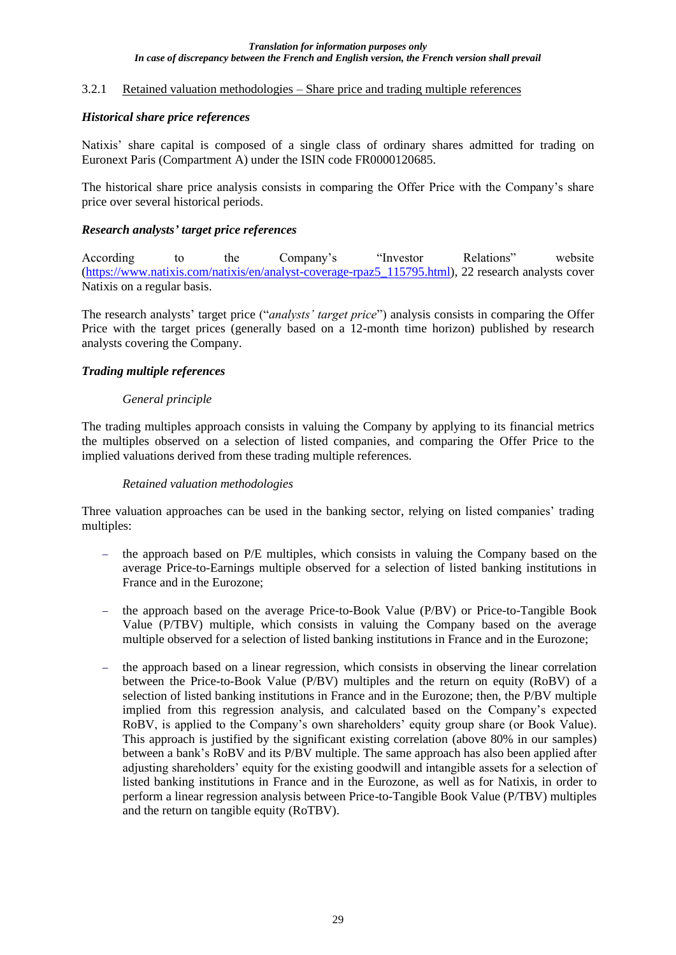### 3.2.1 Retained valuation methodologies – Share price and trading multiple references

### *Historical share price references*

Natixis' share capital is composed of a single class of ordinary shares admitted for trading on Euronext Paris (Compartment A) under the ISIN code FR0000120685.

The historical share price analysis consists in comparing the Offer Price with the Company's share price over several historical periods.

### *Research analysts' target price references*

According to the Company's "Investor Relations" website (https://www.natixis.com/natixis/en/analyst-coverage-rpaz5\_115795.html), 22 research analysts cover Natixis on a regular basis.

The research analysts' target price ("*analysts' target price*") analysis consists in comparing the Offer Price with the target prices (generally based on a 12-month time horizon) published by research analysts covering the Company.

### *Trading multiple references*

### *General principle*

The trading multiples approach consists in valuing the Company by applying to its financial metrics the multiples observed on a selection of listed companies, and comparing the Offer Price to the implied valuations derived from these trading multiple references.

### *Retained valuation methodologies*

Three valuation approaches can be used in the banking sector, relying on listed companies' trading multiples:

- − the approach based on P/E multiples, which consists in valuing the Company based on the average Price-to-Earnings multiple observed for a selection of listed banking institutions in France and in the Eurozone;
- − the approach based on the average Price-to-Book Value (P/BV) or Price-to-Tangible Book Value (P/TBV) multiple, which consists in valuing the Company based on the average multiple observed for a selection of listed banking institutions in France and in the Eurozone;
- the approach based on a linear regression, which consists in observing the linear correlation between the Price-to-Book Value (P/BV) multiples and the return on equity (RoBV) of a selection of listed banking institutions in France and in the Eurozone; then, the P/BV multiple implied from this regression analysis, and calculated based on the Company's expected RoBV, is applied to the Company's own shareholders' equity group share (or Book Value). This approach is justified by the significant existing correlation (above 80% in our samples) between a bank's RoBV and its P/BV multiple. The same approach has also been applied after adjusting shareholders' equity for the existing goodwill and intangible assets for a selection of listed banking institutions in France and in the Eurozone, as well as for Natixis, in order to perform a linear regression analysis between Price-to-Tangible Book Value (P/TBV) multiples and the return on tangible equity (RoTBV).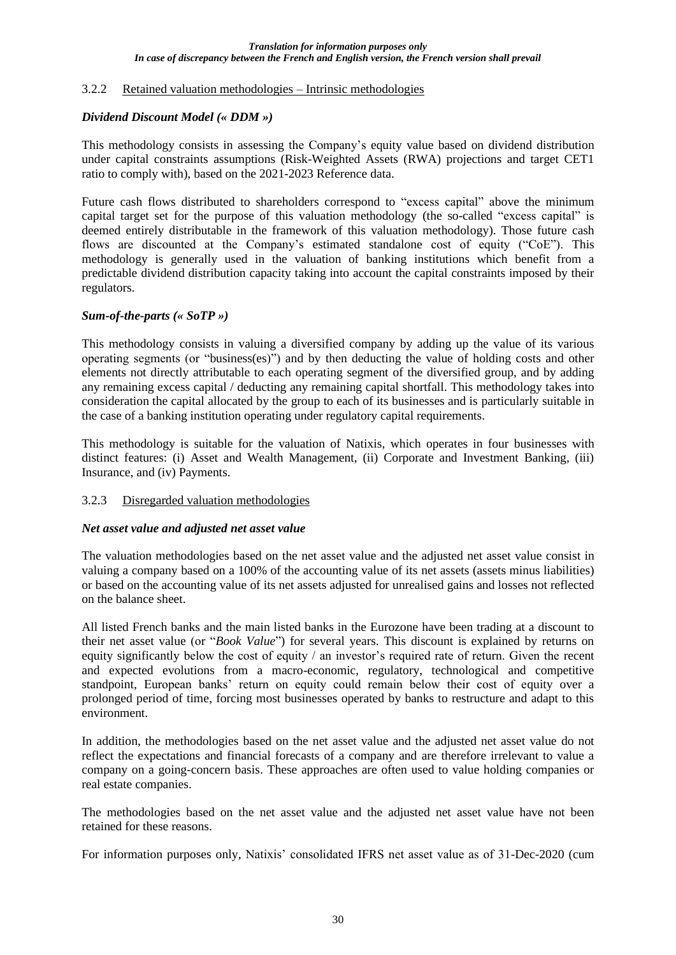### 3.2.2 Retained valuation methodologies – Intrinsic methodologies

### *Dividend Discount Model (« DDM »)*

This methodology consists in assessing the Company's equity value based on dividend distribution under capital constraints assumptions (Risk-Weighted Assets (RWA) projections and target CET1 ratio to comply with), based on the 2021-2023 Reference data.

Future cash flows distributed to shareholders correspond to "excess capital" above the minimum capital target set for the purpose of this valuation methodology (the so-called "excess capital" is deemed entirely distributable in the framework of this valuation methodology). Those future cash flows are discounted at the Company's estimated standalone cost of equity ("CoE"). This methodology is generally used in the valuation of banking institutions which benefit from a predictable dividend distribution capacity taking into account the capital constraints imposed by their regulators.

### *Sum-of-the-parts (« SoTP »)*

This methodology consists in valuing a diversified company by adding up the value of its various operating segments (or "business(es)") and by then deducting the value of holding costs and other elements not directly attributable to each operating segment of the diversified group, and by adding any remaining excess capital / deducting any remaining capital shortfall. This methodology takes into consideration the capital allocated by the group to each of its businesses and is particularly suitable in the case of a banking institution operating under regulatory capital requirements.

This methodology is suitable for the valuation of Natixis, which operates in four businesses with distinct features: (i) Asset and Wealth Management, (ii) Corporate and Investment Banking, (iii) Insurance, and (iv) Payments.

## 3.2.3 Disregarded valuation methodologies

### *Net asset value and adjusted net asset value*

The valuation methodologies based on the net asset value and the adjusted net asset value consist in valuing a company based on a 100% of the accounting value of its net assets (assets minus liabilities) or based on the accounting value of its net assets adjusted for unrealised gains and losses not reflected on the balance sheet.

All listed French banks and the main listed banks in the Eurozone have been trading at a discount to their net asset value (or "*Book Value*") for several years. This discount is explained by returns on equity significantly below the cost of equity / an investor's required rate of return. Given the recent and expected evolutions from a macro-economic, regulatory, technological and competitive standpoint, European banks' return on equity could remain below their cost of equity over a prolonged period of time, forcing most businesses operated by banks to restructure and adapt to this environment.

In addition, the methodologies based on the net asset value and the adjusted net asset value do not reflect the expectations and financial forecasts of a company and are therefore irrelevant to value a company on a going-concern basis. These approaches are often used to value holding companies or real estate companies.

The methodologies based on the net asset value and the adjusted net asset value have not been retained for these reasons.

For information purposes only, Natixis' consolidated IFRS net asset value as of 31-Dec-2020 (cum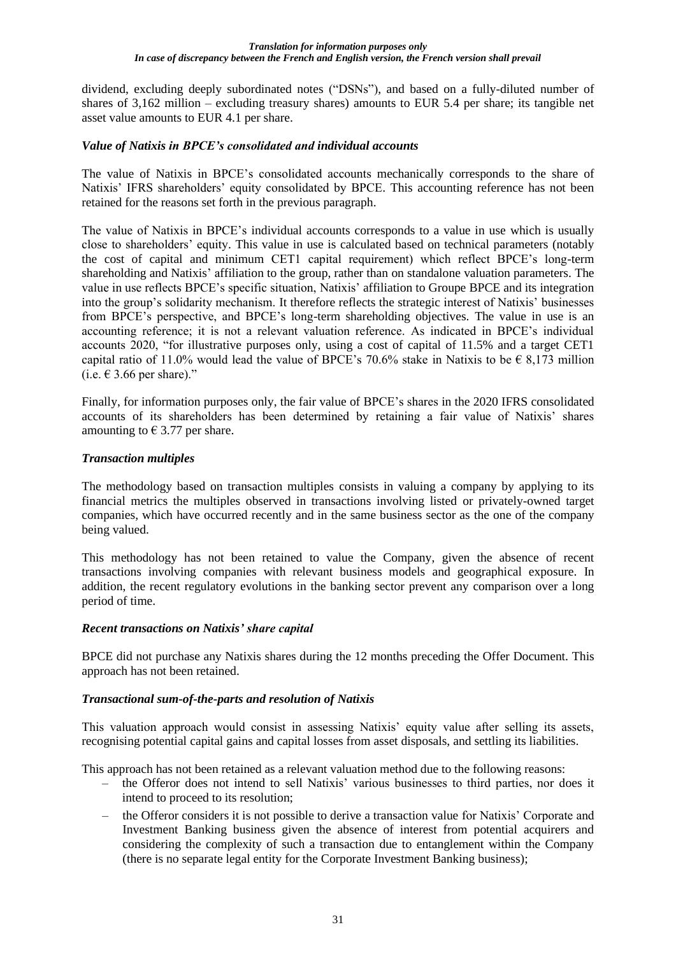dividend, excluding deeply subordinated notes ("DSNs"), and based on a fully-diluted number of shares of 3,162 million – excluding treasury shares) amounts to EUR 5.4 per share; its tangible net asset value amounts to EUR 4.1 per share.

### *Value of Natixis in BPCE's consolidated and individual accounts*

The value of Natixis in BPCE's consolidated accounts mechanically corresponds to the share of Natixis' IFRS shareholders' equity consolidated by BPCE. This accounting reference has not been retained for the reasons set forth in the previous paragraph.

The value of Natixis in BPCE's individual accounts corresponds to a value in use which is usually close to shareholders' equity. This value in use is calculated based on technical parameters (notably the cost of capital and minimum CET1 capital requirement) which reflect BPCE's long-term shareholding and Natixis' affiliation to the group, rather than on standalone valuation parameters. The value in use reflects BPCE's specific situation, Natixis' affiliation to Groupe BPCE and its integration into the group's solidarity mechanism. It therefore reflects the strategic interest of Natixis' businesses from BPCE's perspective, and BPCE's long-term shareholding objectives. The value in use is an accounting reference; it is not a relevant valuation reference. As indicated in BPCE's individual accounts 2020, "for illustrative purposes only, using a cost of capital of 11.5% and a target CET1 capital ratio of 11.0% would lead the value of BPCE's 70.6% stake in Natixis to be  $\epsilon$  8,173 million (i.e.  $\in$  3.66 per share)."

Finally, for information purposes only, the fair value of BPCE's shares in the 2020 IFRS consolidated accounts of its shareholders has been determined by retaining a fair value of Natixis' shares amounting to  $\epsilon$  3.77 per share.

### *Transaction multiples*

The methodology based on transaction multiples consists in valuing a company by applying to its financial metrics the multiples observed in transactions involving listed or privately-owned target companies, which have occurred recently and in the same business sector as the one of the company being valued.

This methodology has not been retained to value the Company, given the absence of recent transactions involving companies with relevant business models and geographical exposure. In addition, the recent regulatory evolutions in the banking sector prevent any comparison over a long period of time.

### *Recent transactions on Natixis' share capital*

BPCE did not purchase any Natixis shares during the 12 months preceding the Offer Document. This approach has not been retained.

### *Transactional sum-of-the-parts and resolution of Natixis*

This valuation approach would consist in assessing Natixis' equity value after selling its assets, recognising potential capital gains and capital losses from asset disposals, and settling its liabilities.

This approach has not been retained as a relevant valuation method due to the following reasons:

- ‒ the Offeror does not intend to sell Natixis' various businesses to third parties, nor does it intend to proceed to its resolution;
- ‒ the Offeror considers it is not possible to derive a transaction value for Natixis' Corporate and Investment Banking business given the absence of interest from potential acquirers and considering the complexity of such a transaction due to entanglement within the Company (there is no separate legal entity for the Corporate Investment Banking business);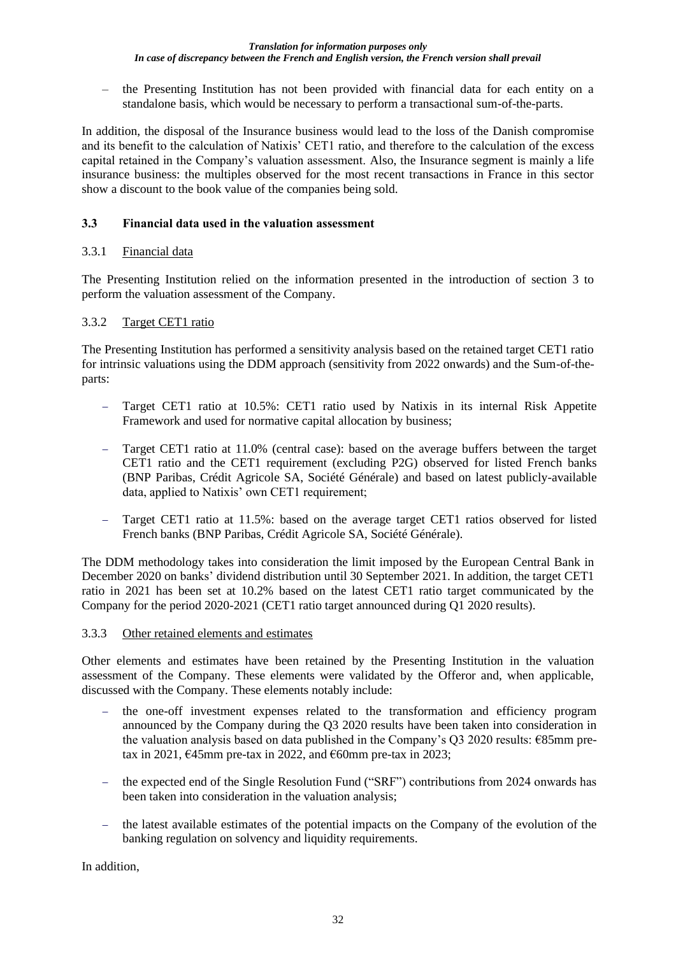‒ the Presenting Institution has not been provided with financial data for each entity on a standalone basis, which would be necessary to perform a transactional sum-of-the-parts.

In addition, the disposal of the Insurance business would lead to the loss of the Danish compromise and its benefit to the calculation of Natixis' CET1 ratio, and therefore to the calculation of the excess capital retained in the Company's valuation assessment. Also, the Insurance segment is mainly a life insurance business: the multiples observed for the most recent transactions in France in this sector show a discount to the book value of the companies being sold.

## **3.3 Financial data used in the valuation assessment**

## 3.3.1 Financial data

The Presenting Institution relied on the information presented in the introduction of section 3 to perform the valuation assessment of the Company.

### 3.3.2 Target CET1 ratio

The Presenting Institution has performed a sensitivity analysis based on the retained target CET1 ratio for intrinsic valuations using the DDM approach (sensitivity from 2022 onwards) and the Sum-of-theparts:

- − Target CET1 ratio at 10.5%: CET1 ratio used by Natixis in its internal Risk Appetite Framework and used for normative capital allocation by business;
- − Target CET1 ratio at 11.0% (central case): based on the average buffers between the target CET1 ratio and the CET1 requirement (excluding P2G) observed for listed French banks (BNP Paribas, Crédit Agricole SA, Société Générale) and based on latest publicly-available data, applied to Natixis' own CET1 requirement;
- Target CET1 ratio at 11.5%: based on the average target CET1 ratios observed for listed French banks (BNP Paribas, Crédit Agricole SA, Société Générale).

The DDM methodology takes into consideration the limit imposed by the European Central Bank in December 2020 on banks' dividend distribution until 30 September 2021. In addition, the target CET1 ratio in 2021 has been set at 10.2% based on the latest CET1 ratio target communicated by the Company for the period 2020-2021 (CET1 ratio target announced during Q1 2020 results).

### 3.3.3 Other retained elements and estimates

Other elements and estimates have been retained by the Presenting Institution in the valuation assessment of the Company. These elements were validated by the Offeror and, when applicable, discussed with the Company. These elements notably include:

- − the one-off investment expenses related to the transformation and efficiency program announced by the Company during the Q3 2020 results have been taken into consideration in the valuation analysis based on data published in the Company's Q3 2020 results: €85mm pretax in 2021,  $\epsilon$ 45mm pre-tax in 2022, and  $\epsilon$ 60mm pre-tax in 2023;
- − the expected end of the Single Resolution Fund ("SRF") contributions from 2024 onwards has been taken into consideration in the valuation analysis;
- the latest available estimates of the potential impacts on the Company of the evolution of the banking regulation on solvency and liquidity requirements.

In addition,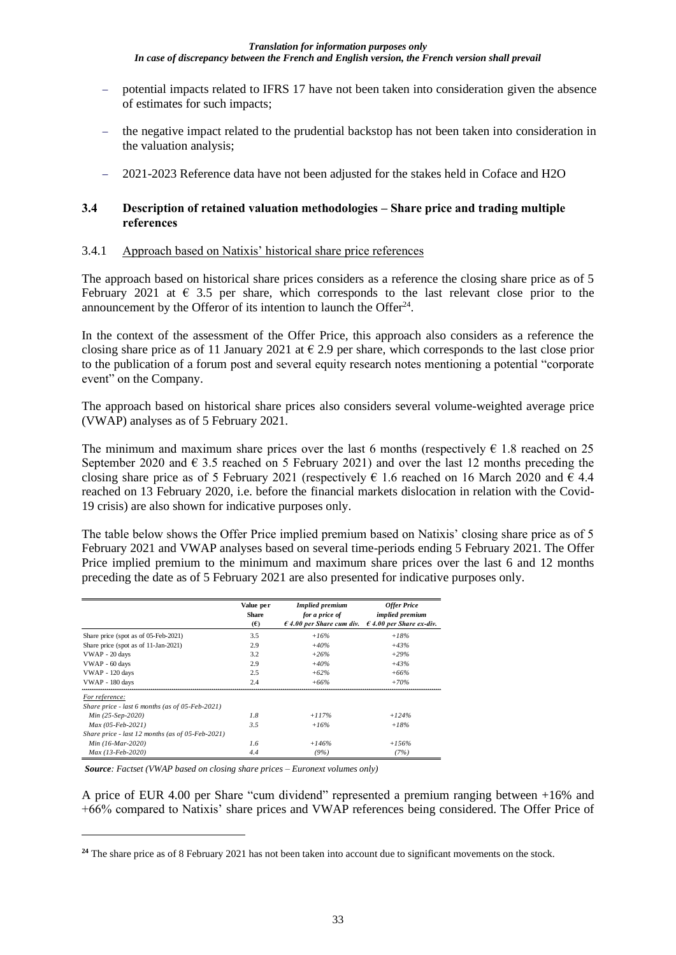- − potential impacts related to IFRS 17 have not been taken into consideration given the absence of estimates for such impacts;
- − the negative impact related to the prudential backstop has not been taken into consideration in the valuation analysis;
- − 2021-2023 Reference data have not been adjusted for the stakes held in Coface and H2O

### **3.4 Description of retained valuation methodologies – Share price and trading multiple references**

### 3.4.1 Approach based on Natixis' historical share price references

The approach based on historical share prices considers as a reference the closing share price as of 5 February 2021 at  $\epsilon$  3.5 per share, which corresponds to the last relevant close prior to the announcement by the Offeror of its intention to launch the Offer<sup>24</sup>.

In the context of the assessment of the Offer Price, this approach also considers as a reference the closing share price as of 11 January 2021 at  $\epsilon$  2.9 per share, which corresponds to the last close prior to the publication of a forum post and several equity research notes mentioning a potential "corporate event" on the Company.

The approach based on historical share prices also considers several volume-weighted average price (VWAP) analyses as of 5 February 2021.

The minimum and maximum share prices over the last 6 months (respectively  $\epsilon$  1.8 reached on 25 September 2020 and  $\epsilon$  3.5 reached on 5 February 2021) and over the last 12 months preceding the closing share price as of 5 February 2021 (respectively  $\epsilon$  1.6 reached on 16 March 2020 and  $\epsilon$  4.4 reached on 13 February 2020, i.e. before the financial markets dislocation in relation with the Covid-19 crisis) are also shown for indicative purposes only.

The table below shows the Offer Price implied premium based on Natixis' closing share price as of 5 February 2021 and VWAP analyses based on several time-periods ending 5 February 2021. The Offer Price implied premium to the minimum and maximum share prices over the last 6 and 12 months preceding the date as of 5 February 2021 are also presented for indicative purposes only.

|                                                     | Value per<br><b>Share</b><br>(E) | <b>Implied premium</b><br>for a price of<br>$\epsilon$ 4.00 per Share cum div. | <b>Offer Price</b><br><i>implied premium</i><br>$\epsilon$ 4.00 per Share ex-div. |
|-----------------------------------------------------|----------------------------------|--------------------------------------------------------------------------------|-----------------------------------------------------------------------------------|
| Share price (spot as of 05-Feb-2021)                | 3.5                              | $+16%$                                                                         | $+18%$                                                                            |
| Share price (spot as of 11-Jan-2021)                | 2.9                              | $+40%$                                                                         | $+4.3\%$                                                                          |
| VWAP - 20 days                                      | 3.2                              | $+26%$                                                                         | $+29%$                                                                            |
| VWAP - 60 days                                      | 2.9                              | $+40%$                                                                         | $+4.3\%$                                                                          |
| VWAP - 120 days                                     | 2.5                              | $+62%$                                                                         | $+66%$                                                                            |
| VWAP - 180 days                                     | 2.4                              | $+66%$                                                                         | $+70%$                                                                            |
| For reference:                                      |                                  |                                                                                |                                                                                   |
| Share price - last 6 months (as of 05-Feb-2021)     |                                  |                                                                                |                                                                                   |
| Min $(25-Sep-2020)$                                 | 1.8                              | $+117%$                                                                        | $+124%$                                                                           |
| $Max(05-Feb-2021)$                                  | 3.5                              | $+16%$                                                                         | $+18%$                                                                            |
| Share price - last 12 months (as of $05$ -Feb-2021) |                                  |                                                                                |                                                                                   |
| Min (16-Mar-2020)                                   | 1.6                              | $+146%$                                                                        | $+1.56%$                                                                          |
| $Max (13-Feb-2020)$                                 | 4.4                              | (9%)                                                                           | (7%)                                                                              |

*Source: Factset (VWAP based on closing share prices – Euronext volumes only)*

A price of EUR 4.00 per Share "cum dividend" represented a premium ranging between +16% and +66% compared to Natixis' share prices and VWAP references being considered. The Offer Price of

**<sup>24</sup>** The share price as of 8 February 2021 has not been taken into account due to significant movements on the stock.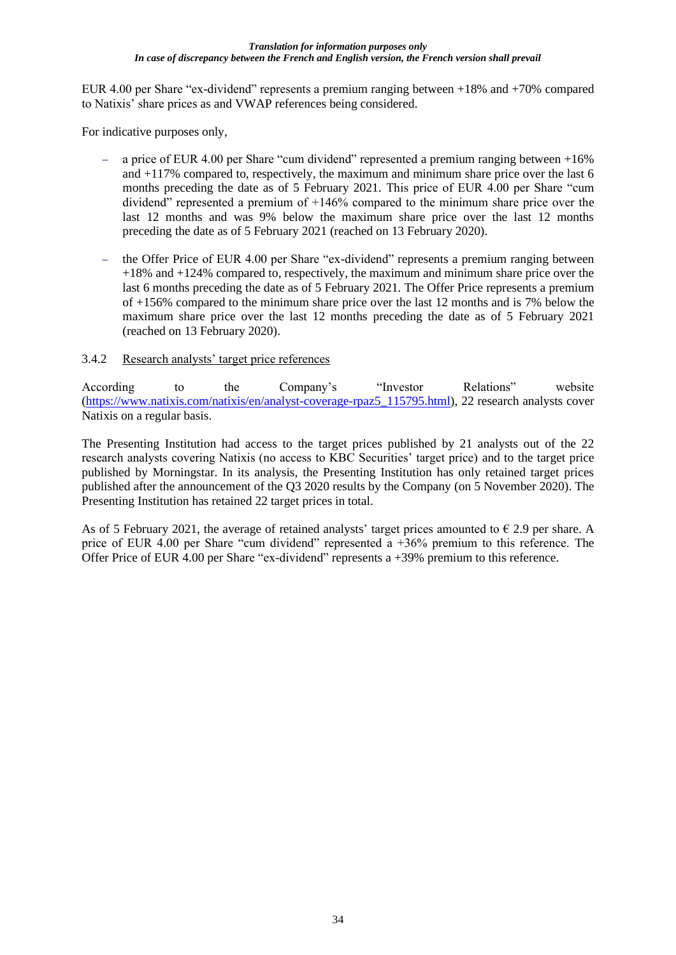EUR 4.00 per Share "ex-dividend" represents a premium ranging between +18% and +70% compared to Natixis' share prices as and VWAP references being considered.

For indicative purposes only,

- − a price of EUR 4.00 per Share "cum dividend" represented a premium ranging between +16% and +117% compared to, respectively, the maximum and minimum share price over the last 6 months preceding the date as of 5 February 2021. This price of EUR 4.00 per Share "cum dividend" represented a premium of +146% compared to the minimum share price over the last 12 months and was 9% below the maximum share price over the last 12 months preceding the date as of 5 February 2021 (reached on 13 February 2020).
- the Offer Price of EUR 4.00 per Share "ex-dividend" represents a premium ranging between +18% and +124% compared to, respectively, the maximum and minimum share price over the last 6 months preceding the date as of 5 February 2021. The Offer Price represents a premium of +156% compared to the minimum share price over the last 12 months and is 7% below the maximum share price over the last 12 months preceding the date as of 5 February 2021 (reached on 13 February 2020).

## 3.4.2 Research analysts' target price references

According to the Company's "Investor Relations" website (https://www.natixis.com/natixis/en/analyst-coverage-rpaz5\_115795.html), 22 research analysts cover Natixis on a regular basis.

The Presenting Institution had access to the target prices published by 21 analysts out of the 22 research analysts covering Natixis (no access to KBC Securities' target price) and to the target price published by Morningstar. In its analysis, the Presenting Institution has only retained target prices published after the announcement of the Q3 2020 results by the Company (on 5 November 2020). The Presenting Institution has retained 22 target prices in total.

As of 5 February 2021, the average of retained analysts' target prices amounted to  $\epsilon$  2.9 per share. A price of EUR 4.00 per Share "cum dividend" represented a +36% premium to this reference. The Offer Price of EUR 4.00 per Share "ex-dividend" represents a +39% premium to this reference.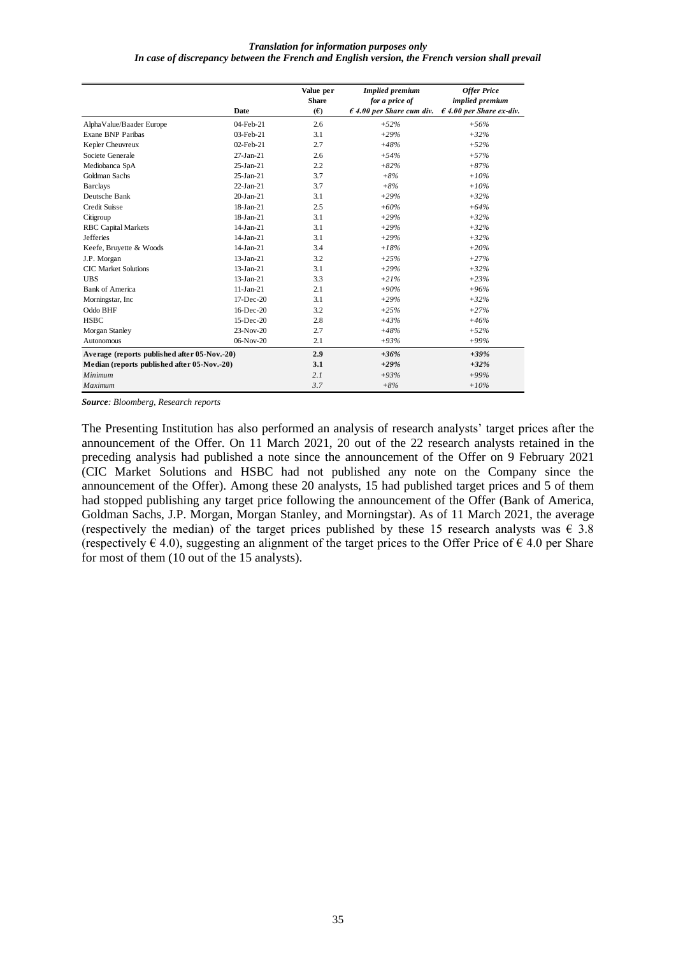|                                              |                 | Value per<br><b>Share</b> | <b>Implied premium</b><br>for a price of | <b>Offer Price</b><br>implied premium |
|----------------------------------------------|-----------------|---------------------------|------------------------------------------|---------------------------------------|
|                                              | Date            | (E)                       | $\epsilon$ 4.00 per Share cum div.       | $\epsilon$ 4.00 per Share ex-div.     |
| AlphaValue/Baader Europe                     | $04$ -Feb-21    | 2.6                       | $+52%$                                   | $+56%$                                |
| <b>Exane BNP Paribas</b>                     | $03$ -Feb-21    | 3.1                       | $+29%$                                   | $+32%$                                |
| Kepler Cheuvreux                             | 02-Feb-21       | 2.7                       | $+48%$                                   | $+52%$                                |
| Societe Generale                             | $27-Ian-21$     | 2.6                       | $+54%$                                   | $+57%$                                |
| Mediobanca SpA                               | $25-Ian-21$     | 2.2                       | $+82%$                                   | $+87%$                                |
| Goldman Sachs                                | $25$ -Jan- $21$ | 3.7                       | $+8%$                                    | $+10%$                                |
| <b>Barclays</b>                              | $22-Ian-21$     | 3.7                       | $+8%$                                    | $+10%$                                |
| Deutsche Bank                                | $20 - Jan - 21$ | 3.1                       | $+29%$                                   | $+32%$                                |
| Credit Suisse                                | $18$ -Jan-21    | 2.5                       | $+60%$                                   | $+64%$                                |
| Citigroup                                    | $18$ -Jan-21    | 3.1                       | $+29%$                                   | $+32%$                                |
| <b>RBC</b> Capital Markets                   | $14$ -Jan-21    | 3.1                       | $+29%$                                   | $+32%$                                |
| <b>Jefferies</b>                             | $14$ -Jan-21    | 3.1                       | $+29%$                                   | $+32%$                                |
| Keefe, Bruyette & Woods                      | $14-Jan-21$     | 3.4                       | $+18%$                                   | $+20%$                                |
| J.P. Morgan                                  | $13$ -Jan-21    | 3.2                       | $+2.5%$                                  | $+27%$                                |
| <b>CIC Market Solutions</b>                  | $13$ -Jan-21    | 3.1                       | $+29%$                                   | $+32%$                                |
| <b>UBS</b>                                   | $13$ -Jan-21    | 3.3                       | $+21%$                                   | $+23%$                                |
| <b>Bank of America</b>                       | $11-Ian-21$     | 2.1                       | $+90%$                                   | $+96%$                                |
| Morningstar, Inc.                            | $17-Dec-20$     | 3.1                       | $+29%$                                   | $+32%$                                |
| Oddo BHF                                     | $16$ -Dec- $20$ | 3.2                       | $+25%$                                   | $+27%$                                |
| <b>HSBC</b>                                  | 15-Dec-20       | 2.8                       | $+43%$                                   | $+46%$                                |
| Morgan Stanley                               | $23-Nov-20$     | 2.7                       | $+48%$                                   | $+52%$                                |
| <b>Autonomous</b>                            | 06-Nov-20       | 2.1                       | $+93%$                                   | $+99%$                                |
| Average (reports published after 05-Nov.-20) |                 | 2.9                       | $+36%$                                   | $+39%$                                |
| Median (reports published after 05-Nov.-20)  |                 | 3.1                       | $+29%$                                   | $+32%$                                |
| Minimum                                      |                 | 2.1                       | $+93%$                                   | $+99%$                                |
| Maximum                                      |                 | 3.7                       | $+8%$                                    | $+10%$                                |

*Source: Bloomberg, Research reports*

The Presenting Institution has also performed an analysis of research analysts' target prices after the announcement of the Offer. On 11 March 2021, 20 out of the 22 research analysts retained in the preceding analysis had published a note since the announcement of the Offer on 9 February 2021 (CIC Market Solutions and HSBC had not published any note on the Company since the announcement of the Offer). Among these 20 analysts, 15 had published target prices and 5 of them had stopped publishing any target price following the announcement of the Offer (Bank of America, Goldman Sachs, J.P. Morgan, Morgan Stanley, and Morningstar). As of 11 March 2021, the average (respectively the median) of the target prices published by these 15 research analysts was  $\epsilon$  3.8 (respectively  $\in$  4.0), suggesting an alignment of the target prices to the Offer Price of  $\in$  4.0 per Share for most of them (10 out of the 15 analysts).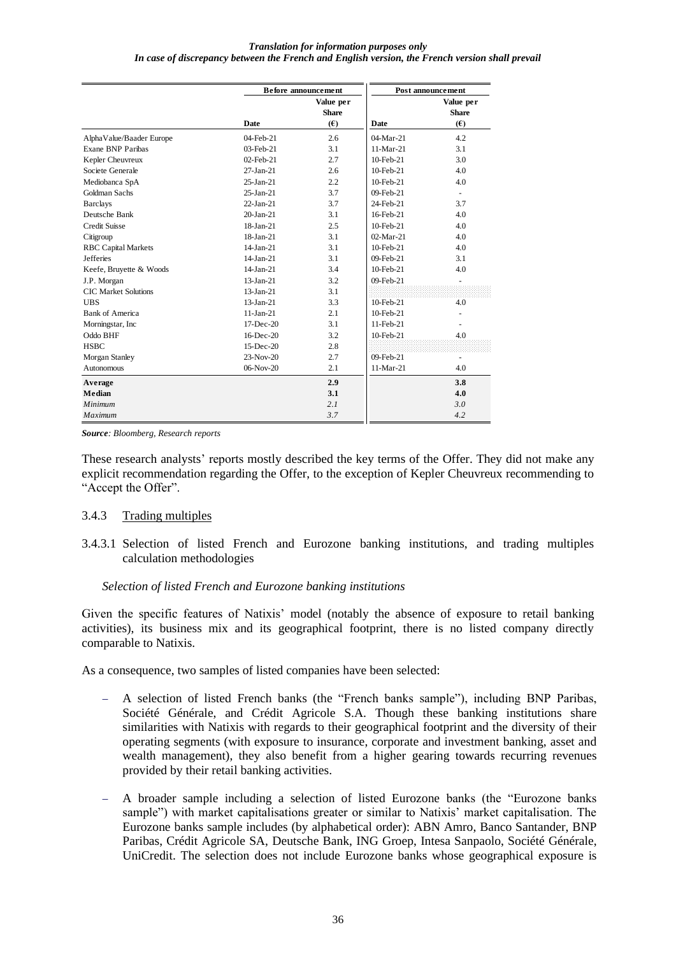|                             |               | Before announcement              | Post announcement |                                  |  |
|-----------------------------|---------------|----------------------------------|-------------------|----------------------------------|--|
|                             | Date          | Value per<br><b>Share</b><br>(E) | Date              | Value per<br><b>Share</b><br>(E) |  |
| AlphaValue/Baader Europe    | $04$ -Feb-21  | 2.6                              | $04-Mar-21$       | 4.2                              |  |
| Exane BNP Paribas           | $03$ -Feb-21  | 3.1                              | $11-Mar-21$       | 3.1                              |  |
| Kepler Cheuvreux            | $02$ -Feb-21  | 2.7                              | $10$ -Feb- $21$   | 3.0                              |  |
| Societe Generale            | $27-Ian-21$   | 2.6                              | $10$ -Feb- $21$   | 4.0                              |  |
| Mediobanca SpA              | $25$ -Jan-21  | 2.2                              | $10$ -Feb- $21$   | 4.0                              |  |
| Goldman Sachs               | $25$ -Jan-21  | 3.7                              | $09$ -Feb-21      | $\omega$                         |  |
| <b>Barclays</b>             | $22-Ian-21$   | 3.7                              | 24-Feb-21         | 3.7                              |  |
| Deutsche Bank               | $20 - Jan-21$ | 3.1                              | 16-Feb-21         | 4.0                              |  |
| Credit Suisse               | $18$ -Jan-21  | 2.5                              | $10$ -Feb- $21$   | 4.0                              |  |
| Citigroup                   | $18$ -Jan-21  | 3.1                              | $02-Mar-21$       | 4.0                              |  |
| <b>RBC</b> Capital Markets  | $14$ -Jan-21  | 3.1                              | $10$ -Feb- $21$   | 4.0                              |  |
| <b>Jefferies</b>            | $14$ -Jan-21  | 3.1                              | 09-Feb-21         | 3.1                              |  |
| Keefe, Bruyette & Woods     | $14$ -Jan-21  | 3.4                              | $10$ -Feb- $21$   | 4.0                              |  |
| J.P. Morgan                 | $13$ -Jan-21  | 3.2                              | 09-Feb-21         |                                  |  |
| <b>CIC Market Solutions</b> | $13$ -Jan-21  | 3.1                              |                   |                                  |  |
| <b>UBS</b>                  | $13$ -Jan-21  | 3.3<br>$10$ -Feb- $21$           |                   | 4.0                              |  |
| <b>Bank of America</b>      | $11-Jan-21$   | 2.1                              | $10$ -Feb- $21$   |                                  |  |
| Morningstar, Inc            | $17-Dec-20$   | 3.1                              | 11-Feb-21         |                                  |  |
| Oddo BHF                    | 16-Dec-20     | 3.2                              | 10-Feb-21         | 4.0                              |  |
| <b>HSBC</b>                 | $15$ -Dec-20  | 2.8                              |                   |                                  |  |
| Morgan Stanley              | $23-Nov-20$   | 2.7                              | $09$ -Feb-21      | $\blacksquare$                   |  |
| Autonomous                  | 06-Nov-20     | 2.1                              | $11-Mar-21$       | 4.0                              |  |
| Average                     |               | 2.9                              |                   | 3.8                              |  |
| Median                      |               | 3.1                              |                   | 4.0                              |  |
| <b>Minimum</b>              |               | 2.1                              |                   | 3.0                              |  |
| Maximum                     |               | 3.7                              |                   | 4.2                              |  |

*Source: Bloomberg, Research reports*

These research analysts' reports mostly described the key terms of the Offer. They did not make any explicit recommendation regarding the Offer, to the exception of Kepler Cheuvreux recommending to "Accept the Offer".

### 3.4.3 Trading multiples

3.4.3.1 Selection of listed French and Eurozone banking institutions, and trading multiples calculation methodologies

#### *Selection of listed French and Eurozone banking institutions*

Given the specific features of Natixis' model (notably the absence of exposure to retail banking activities), its business mix and its geographical footprint, there is no listed company directly comparable to Natixis.

As a consequence, two samples of listed companies have been selected:

- − A selection of listed French banks (the "French banks sample"), including BNP Paribas, Société Générale, and Crédit Agricole S.A. Though these banking institutions share similarities with Natixis with regards to their geographical footprint and the diversity of their operating segments (with exposure to insurance, corporate and investment banking, asset and wealth management), they also benefit from a higher gearing towards recurring revenues provided by their retail banking activities.
- − A broader sample including a selection of listed Eurozone banks (the "Eurozone banks sample") with market capitalisations greater or similar to Natixis' market capitalisation. The Eurozone banks sample includes (by alphabetical order): ABN Amro, Banco Santander, BNP Paribas, Crédit Agricole SA, Deutsche Bank, ING Groep, Intesa Sanpaolo, Société Générale, UniCredit. The selection does not include Eurozone banks whose geographical exposure is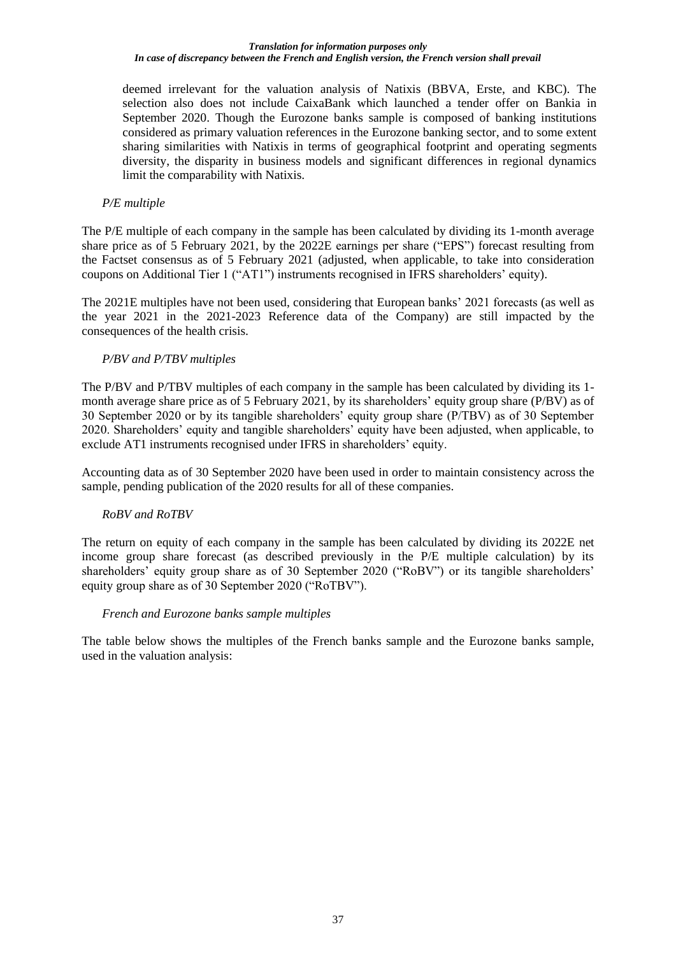deemed irrelevant for the valuation analysis of Natixis (BBVA, Erste, and KBC). The selection also does not include CaixaBank which launched a tender offer on Bankia in September 2020. Though the Eurozone banks sample is composed of banking institutions considered as primary valuation references in the Eurozone banking sector, and to some extent sharing similarities with Natixis in terms of geographical footprint and operating segments diversity, the disparity in business models and significant differences in regional dynamics limit the comparability with Natixis.

### *P/E multiple*

The P/E multiple of each company in the sample has been calculated by dividing its 1-month average share price as of 5 February 2021, by the 2022E earnings per share ("EPS") forecast resulting from the Factset consensus as of 5 February 2021 (adjusted, when applicable, to take into consideration coupons on Additional Tier 1 ("AT1") instruments recognised in IFRS shareholders' equity).

The 2021E multiples have not been used, considering that European banks' 2021 forecasts (as well as the year 2021 in the 2021-2023 Reference data of the Company) are still impacted by the consequences of the health crisis.

### *P/BV and P/TBV multiples*

The P/BV and P/TBV multiples of each company in the sample has been calculated by dividing its 1 month average share price as of 5 February 2021, by its shareholders' equity group share (P/BV) as of 30 September 2020 or by its tangible shareholders' equity group share (P/TBV) as of 30 September 2020. Shareholders' equity and tangible shareholders' equity have been adjusted, when applicable, to exclude AT1 instruments recognised under IFRS in shareholders' equity.

Accounting data as of 30 September 2020 have been used in order to maintain consistency across the sample, pending publication of the 2020 results for all of these companies.

## *RoBV and RoTBV*

The return on equity of each company in the sample has been calculated by dividing its 2022E net income group share forecast (as described previously in the P/E multiple calculation) by its shareholders' equity group share as of 30 September 2020 ("RoBV") or its tangible shareholders' equity group share as of 30 September 2020 ("RoTBV").

### *French and Eurozone banks sample multiples*

The table below shows the multiples of the French banks sample and the Eurozone banks sample, used in the valuation analysis: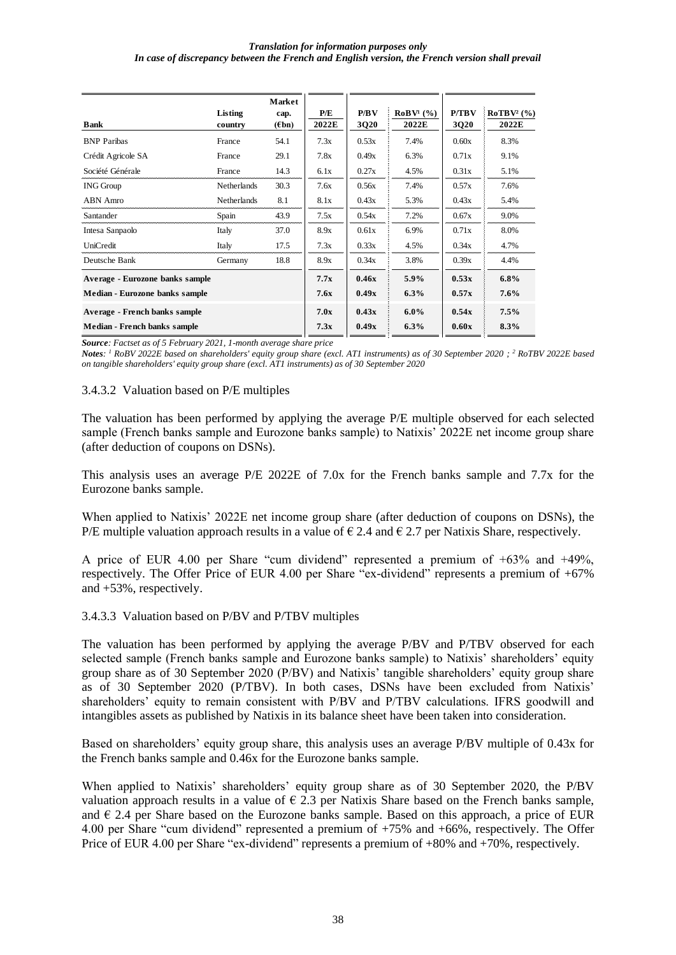| Bank                            | Listing<br>country | Market<br>cap.<br>$(\epsilon$ bn) | P/E<br>2022E | P/BV<br>3Q20 | RoBV <sup>1</sup> (%)<br>2022E | <b>P/TBV</b><br>3Q20 | RoTBV <sup>2</sup> (%)<br>2022E |
|---------------------------------|--------------------|-----------------------------------|--------------|--------------|--------------------------------|----------------------|---------------------------------|
| <b>BNP</b> Paribas              | France             | 54.1                              | 7.3x         | 0.53x        | 7.4%                           | 0.60x                | 8.3%                            |
| Crédit Agricole SA              | France             | 29.1                              | 7.8x         | 0.49x        | 6.3%                           | 0.71x                | 9.1%                            |
| Société Générale                | France             | 14.3                              | 6.1x         | 0.27x        | 4.5%                           | 0.31x                | 5.1%                            |
| <b>ING Group</b>                | <b>Netherlands</b> | 30.3                              | 7.6x         | 0.56x        | 7.4%                           | 0.57x                | 7.6%                            |
| ABN Amro                        | <b>Netherlands</b> | 8.1                               | 8.1x         | 0.43x        | 5.3%                           | 0.43x                | 5.4%                            |
| Santander                       | Spain              | 43.9                              | 7.5x         | 0.54x        | 7.2%                           | 0.67x                | 9.0%                            |
| Intesa Sanpaolo                 | Italy              | 37.0                              | 8.9x         | 0.61x        | 6.9%                           | 0.71x                | 8.0%                            |
| UniCredit                       | Italy              | 17.5                              | 7.3x         | 0.33x        | 4.5%                           | 0.34x                | 4.7%                            |
| Deutsche Bank                   | Germany            | 18.8                              | 8.9x         | 0.34x        | 3.8%                           | 0.39x                | 4.4%                            |
| Average - Eurozone banks sample |                    |                                   | 7.7x         | 0.46x        | 5.9%                           | 0.53x                | $6.8\%$                         |
| Median - Eurozone banks sample  |                    |                                   | 7.6x         | 0.49x        | 6.3%                           | 0.57x                | 7.6%                            |
| Average - French banks sample   |                    |                                   | 7.0x         | 0.43x        | $6.0\%$                        | 0.54x                | 7.5%                            |
| Median - French banks sample    |                    |                                   | 7.3x         | 0.49x        | 6.3%                           | 0.60x                | 8.3%                            |

*Source: Factset as of 5 February 2021, 1-month average share price*

*Notes: <sup>1</sup> RoBV 2022E based on shareholders' equity group share (excl. AT1 instruments) as of 30 September 2020 ; <sup>2</sup> RoTBV 2022E based on tangible shareholders' equity group share (excl. AT1 instruments) as of 30 September 2020*

#### 3.4.3.2 Valuation based on P/E multiples

The valuation has been performed by applying the average P/E multiple observed for each selected sample (French banks sample and Eurozone banks sample) to Natixis' 2022E net income group share (after deduction of coupons on DSNs).

This analysis uses an average P/E 2022E of 7.0x for the French banks sample and 7.7x for the Eurozone banks sample.

When applied to Natixis' 2022E net income group share (after deduction of coupons on DSNs), the P/E multiple valuation approach results in a value of  $\epsilon$  2.4 and  $\epsilon$  2.7 per Natixis Share, respectively.

A price of EUR 4.00 per Share "cum dividend" represented a premium of +63% and +49%, respectively. The Offer Price of EUR 4.00 per Share "ex-dividend" represents a premium of +67% and +53%, respectively.

### 3.4.3.3 Valuation based on P/BV and P/TBV multiples

The valuation has been performed by applying the average P/BV and P/TBV observed for each selected sample (French banks sample and Eurozone banks sample) to Natixis' shareholders' equity group share as of 30 September 2020 (P/BV) and Natixis' tangible shareholders' equity group share as of 30 September 2020 (P/TBV). In both cases, DSNs have been excluded from Natixis' shareholders' equity to remain consistent with P/BV and P/TBV calculations. IFRS goodwill and intangibles assets as published by Natixis in its balance sheet have been taken into consideration.

Based on shareholders' equity group share, this analysis uses an average P/BV multiple of 0.43x for the French banks sample and 0.46x for the Eurozone banks sample.

When applied to Natixis' shareholders' equity group share as of 30 September 2020, the P/BV valuation approach results in a value of  $\epsilon$  2.3 per Natixis Share based on the French banks sample, and  $\in$  2.4 per Share based on the Eurozone banks sample. Based on this approach, a price of EUR 4.00 per Share "cum dividend" represented a premium of +75% and +66%, respectively. The Offer Price of EUR 4.00 per Share "ex-dividend" represents a premium of +80% and +70%, respectively.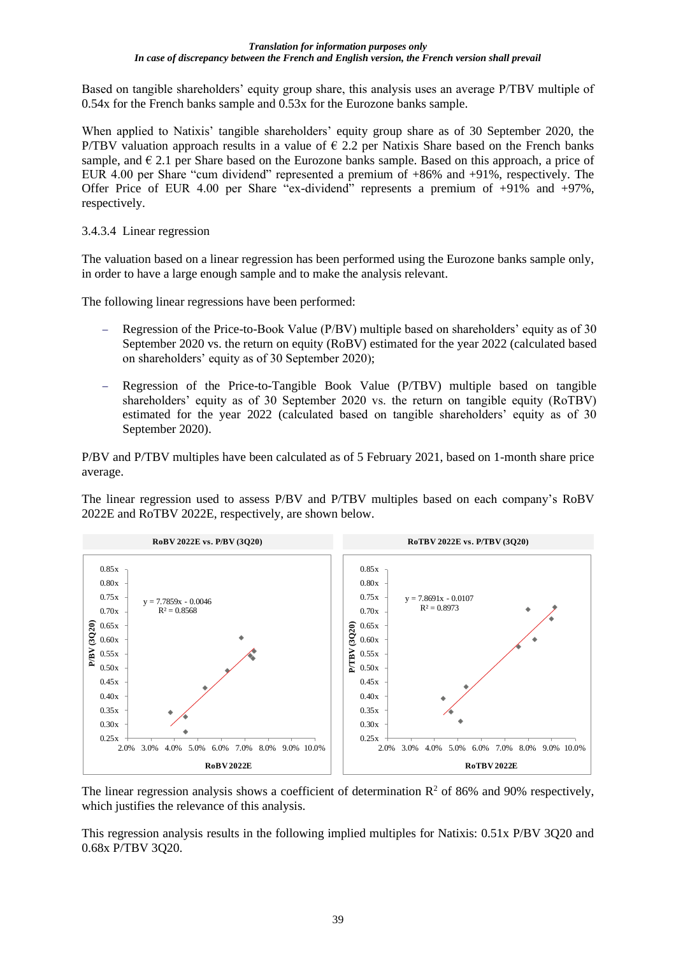Based on tangible shareholders' equity group share, this analysis uses an average P/TBV multiple of 0.54x for the French banks sample and 0.53x for the Eurozone banks sample.

When applied to Natixis' tangible shareholders' equity group share as of 30 September 2020, the P/TBV valuation approach results in a value of  $\epsilon$  2.2 per Natixis Share based on the French banks sample, and  $\epsilon$  2.1 per Share based on the Eurozone banks sample. Based on this approach, a price of EUR 4.00 per Share "cum dividend" represented a premium of +86% and +91%, respectively. The Offer Price of EUR 4.00 per Share "ex-dividend" represents a premium of +91% and +97%, respectively.

### 3.4.3.4 Linear regression

The valuation based on a linear regression has been performed using the Eurozone banks sample only, in order to have a large enough sample and to make the analysis relevant.

The following linear regressions have been performed:

- − Regression of the Price-to-Book Value (P/BV) multiple based on shareholders' equity as of 30 September 2020 vs. the return on equity (RoBV) estimated for the year 2022 (calculated based on shareholders' equity as of 30 September 2020);
- − Regression of the Price-to-Tangible Book Value (P/TBV) multiple based on tangible shareholders' equity as of 30 September 2020 vs. the return on tangible equity (RoTBV) estimated for the year 2022 (calculated based on tangible shareholders' equity as of 30 September 2020).

P/BV and P/TBV multiples have been calculated as of 5 February 2021, based on 1-month share price average.

The linear regression used to assess P/BV and P/TBV multiples based on each company's RoBV 2022E and RoTBV 2022E, respectively, are shown below.



The linear regression analysis shows a coefficient of determination  $\mathbb{R}^2$  of 86% and 90% respectively. which justifies the relevance of this analysis.

This regression analysis results in the following implied multiples for Natixis: 0.51x P/BV 3Q20 and 0.68x P/TBV 3Q20.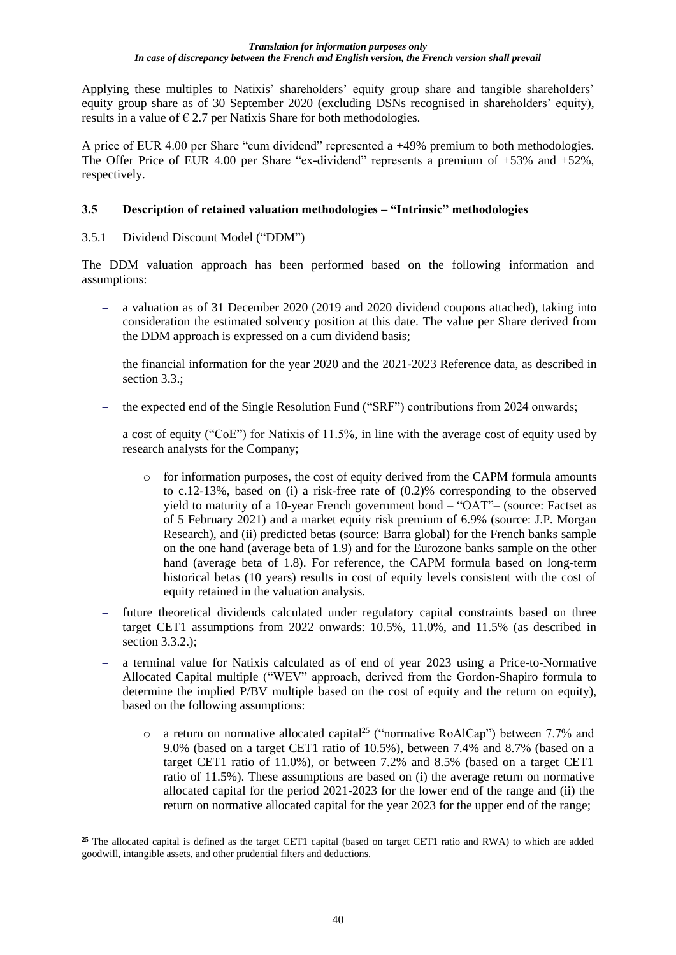Applying these multiples to Natixis' shareholders' equity group share and tangible shareholders' equity group share as of 30 September 2020 (excluding DSNs recognised in shareholders' equity), results in a value of  $\epsilon$  2.7 per Natixis Share for both methodologies.

A price of EUR 4.00 per Share "cum dividend" represented a +49% premium to both methodologies. The Offer Price of EUR 4.00 per Share "ex-dividend" represents a premium of +53% and +52%, respectively.

## **3.5 Description of retained valuation methodologies – "Intrinsic" methodologies**

## 3.5.1 Dividend Discount Model ("DDM")

The DDM valuation approach has been performed based on the following information and assumptions:

- − a valuation as of 31 December 2020 (2019 and 2020 dividend coupons attached), taking into consideration the estimated solvency position at this date. The value per Share derived from the DDM approach is expressed on a cum dividend basis;
- − the financial information for the year 2020 and the 2021-2023 Reference data, as described in section 3.3.;
- the expected end of the Single Resolution Fund ("SRF") contributions from 2024 onwards;
- − a cost of equity ("CoE") for Natixis of 11.5%, in line with the average cost of equity used by research analysts for the Company;
	- $\circ$  for information purposes, the cost of equity derived from the CAPM formula amounts to c.12-13%, based on (i) a risk-free rate of (0.2)% corresponding to the observed yield to maturity of a 10-year French government bond – "OAT"– (source: Factset as of 5 February 2021) and a market equity risk premium of 6.9% (source: J.P. Morgan Research), and (ii) predicted betas (source: Barra global) for the French banks sample on the one hand (average beta of 1.9) and for the Eurozone banks sample on the other hand (average beta of 1.8). For reference, the CAPM formula based on long-term historical betas (10 years) results in cost of equity levels consistent with the cost of equity retained in the valuation analysis.
- − future theoretical dividends calculated under regulatory capital constraints based on three target CET1 assumptions from 2022 onwards: 10.5%, 11.0%, and 11.5% (as described in section 3.3.2.);
- a terminal value for Natixis calculated as of end of year 2023 using a Price-to-Normative Allocated Capital multiple ("WEV" approach, derived from the Gordon-Shapiro formula to determine the implied P/BV multiple based on the cost of equity and the return on equity), based on the following assumptions:
	- $\circ$  a return on normative allocated capital<sup>25</sup> ("normative RoAlCap") between 7.7% and 9.0% (based on a target CET1 ratio of 10.5%), between 7.4% and 8.7% (based on a target CET1 ratio of 11.0%), or between 7.2% and 8.5% (based on a target CET1 ratio of 11.5%). These assumptions are based on (i) the average return on normative allocated capital for the period 2021-2023 for the lower end of the range and (ii) the return on normative allocated capital for the year 2023 for the upper end of the range;

**<sup>25</sup>** The allocated capital is defined as the target CET1 capital (based on target CET1 ratio and RWA) to which are added goodwill, intangible assets, and other prudential filters and deductions.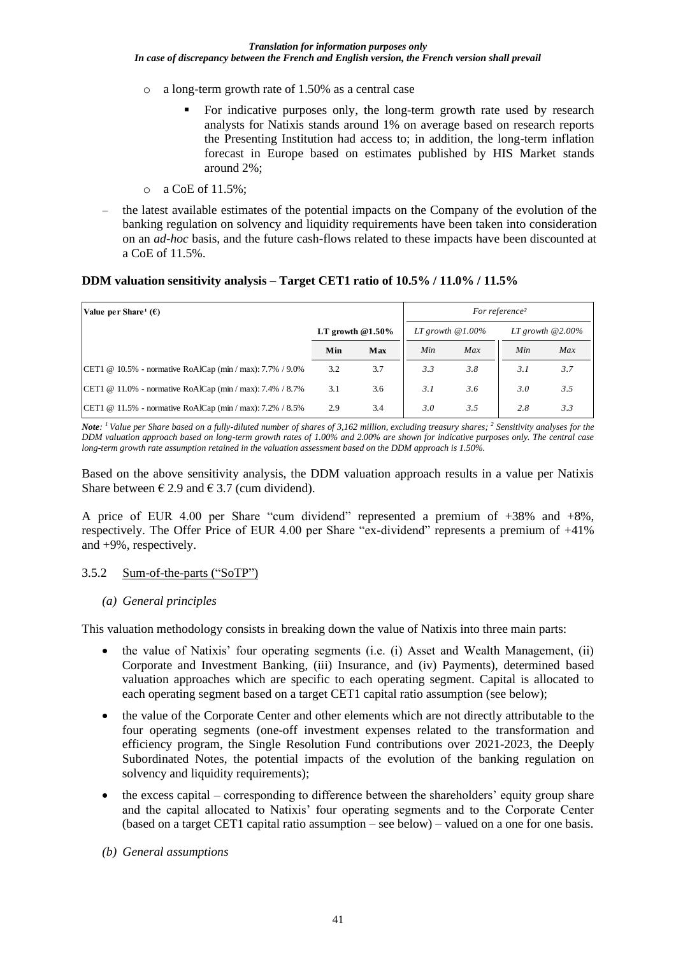- o a long-term growth rate of 1.50% as a central case
	- For indicative purposes only, the long-term growth rate used by research analysts for Natixis stands around 1% on average based on research reports the Presenting Institution had access to; in addition, the long-term inflation forecast in Europe based on estimates published by HIS Market stands around 2%;
- o a CoE of 11.5%;
- the latest available estimates of the potential impacts on the Company of the evolution of the banking regulation on solvency and liquidity requirements have been taken into consideration on an *ad-hoc* basis, and the future cash-flows related to these impacts have been discounted at a CoE of 11.5%.

### **DDM valuation sensitivity analysis – Target CET1 ratio of 10.5% / 11.0% / 11.5%**

| Value per Share <sup>1</sup> ( $\epsilon$ )                     |                     |     | For reference <sup>2</sup> |     |                     |     |
|-----------------------------------------------------------------|---------------------|-----|----------------------------|-----|---------------------|-----|
|                                                                 | LT growth $@1.50\%$ |     | LT growth $@1.00\%$        |     | LT growth $@2.00\%$ |     |
|                                                                 | Min                 | Max | Min                        | Max | Min                 | Max |
| CET1 @ 10.5% - normative RoAlCap (min / max): 7.7% / 9.0%       | 3.2                 | 3.7 | 3.3                        | 3.8 | 3.1                 | 3.7 |
| CET1 @ 11.0% - normative RoAlCap (min / max): 7.4% / 8.7%       | 3.1                 | 3.6 | 3.1                        | 3.6 | 3.0                 | 3.5 |
| CET1 @ 11.5% - normative RoAlCap (min / max): $7.2\%$ / $8.5\%$ | 2.9                 | 3.4 | 3.0                        | 3.5 | 2.8                 | 3.3 |

*Note: <sup>1</sup>Value per Share based on a fully-diluted number of shares of 3,162 million, excluding treasury shares; <sup>2</sup> Sensitivity analyses for the DDM valuation approach based on long-term growth rates of 1.00% and 2.00% are shown for indicative purposes only. The central case long-term growth rate assumption retained in the valuation assessment based on the DDM approach is 1.50%.*

Based on the above sensitivity analysis, the DDM valuation approach results in a value per Natixis Share between  $\epsilon$  2.9 and  $\epsilon$  3.7 (cum dividend).

A price of EUR 4.00 per Share "cum dividend" represented a premium of +38% and +8%, respectively. The Offer Price of EUR 4.00 per Share "ex-dividend" represents a premium of +41% and +9%, respectively.

### 3.5.2 Sum-of-the-parts ("SoTP")

### *(a) General principles*

This valuation methodology consists in breaking down the value of Natixis into three main parts:

- the value of Natixis' four operating segments (i.e. (i) Asset and Wealth Management, (ii) Corporate and Investment Banking, (iii) Insurance, and (iv) Payments), determined based valuation approaches which are specific to each operating segment. Capital is allocated to each operating segment based on a target CET1 capital ratio assumption (see below);
- the value of the Corporate Center and other elements which are not directly attributable to the four operating segments (one-off investment expenses related to the transformation and efficiency program, the Single Resolution Fund contributions over 2021-2023, the Deeply Subordinated Notes, the potential impacts of the evolution of the banking regulation on solvency and liquidity requirements);
- the excess capital corresponding to difference between the shareholders' equity group share and the capital allocated to Natixis' four operating segments and to the Corporate Center (based on a target CET1 capital ratio assumption – see below) – valued on a one for one basis.
- *(b) General assumptions*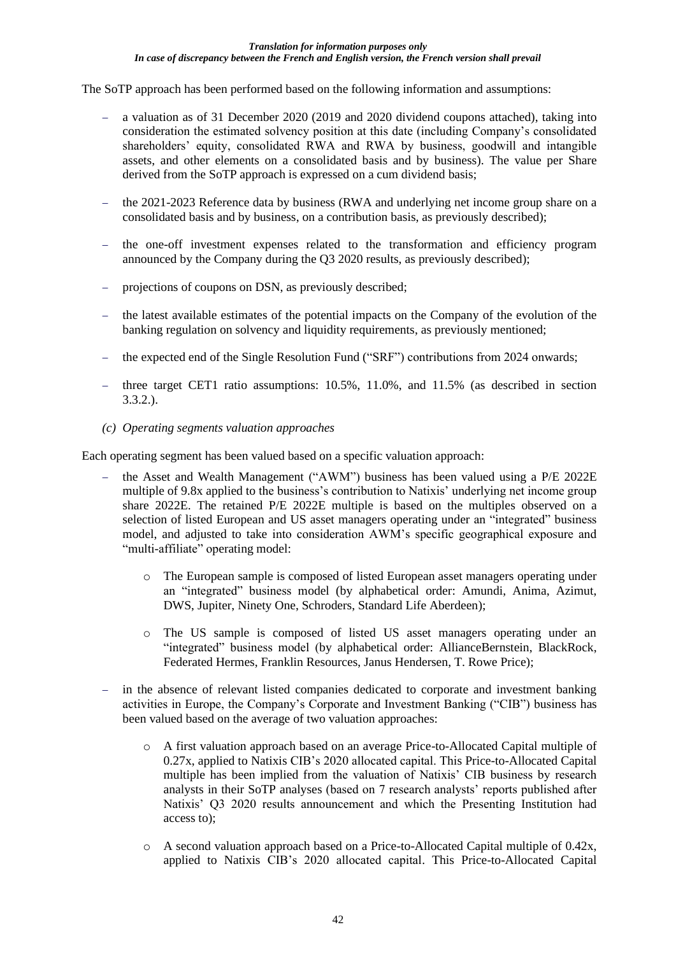The SoTP approach has been performed based on the following information and assumptions:

- − a valuation as of 31 December 2020 (2019 and 2020 dividend coupons attached), taking into consideration the estimated solvency position at this date (including Company's consolidated shareholders' equity, consolidated RWA and RWA by business, goodwill and intangible assets, and other elements on a consolidated basis and by business). The value per Share derived from the SoTP approach is expressed on a cum dividend basis;
- − the 2021-2023 Reference data by business (RWA and underlying net income group share on a consolidated basis and by business, on a contribution basis, as previously described);
- − the one-off investment expenses related to the transformation and efficiency program announced by the Company during the Q3 2020 results, as previously described);
- − projections of coupons on DSN, as previously described;
- the latest available estimates of the potential impacts on the Company of the evolution of the banking regulation on solvency and liquidity requirements, as previously mentioned;
- the expected end of the Single Resolution Fund ("SRF") contributions from 2024 onwards;
- − three target CET1 ratio assumptions: 10.5%, 11.0%, and 11.5% (as described in section 3.3.2.).
- *(c) Operating segments valuation approaches*

Each operating segment has been valued based on a specific valuation approach:

- the Asset and Wealth Management ("AWM") business has been valued using a P/E 2022E multiple of 9.8x applied to the business's contribution to Natixis' underlying net income group share 2022E. The retained P/E 2022E multiple is based on the multiples observed on a selection of listed European and US asset managers operating under an "integrated" business model, and adjusted to take into consideration AWM's specific geographical exposure and "multi-affiliate" operating model:
	- o The European sample is composed of listed European asset managers operating under an "integrated" business model (by alphabetical order: Amundi, Anima, Azimut, DWS, Jupiter, Ninety One, Schroders, Standard Life Aberdeen);
	- o The US sample is composed of listed US asset managers operating under an "integrated" business model (by alphabetical order: AllianceBernstein, BlackRock, Federated Hermes, Franklin Resources, Janus Hendersen, T. Rowe Price);
- − in the absence of relevant listed companies dedicated to corporate and investment banking activities in Europe, the Company's Corporate and Investment Banking ("CIB") business has been valued based on the average of two valuation approaches:
	- o A first valuation approach based on an average Price-to-Allocated Capital multiple of 0.27x, applied to Natixis CIB's 2020 allocated capital. This Price-to-Allocated Capital multiple has been implied from the valuation of Natixis' CIB business by research analysts in their SoTP analyses (based on 7 research analysts' reports published after Natixis' Q3 2020 results announcement and which the Presenting Institution had access to);
	- o A second valuation approach based on a Price-to-Allocated Capital multiple of 0.42x, applied to Natixis CIB's 2020 allocated capital. This Price-to-Allocated Capital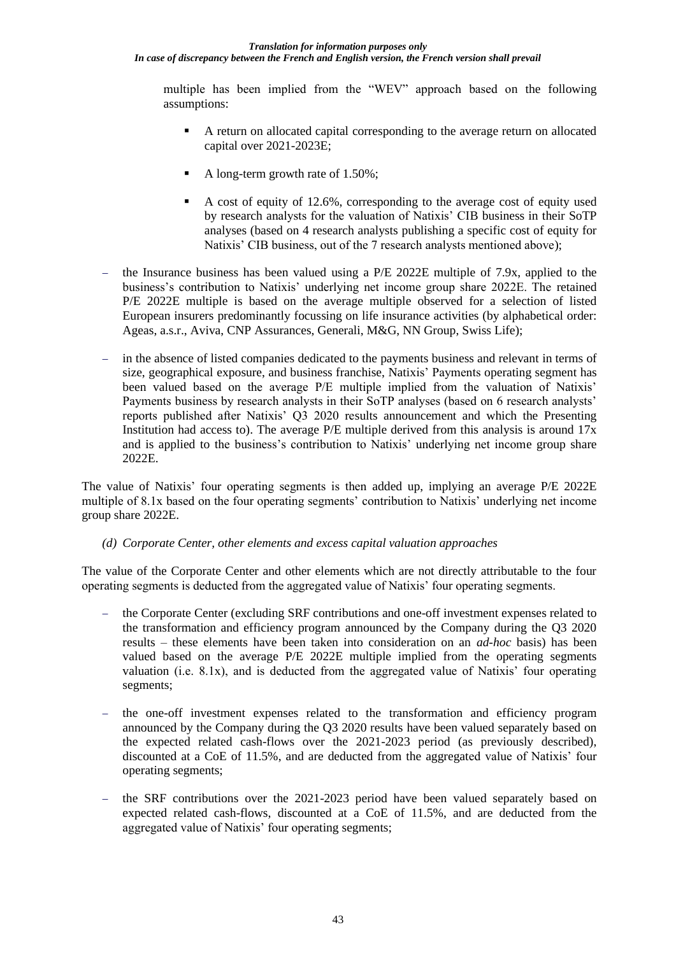multiple has been implied from the "WEV" approach based on the following assumptions:

- A return on allocated capital corresponding to the average return on allocated capital over 2021-2023E;
- A long-term growth rate of 1.50%;
- A cost of equity of 12.6%, corresponding to the average cost of equity used by research analysts for the valuation of Natixis' CIB business in their SoTP analyses (based on 4 research analysts publishing a specific cost of equity for Natixis' CIB business, out of the 7 research analysts mentioned above);
- the Insurance business has been valued using a P/E 2022E multiple of 7.9x, applied to the business's contribution to Natixis' underlying net income group share 2022E. The retained P/E 2022E multiple is based on the average multiple observed for a selection of listed European insurers predominantly focussing on life insurance activities (by alphabetical order: Ageas, a.s.r., Aviva, CNP Assurances, Generali, M&G, NN Group, Swiss Life);
- in the absence of listed companies dedicated to the payments business and relevant in terms of size, geographical exposure, and business franchise, Natixis' Payments operating segment has been valued based on the average P/E multiple implied from the valuation of Natixis' Payments business by research analysts in their SoTP analyses (based on 6 research analysts' reports published after Natixis' Q3 2020 results announcement and which the Presenting Institution had access to). The average P/E multiple derived from this analysis is around 17x and is applied to the business's contribution to Natixis' underlying net income group share 2022E.

The value of Natixis' four operating segments is then added up, implying an average P/E 2022E multiple of 8.1x based on the four operating segments' contribution to Natixis' underlying net income group share 2022E.

*(d) Corporate Center, other elements and excess capital valuation approaches*

The value of the Corporate Center and other elements which are not directly attributable to the four operating segments is deducted from the aggregated value of Natixis' four operating segments.

- the Corporate Center (excluding SRF contributions and one-off investment expenses related to the transformation and efficiency program announced by the Company during the Q3 2020 results – these elements have been taken into consideration on an *ad-hoc* basis) has been valued based on the average P/E 2022E multiple implied from the operating segments valuation (i.e. 8.1x), and is deducted from the aggregated value of Natixis' four operating segments;
- the one-off investment expenses related to the transformation and efficiency program announced by the Company during the Q3 2020 results have been valued separately based on the expected related cash-flows over the 2021-2023 period (as previously described), discounted at a CoE of 11.5%, and are deducted from the aggregated value of Natixis' four operating segments;
- the SRF contributions over the 2021-2023 period have been valued separately based on expected related cash-flows, discounted at a CoE of 11.5%, and are deducted from the aggregated value of Natixis' four operating segments;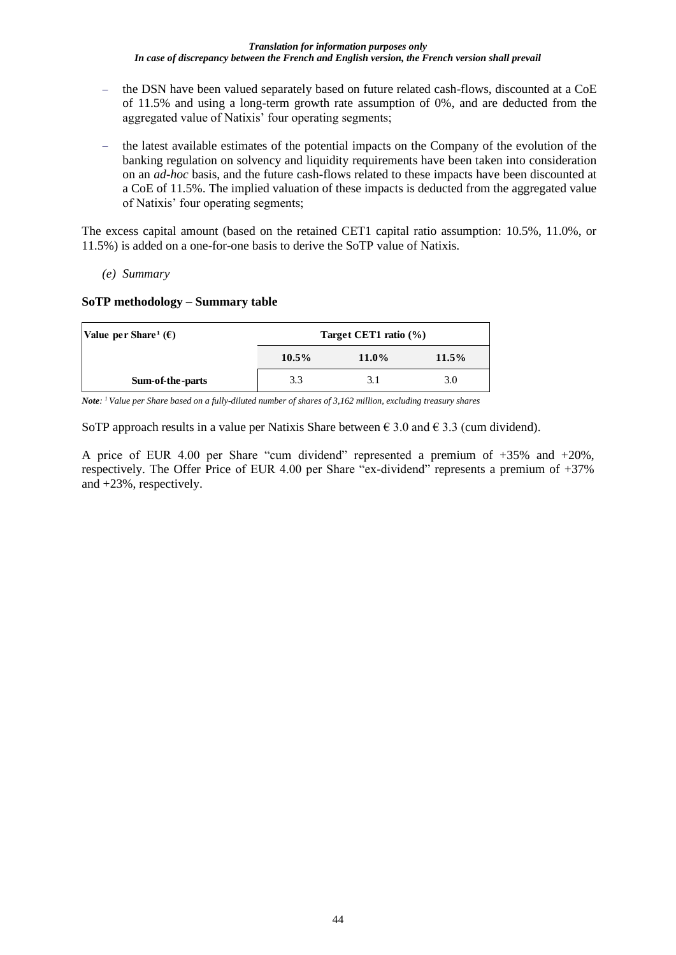- − the DSN have been valued separately based on future related cash-flows, discounted at a CoE of 11.5% and using a long-term growth rate assumption of 0%, and are deducted from the aggregated value of Natixis' four operating segments;
- − the latest available estimates of the potential impacts on the Company of the evolution of the banking regulation on solvency and liquidity requirements have been taken into consideration on an *ad-hoc* basis, and the future cash-flows related to these impacts have been discounted at a CoE of 11.5%. The implied valuation of these impacts is deducted from the aggregated value of Natixis' four operating segments;

The excess capital amount (based on the retained CET1 capital ratio assumption: 10.5%, 11.0%, or 11.5%) is added on a one-for-one basis to derive the SoTP value of Natixis.

*(e) Summary*

## **SoTP methodology – Summary table**

| Value per Share <sup>1</sup> ( $\epsilon$ ) | Target CET1 ratio $(\% )$ |       |          |  |  |  |
|---------------------------------------------|---------------------------|-------|----------|--|--|--|
|                                             | $10.5\%$                  | 11.0% | $11.5\%$ |  |  |  |
| Sum-of-the-parts                            | 3.3                       | 3.1   | 3.0      |  |  |  |

*Note: <sup>1</sup>Value per Share based on a fully-diluted number of shares of 3,162 million, excluding treasury shares*

SoTP approach results in a value per Natixis Share between  $\epsilon$  3.0 and  $\epsilon$  3.3 (cum dividend).

A price of EUR 4.00 per Share "cum dividend" represented a premium of +35% and +20%, respectively. The Offer Price of EUR 4.00 per Share "ex-dividend" represents a premium of +37% and +23%, respectively.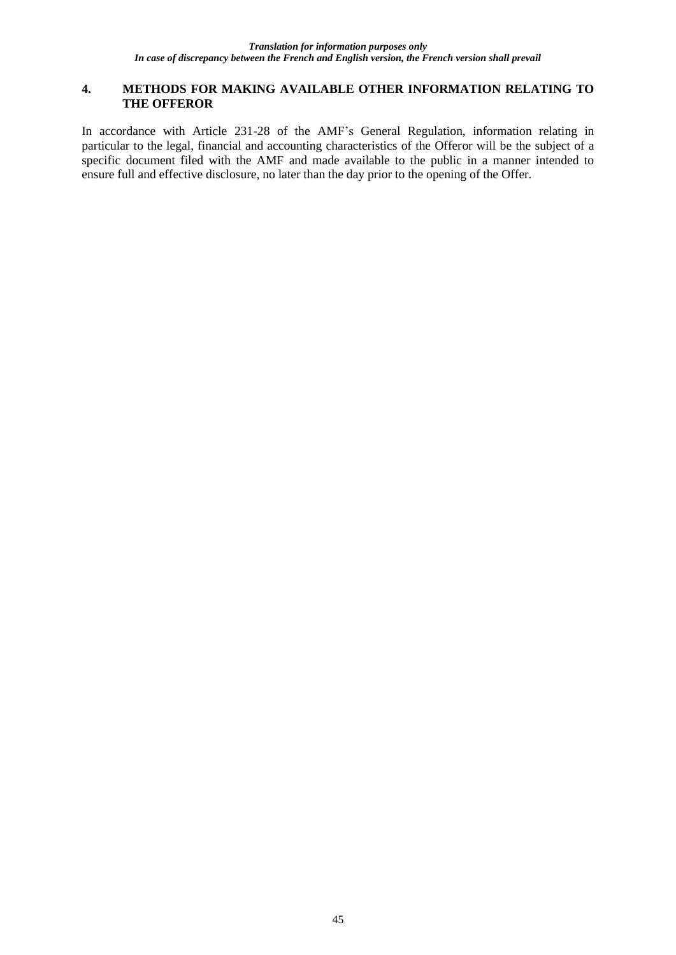### **4. METHODS FOR MAKING AVAILABLE OTHER INFORMATION RELATING TO THE OFFEROR**

In accordance with Article 231-28 of the AMF's General Regulation, information relating in particular to the legal, financial and accounting characteristics of the Offeror will be the subject of a specific document filed with the AMF and made available to the public in a manner intended to ensure full and effective disclosure, no later than the day prior to the opening of the Offer.